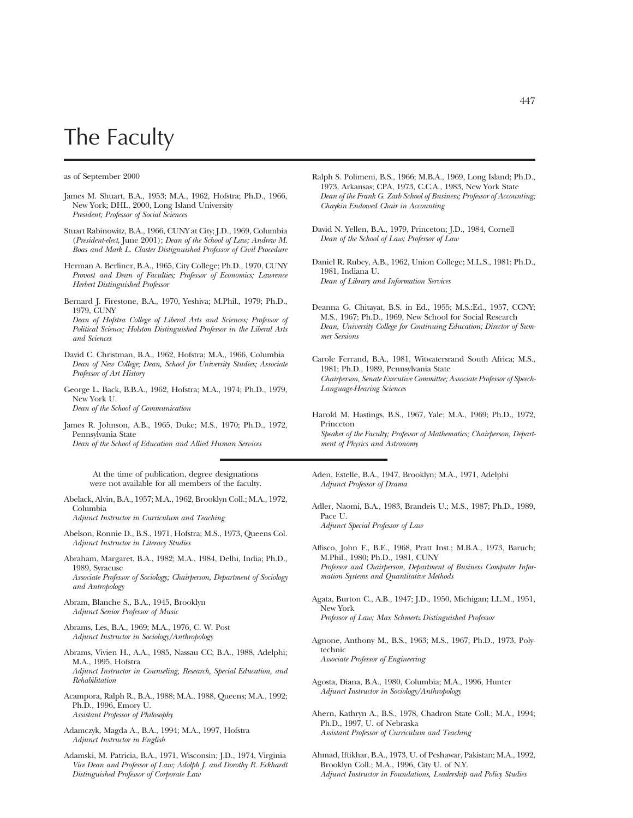## The Faculty

as of September 2000

- James M. Shuart, B.A., 1953; M.A., 1962, Hofstra; Ph.D., 1966, New York; DHL, 2000, Long Island University *President; Professor of Social Sciences*
- Stuart Rabinowitz, B.A., 1966, CUNY at City; J.D., 1969, Columbia (*President-elect*, June 2001); *Dean of the School of Law; Andrew M. Boas and Mark L. Claster Distignuished Professor of Civil Procedure*
- Herman A. Berliner, B.A., 1965, City College; Ph.D., 1970, CUNY *Provost and Dean of Faculties; Professor of Economics; Lawrence Herbert Distinguished Professor*
- Bernard J. Firestone, B.A., 1970, Yeshiva; M.Phil., 1979; Ph.D., 1979, CUNY *Dean of Hofstra College of Liberal Arts and Sciences; Professor of Political Science; Holston Distinguished Professor in the Liberal Arts and Sciences*
- David C. Christman, B.A., 1962, Hofstra; M.A., 1966, Columbia *Dean of New College; Dean, School for University Studies; Associate Professor of Art History*
- George L. Back, B.B.A., 1962, Hofstra; M.A., 1974; Ph.D., 1979, New York U. *Dean of the School of Communication*
- James R. Johnson, A.B., 1965, Duke; M.S., 1970; Ph.D., 1972, Pennsylvania State *Dean of the School of Education and Allied Human Services*

At the time of publication, degree designations were not available for all members of the faculty.

Abelack, Alvin, B.A., 1957; M.A., 1962, Brooklyn Coll.; M.A., 1972, Columbia

*Adjunct Instructor in Curriculum and Teaching*

- Abelson, Ronnie D., B.S., 1971, Hofstra; M.S., 1973, Queens Col. *Adjunct Instructor in Literacy Studies*
- Abraham, Margaret, B.A., 1982; M.A., 1984, Delhi, India; Ph.D., 1989, Syracuse *Associate Professor of Sociology; Chairperson, Department of Sociology and Antropology*
- Abram, Blanche S., B.A., 1945, Brooklyn *Adjunct Senior Professor of Music*
- Abrams, Les, B.A., 1969; M.A., 1976, C. W. Post *Adjunct Instructor in Sociology/Anthropology*
- Abrams, Vivien H., A.A., 1985, Nassau CC; B.A., 1988, Adelphi; M.A., 1995, Hofstra *Adjunct Instructor in Counseling, Research, Special Education, and Rehabilitation*
- Acampora, Ralph R., B.A., 1988; M.A., 1988, Queens; M.A., 1992; Ph.D., 1996, Emory U. *Assistant Professor of Philosophy*
- Adamczyk, Magda A., B.A., 1994; M.A., 1997, Hofstra *Adjunct Instructor in English*
- Adamski, M. Patricia, B.A., 1971, Wisconsin; J.D., 1974, Virginia *Vice Dean and Professor of Law; Adolph J. and Dorothy R. Eckhardt Distinguished Professor of Corporate Law*
- Ralph S. Polimeni, B.S., 1966; M.B.A., 1969, Long Island; Ph.D., 1973, Arkansas; CPA, 1973, C.C.A., 1983, New York State *Dean of the Frank G. Zarb School of Business; Professor of Accounting; Chaykin Endowed Chair in Accounting*
- David N. Yellen, B.A., 1979, Princeton; J.D., 1984, Cornell *Dean of the School of Law; Professor of Law*
- Daniel R. Rubey, A.B., 1962, Union College; M.L.S., 1981; Ph.D., 1981, Indiana U. *Dean of Library and Information Services*
- Deanna G. Chitayat, B.S. in Ed., 1955; M.S.:Ed., 1957, CCNY; M.S., 1967; Ph.D., 1969, New School for Social Research *Dean, University College for Continuing Education; Director of Summer Sessions*
- Carole Ferrand, B.A., 1981, Witwatersrand South Africa; M.S., 1981; Ph.D., 1989, Pennsylvania State *Chairperson, Senate Executive Committee; Associate Professor of Speech-Language-Hearing Sciences*
- Harold M. Hastings, B.S., 1967, Yale; M.A., 1969; Ph.D., 1972, Princeton *Speaker of the Faculty; Professor of Mathematics; Chairperson, Department of Physics and Astronomy*
- Aden, Estelle, B.A., 1947, Brooklyn; M.A., 1971, Adelphi *Adjunct Professor of Drama*
- Adler, Naomi, B.A., 1983, Brandeis U.; M.S., 1987; Ph.D., 1989, Pace U. *Adjunct Special Professor of Law*
- Affisco, John F., B.E., 1968, Pratt Inst.; M.B.A., 1973, Baruch; M.Phil., 1980; Ph.D., 1981, CUNY *Professor and Chairperson, Department of Business Computer Information Systems and Quantitative Methods*
- Agata, Burton C., A.B., 1947; J.D., 1950, Michigan; LL.M., 1951, New York *Professor of Law; Max Schmertz Distinguished Professor*
- Agnone, Anthony M., B.S., 1963; M.S., 1967; Ph.D., 1973, Polytechnic *Associate Professor of Engineering*
- Agosta, Diana, B.A., 1980, Columbia; M.A., 1996, Hunter *Adjunct Instructor in Sociology/Anthropology*
- Ahern, Kathryn A., B.S., 1978, Chadron State Coll.; M.A., 1994; Ph.D., 1997, U. of Nebraska *Assistant Professor of Curriculum and Teaching*
- Ahmad, Iftikhar, B.A., 1973, U. of Peshawar, Pakistan; M.A., 1992, Brooklyn Coll.; M.A., 1996, City U. of N.Y. *Adjunct Instructor in Foundations, Leadership and Policy Studies*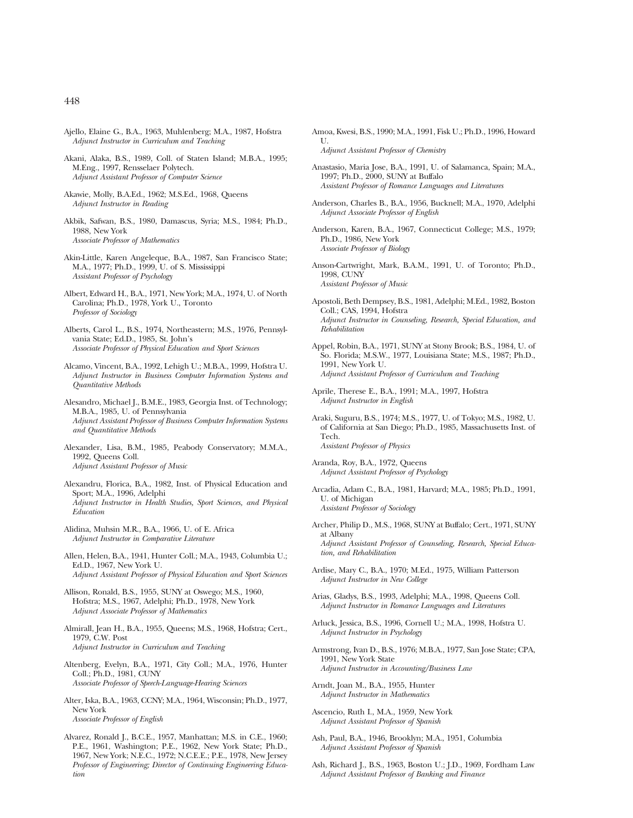- Ajello, Elaine G., B.A., 1963, Muhlenberg; M.A., 1987, Hofstra *Adjunct Instructor in Curriculum and Teaching*
- Akani, Alaka, B.S., 1989, Coll. of Staten Island; M.B.A., 1995; M.Eng., 1997, Rensselaer Polytech. *Adjunct Assistant Professor of Computer Science*
- Akawie, Molly, B.A.Ed., 1962; M.S.Ed., 1968, Queens *Adjunct Instructor in Reading*
- Akbik, Safwan, B.S., 1980, Damascus, Syria; M.S., 1984; Ph.D., 1988, New York *Associate Professor of Mathematics*
- Akin-Little, Karen Angeleque, B.A., 1987, San Francisco State; M.A., 1977; Ph.D., 1999, U. of S. Mississippi *Assistant Professor of Psychology*
- Albert, Edward H., B.A., 1971, New York; M.A., 1974, U. of North Carolina; Ph.D., 1978, York U., Toronto *Professor of Sociology*
- Alberts, Carol L., B.S., 1974, Northeastern; M.S., 1976, Pennsylvania State; Ed.D., 1985, St. John's *Associate Professor of Physical Education and Sport Sciences*
- Alcamo, Vincent, B.A., 1992, Lehigh U.; M.B.A., 1999, Hofstra U. *Adjunct Instructor in Business Computer Information Systems and Quantitative Methods*
- Alesandro, Michael J., B.M.E., 1983, Georgia Inst. of Technology; M.B.A., 1985, U. of Pennsylvania *Adjunct Assistant Professor of Business Computer Information Systems and Quantitative Methods*
- Alexander, Lisa, B.M., 1985, Peabody Conservatory; M.M.A., 1992, Queens Coll. *Adjunct Assistant Professor of Music*
- Alexandru, Florica, B.A., 1982, Inst. of Physical Education and Sport; M.A., 1996, Adelphi *Adjunct Instructor in Health Studies, Sport Sciences, and Physical Education*
- Alidina, Muhsin M.R., B.A., 1966, U. of E. Africa *Adjunct Instructor in Comparative Literature*
- Allen, Helen, B.A., 1941, Hunter Coll.; M.A., 1943, Columbia U.; Ed.D., 1967, New York U. *Adjunct Assistant Professor of Physical Education and Sport Sciences*
- Allison, Ronald, B.S., 1955, SUNY at Oswego; M.S., 1960, Hofstra; M.S., 1967, Adelphi; Ph.D., 1978, New York *Adjunct Associate Professor of Mathematics*
- Almirall, Jean H., B.A., 1955, Queens; M.S., 1968, Hofstra; Cert., 1979, C.W. Post *Adjunct Instructor in Curriculum and Teaching*
- Altenberg, Evelyn, B.A., 1971, City Coll.; M.A., 1976, Hunter Coll.; Ph.D., 1981, CUNY *Associate Professor of Speech-Language-Hearing Sciences*
- Alter, Iska, B.A., 1963, CCNY; M.A., 1964, Wisconsin; Ph.D., 1977, New York *Associate Professor of English*
- Alvarez, Ronald J., B.C.E., 1957, Manhattan; M.S. in C.E., 1960; P.E., 1961, Washington; P.E., 1962, New York State; Ph.D., 1967, New York; N.E.C., 1972; N.C.E.E.; P.E., 1978, New Jersey *Professor of Engineering; Director of Continuing Engineering Education*
- Amoa, Kwesi, B.S., 1990; M.A., 1991, Fisk U.; Ph.D., 1996, Howard U. *Adjunct Assistant Professor of Chemistry*
- Anastasio, Maria Jose, B.A., 1991, U. of Salamanca, Spain; M.A., 1997; Ph.D., 2000, SUNY at Buffalo *Assistant Professor of Romance Languages and Literatures*
- Anderson, Charles B., B.A., 1956, Bucknell; M.A., 1970, Adelphi *Adjunct Associate Professor of English*

Anderson, Karen, B.A., 1967, Connecticut College; M.S., 1979; Ph.D., 1986, New York *Associate Professor of Biology*

- Anson-Cartwright, Mark, B.A.M., 1991, U. of Toronto; Ph.D., 1998, CUNY *Assistant Professor of Music*
- Apostoli, Beth Dempsey, B.S., 1981, Adelphi; M.Ed., 1982, Boston Coll.; CAS, 1994, Hofstra *Adjunct Instructor in Counseling, Research, Special Education, and Rehabilitation*
- Appel, Robin, B.A., 1971, SUNY at Stony Brook; B.S., 1984, U. of So. Florida; M.S.W., 1977, Louisiana State; M.S., 1987; Ph.D., 1991, New York U. *Adjunct Assistant Professor of Curriculum and Teaching*
- Aprile, Therese E., B.A., 1991; M.A., 1997, Hofstra *Adjunct Instructor in English*
- Araki, Suguru, B.S., 1974; M.S., 1977, U. of Tokyo; M.S., 1982, U. of California at San Diego; Ph.D., 1985, Massachusetts Inst. of Tech. *Assistant Professor of Physics*
- Aranda, Roy, B.A., 1972, Queens *Adjunct Assistant Professor of Psychology*
- Arcadia, Adam C., B.A., 1981, Harvard; M.A., 1985; Ph.D., 1991, U. of Michigan *Assistant Professor of Sociology*
- Archer, Philip D., M.S., 1968, SUNY at Buffalo; Cert., 1971, SUNY at Albany *Adjunct Assistant Professor of Counseling, Research, Special Education, and Rehabilitation*
- Ardise, Mary C., B.A., 1970; M.Ed., 1975, William Patterson *Adjunct Instructor in New College*
- Arias, Gladys, B.S., 1993, Adelphi; M.A., 1998, Queens Coll. *Adjunct Instructor in Romance Languages and Literatures*
- Arluck, Jessica, B.S., 1996, Cornell U.; M.A., 1998, Hofstra U. *Adjunct Instructor in Psychology*
- Armstrong, Ivan D., B.S., 1976; M.B.A., 1977, San Jose State; CPA, 1991, New York State *Adjunct Instructor in Accounting/Business Law*
- Arndt, Joan M., B.A., 1955, Hunter *Adjunct Instructor in Mathematics*
- Ascencio, Ruth I., M.A., 1959, New York *Adjunct Assistant Professor of Spanish*
- Ash, Paul, B.A., 1946, Brooklyn; M.A., 1951, Columbia *Adjunct Assistant Professor of Spanish*
- Ash, Richard J., B.S., 1963, Boston U.; J.D., 1969, Fordham Law *Adjunct Assistant Professor of Banking and Finance*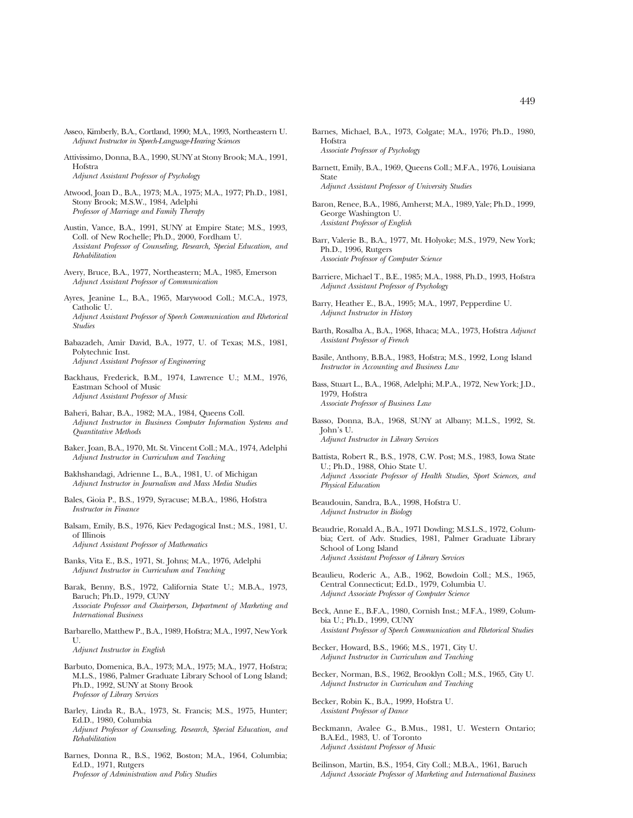- Asseo, Kimberly, B.A., Cortland, 1990; M.A., 1993, Northeastern U. *Adjunct Instructor in Speech-Language-Hearing Sciences*
- Attivissimo, Donna, B.A., 1990, SUNY at Stony Brook; M.A., 1991, Hofstra *Adjunct Assistant Professor of Psychology*
- Atwood, Joan D., B.A., 1973; M.A., 1975; M.A., 1977; Ph.D., 1981, Stony Brook; M.S.W., 1984, Adelphi *Professor of Marriage and Family Therapy*
- Austin, Vance, B.A., 1991, SUNY at Empire State; M.S., 1993, Coll. of New Rochelle; Ph.D., 2000, Fordham U. *Assistant Professor of Counseling, Research, Special Education, and Rehabilitation*
- Avery, Bruce, B.A., 1977, Northeastern; M.A., 1985, Emerson *Adjunct Assistant Professor of Communication*
- Ayres, Jeanine L., B.A., 1965, Marywood Coll.; M.C.A., 1973, Catholic U. *Adjunct Assistant Professor of Speech Communication and Rhetorical Studies*
- Babazadeh, Amir David, B.A., 1977, U. of Texas; M.S., 1981, Polytechnic Inst. *Adjunct Assistant Professor of Engineering*
- Backhaus, Frederick, B.M., 1974, Lawrence U.; M.M., 1976, Eastman School of Music *Adjunct Assistant Professor of Music*
- Baheri, Bahar, B.A., 1982; M.A., 1984, Queens Coll. *Adjunct Instructor in Business Computer Information Systems and Quantitative Methods*
- Baker, Joan, B.A., 1970, Mt. St. Vincent Coll.; M.A., 1974, Adelphi *Adjunct Instructor in Curriculum and Teaching*
- Bakhshandagi, Adrienne L., B.A., 1981, U. of Michigan *Adjunct Instructor in Journalism and Mass Media Studies*
- Bales, Gioia P., B.S., 1979, Syracuse; M.B.A., 1986, Hofstra *Instructor in Finance*
- Balsam, Emily, B.S., 1976, Kiev Pedagogical Inst.; M.S., 1981, U. of Illinois *Adjunct Assistant Professor of Mathematics*
- Banks, Vita E., B.S., 1971, St. Johns; M.A., 1976, Adelphi *Adjunct Instructor in Curriculum and Teaching*
- Barak, Benny, B.S., 1972, California State U.; M.B.A., 1973, Baruch; Ph.D., 1979, CUNY *Associate Professor and Chairperson, Department of Marketing and International Business*
- Barbarello, Matthew P., B.A., 1989, Hofstra; M.A., 1997, New York  $II$ *Adjunct Instructor in English*
- Barbuto, Domenica, B.A., 1973; M.A., 1975; M.A., 1977, Hofstra; M.L.S., 1986, Palmer Graduate Library School of Long Island; Ph.D., 1992, SUNY at Stony Brook *Professor of Library Services*
- Barley, Linda R., B.A., 1973, St. Francis; M.S., 1975, Hunter; Ed.D., 1980, Columbia *Adjunct Professor of Counseling, Research, Special Education, and Rehabilitation*
- Barnes, Donna R., B.S., 1962, Boston; M.A., 1964, Columbia; Ed.D., 1971, Rutgers *Professor of Administration and Policy Studies*
- Barnes, Michael, B.A., 1973, Colgate; M.A., 1976; Ph.D., 1980, Hofstra *Associate Professor of Psychology*
- Barnett, Emily, B.A., 1969, Queens Coll.; M.F.A., 1976, Louisiana State *Adjunct Assistant Professor of University Studies*
- Baron, Renee, B.A., 1986, Amherst; M.A., 1989, Yale; Ph.D., 1999, George Washington U. *Assistant Professor of English*
- Barr, Valerie B., B.A., 1977, Mt. Holyoke; M.S., 1979, New York; Ph.D., 1996, Rutgers *Associate Professor of Computer Science*
- Barriere, Michael T., B.E., 1985; M.A., 1988, Ph.D., 1993, Hofstra *Adjunct Assistant Professor of Psychology*
- Barry, Heather E., B.A., 1995; M.A., 1997, Pepperdine U. *Adjunct Instructor in History*
- Barth, Rosalba A., B.A., 1968, Ithaca; M.A., 1973, Hofstra *Adjunct Assistant Professor of French*
- Basile, Anthony, B.B.A., 1983, Hofstra; M.S., 1992, Long Island *Instructor in Accounting and Business Law*
- Bass, Stuart L., B.A., 1968, Adelphi; M.P.A., 1972, New York; J.D., 1979, Hofstra *Associate Professor of Business Law*
- Basso, Donna, B.A., 1968, SUNY at Albany; M.L.S., 1992, St. John's U. *Adjunct Instructor in Library Services*
- Battista, Robert R., B.S., 1978, C.W. Post; M.S., 1983, Iowa State U.; Ph.D., 1988, Ohio State U. *Adjunct Associate Professor of Health Studies, Sport Sciences, and Physical Education*
- Beaudouin, Sandra, B.A., 1998, Hofstra U. *Adjunct Instructor in Biology*
- Beaudrie, Ronald A., B.A., 1971 Dowling; M.S.L.S., 1972, Columbia; Cert. of Adv. Studies, 1981, Palmer Graduate Library School of Long Island *Adjunct Assistant Professor of Library Services*
- Beaulieu, Roderic A., A.B., 1962, Bowdoin Coll.; M.S., 1965, Central Connecticut; Ed.D., 1979, Columbia U. *Adjunct Associate Professor of Computer Science*
- Beck, Anne E., B.F.A., 1980, Cornish Inst.; M.F.A., 1989, Columbia U.; Ph.D., 1999, CUNY *Assistant Professor of Speech Communication and Rhetorical Studies*
- Becker, Howard, B.S., 1966; M.S., 1971, City U. *Adjunct Instructor in Curriculum and Teaching*
- Becker, Norman, B.S., 1962, Brooklyn Coll.; M.S., 1965, City U. *Adjunct Instructor in Curriculum and Teaching*
- Becker, Robin K., B.A., 1999, Hofstra U. *Assistant Professor of Dance*
- Beckmann, Avalee G., B.Mus., 1981, U. Western Ontario; B.A.Ed., 1983, U. of Toronto *Adjunct Assistant Professor of Music*
- Beilinson, Martin, B.S., 1954, City Coll.; M.B.A., 1961, Baruch *Adjunct Associate Professor of Marketing and International Business*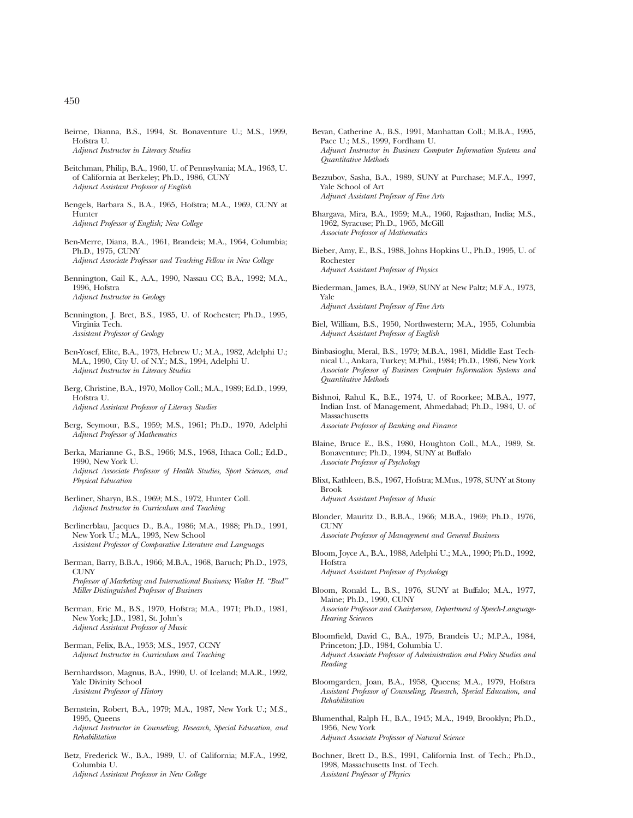- Beitchman, Philip, B.A., 1960, U. of Pennsylvania; M.A., 1963, U. of California at Berkeley; Ph.D., 1986, CUNY *Adjunct Assistant Professor of English*
- Bengels, Barbara S., B.A., 1965, Hofstra; M.A., 1969, CUNY at **Hunter** *Adjunct Professor of English; New College*
- Ben-Merre, Diana, B.A., 1961, Brandeis; M.A., 1964, Columbia; Ph.D., 1975, CUNY *Adjunct Associate Professor and Teaching Fellow in New College*
- Bennington, Gail K., A.A., 1990, Nassau CC; B.A., 1992; M.A., 1996, Hofstra *Adjunct Instructor in Geology*
- Bennington, J. Bret, B.S., 1985, U. of Rochester; Ph.D., 1995, Virginia Tech. *Assistant Professor of Geology*
- Ben-Yosef, Elite, B.A., 1973, Hebrew U.; M.A., 1982, Adelphi U.; M.A., 1990, City U. of N.Y.; M.S., 1994, Adelphi U. *Adjunct Instructor in Literacy Studies*
- Berg, Christine, B.A., 1970, Molloy Coll.; M.A., 1989; Ed.D., 1999, Hofstra U. *Adjunct Assistant Professor of Literacy Studies*
- Berg, Seymour, B.S., 1959; M.S., 1961; Ph.D., 1970, Adelphi *Adjunct Professor of Mathematics*
- Berka, Marianne G., B.S., 1966; M.S., 1968, Ithaca Coll.; Ed.D., 1990, New York U. *Adjunct Associate Professor of Health Studies, Sport Sciences, and Physical Education*
- Berliner, Sharyn, B.S., 1969; M.S., 1972, Hunter Coll. *Adjunct Instructor in Curriculum and Teaching*
- Berlinerblau, Jacques D., B.A., 1986; M.A., 1988; Ph.D., 1991, New York U.; M.A., 1993, New School *Assistant Professor of Comparative Literature and Languages*
- Berman, Barry, B.B.A., 1966; M.B.A., 1968, Baruch; Ph.D., 1973, CUNY *Professor of Marketing and International Business; Walter H. ''Bud'' Miller Distinguished Professor of Business*
- Berman, Eric M., B.S., 1970, Hofstra; M.A., 1971; Ph.D., 1981, New York; J.D., 1981, St. John's *Adjunct Assistant Professor of Music*
- Berman, Felix, B.A., 1953; M.S., 1957, CCNY *Adjunct Instructor in Curriculum and Teaching*
- Bernhardsson, Magnus, B.A., 1990, U. of Iceland; M.A.R., 1992, Yale Divinity School *Assistant Professor of History*
- Bernstein, Robert, B.A., 1979; M.A., 1987, New York U.; M.S., 1995, Queens *Adjunct Instructor in Counseling, Research, Special Education, and Rehabilitation*
- Betz, Frederick W., B.A., 1989, U. of California; M.F.A., 1992, Columbia U. *Adjunct Assistant Professor in New College*
- Bevan, Catherine A., B.S., 1991, Manhattan Coll.; M.B.A., 1995, Pace U.; M.S., 1999, Fordham U. *Adjunct Instructor in Business Computer Information Systems and Quantitative Methods*
- Bezzubov, Sasha, B.A., 1989, SUNY at Purchase; M.F.A., 1997, Yale School of Art *Adjunct Assistant Professor of Fine Arts*
- Bhargava, Mira, B.A., 1959; M.A., 1960, Rajasthan, India; M.S., 1962, Syracuse; Ph.D., 1965, McGill *Associate Professor of Mathematics*
- Bieber, Amy, E., B.S., 1988, Johns Hopkins U., Ph.D., 1995, U. of Rochester *Adjunct Assistant Professor of Physics*
- Biederman, James, B.A., 1969, SUNY at New Paltz; M.F.A., 1973, Yale *Adjunct Assistant Professor of Fine Arts*
- Biel, William, B.S., 1950, Northwestern; M.A., 1955, Columbia *Adjunct Assistant Professor of English*
- Binbasioglu, Meral, B.S., 1979; M.B.A., 1981, Middle East Technical U., Ankara, Turkey; M.Phil., 1984; Ph.D., 1986, New York *Associate Professor of Business Computer Information Systems and Quantitative Methods*
- Bishnoi, Rahul K., B.E., 1974, U. of Roorkee; M.B.A., 1977, Indian Inst. of Management, Ahmedabad; Ph.D., 1984, U. of Massachusetts *Associate Professor of Banking and Finance*
- Blaine, Bruce E., B.S., 1980, Houghton Coll., M.A., 1989, St. Bonaventure; Ph.D., 1994, SUNY at Buffalo *Associate Professor of Psychology*
- Blixt, Kathleen, B.S., 1967, Hofstra; M.Mus., 1978, SUNY at Stony Brook *Adjunct Assistant Professor of Music*
- Blonder, Mauritz D., B.B.A., 1966; M.B.A., 1969; Ph.D., 1976, CUNY *Associate Professor of Management and General Business*
- Bloom, Joyce A., B.A., 1988, Adelphi U.; M.A., 1990; Ph.D., 1992, Hofstra *Adjunct Assistant Professor of Psychology*
- Bloom, Ronald L., B.S., 1976, SUNY at Buffalo; M.A., 1977, Maine; Ph.D., 1990, CUNY *Associate Professor and Chairperson, Department of Speech-Language-Hearing Sciences*
- Bloomfield, David C., B.A., 1975, Brandeis U.; M.P.A., 1984, Princeton; J.D., 1984, Columbia U. *Adjunct Associate Professor of Administration and Policy Studies and Reading*
- Bloomgarden, Joan, B.A., 1958, Queens; M.A., 1979, Hofstra *Assistant Professor of Counseling, Research, Special Education, and Rehabilitation*
- Blumenthal, Ralph H., B.A., 1945; M.A., 1949, Brooklyn; Ph.D., 1956, New York *Adjunct Associate Professor of Natural Science*
- Bochner, Brett D., B.S., 1991, California Inst. of Tech.; Ph.D., 1998, Massachusetts Inst. of Tech. *Assistant Professor of Physics*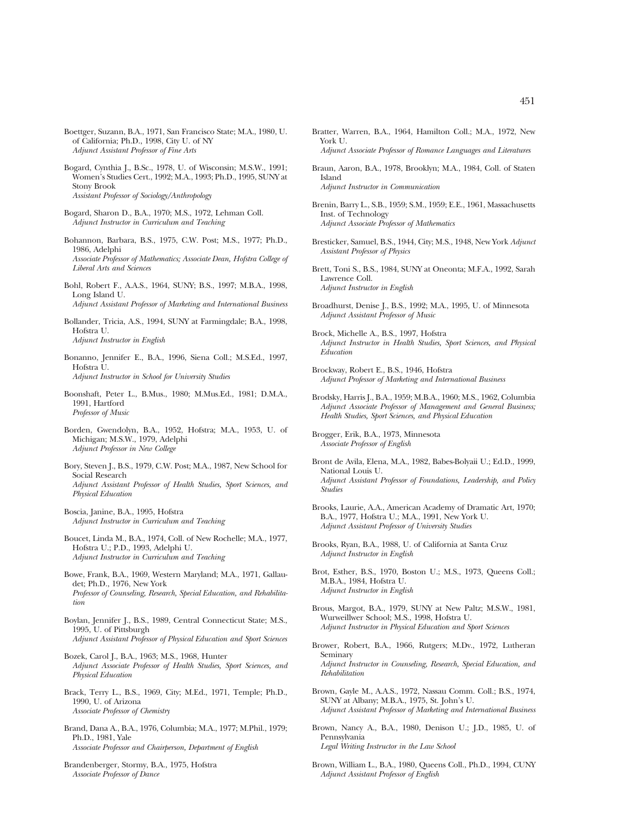- Boettger, Suzann, B.A., 1971, San Francisco State; M.A., 1980, U. of California; Ph.D., 1998, City U. of NY *Adjunct Assistant Professor of Fine Arts*
- Bogard, Cynthia J., B.Sc., 1978, U. of Wisconsin; M.S.W., 1991; Women's Studies Cert., 1992; M.A., 1993; Ph.D., 1995, SUNY at Stony Brook *Assistant Professor of Sociology/Anthropology*
- Bogard, Sharon D., B.A., 1970; M.S., 1972, Lehman Coll. *Adjunct Instructor in Curriculum and Teaching*
- Bohannon, Barbara, B.S., 1975, C.W. Post; M.S., 1977; Ph.D., 1986, Adelphi *Associate Professor of Mathematics; Associate Dean, Hofstra College of Liberal Arts and Sciences*
- Bohl, Robert F., A.A.S., 1964, SUNY; B.S., 1997; M.B.A., 1998, Long Island U. *Adjunct Assistant Professor of Marketing and International Business*
- Bollander, Tricia, A.S., 1994, SUNY at Farmingdale; B.A., 1998, Hofstra U. *Adjunct Instructor in English*
- Bonanno, Jennifer E., B.A., 1996, Siena Coll.; M.S.Ed., 1997, Hofstra U. *Adjunct Instructor in School for University Studies*
- Boonshaft, Peter L., B.Mus., 1980; M.Mus.Ed., 1981; D.M.A., 1991, Hartford *Professor of Music*
- Borden, Gwendolyn, B.A., 1952, Hofstra; M.A., 1953, U. of Michigan; M.S.W., 1979, Adelphi *Adjunct Professor in New College*
- Bory, Steven J., B.S., 1979, C.W. Post; M.A., 1987, New School for Social Research *Adjunct Assistant Professor of Health Studies, Sport Sciences, and Physical Education*
- Boscia, Janine, B.A., 1995, Hofstra *Adjunct Instructor in Curriculum and Teaching*
- Boucet, Linda M., B.A., 1974, Coll. of New Rochelle; M.A., 1977, Hofstra U.; P.D., 1993, Adelphi U. *Adjunct Instructor in Curriculum and Teaching*
- Bowe, Frank, B.A., 1969, Western Maryland; M.A., 1971, Gallaudet; Ph.D., 1976, New York *Professor of Counseling, Research, Special Education, and Rehabilitation*
- Boylan, Jennifer J., B.S., 1989, Central Connecticut State; M.S., 1995, U. of Pittsburgh *Adjunct Assistant Professor of Physical Education and Sport Sciences*
- Bozek, Carol J., B.A., 1963; M.S., 1968, Hunter *Adjunct Associate Professor of Health Studies, Sport Sciences, and Physical Education*
- Brack, Terry L., B.S., 1969, City; M.Ed., 1971, Temple; Ph.D., 1990, U. of Arizona *Associate Professor of Chemistry*
- Brand, Dana A., B.A., 1976, Columbia; M.A., 1977; M.Phil., 1979; Ph.D., 1981, Yale *Associate Professor and Chairperson, Department of English*
- Brandenberger, Stormy, B.A., 1975, Hofstra *Associate Professor of Dance*
- Bratter, Warren, B.A., 1964, Hamilton Coll.; M.A., 1972, New York U. *Adjunct Associate Professor of Romance Languages and Literatures*
- Braun, Aaron, B.A., 1978, Brooklyn; M.A., 1984, Coll. of Staten Island *Adjunct Instructor in Communication*
- Brenin, Barry L., S.B., 1959; S.M., 1959; E.E., 1961, Massachusetts Inst. of Technology *Adjunct Associate Professor of Mathematics*
- Bresticker, Samuel, B.S., 1944, City; M.S., 1948, New York *Adjunct Assistant Professor of Physics*
- Brett, Toni S., B.S., 1984, SUNY at Oneonta; M.F.A., 1992, Sarah Lawrence Coll. *Adjunct Instructor in English*
- Broadhurst, Denise J., B.S., 1992; M.A., 1995, U. of Minnesota *Adjunct Assistant Professor of Music*
- Brock, Michelle A., B.S., 1997, Hofstra *Adjunct Instructor in Health Studies, Sport Sciences, and Physical Education*
- Brockway, Robert E., B.S., 1946, Hofstra *Adjunct Professor of Marketing and International Business*
- Brodsky, Harris J., B.A., 1959; M.B.A., 1960; M.S., 1962, Columbia *Adjunct Associate Professor of Management and General Business; Health Studies, Sport Sciences, and Physical Education*

Brogger, Erik, B.A., 1973, Minnesota *Associate Professor of English*

- Bront de Avila, Elena, M.A., 1982, Babes-Bolyaii U.; Ed.D., 1999, National Louis U. *Adjunct Assistant Professor of Foundations, Leadership, and Policy Studies*
- Brooks, Laurie, A.A., American Academy of Dramatic Art, 1970; B.A., 1977, Hofstra U.; M.A., 1991, New York U. *Adjunct Assistant Professor of University Studies*
- Brooks, Ryan, B.A., 1988, U. of California at Santa Cruz *Adjunct Instructor in English*
- Brot, Esther, B.S., 1970, Boston U.; M.S., 1973, Queens Coll.; M.B.A., 1984, Hofstra U. *Adjunct Instructor in English*
- Brous, Margot, B.A., 1979, SUNY at New Paltz; M.S.W., 1981, Wurweillwer School; M.S., 1998, Hofstra U. *Adjunct Instructor in Physical Education and Sport Sciences*
- Brower, Robert, B.A., 1966, Rutgers; M.Dv., 1972, Lutheran Seminary *Adjunct Instructor in Counseling, Research, Special Education, and Rehabilitation*
- Brown, Gayle M., A.A.S., 1972, Nassau Comm. Coll.; B.S., 1974, SUNY at Albany; M.B.A., 1975, St. John's U. *Adjunct Assistant Professor of Marketing and International Business*
- Brown, Nancy A., B.A., 1980, Denison U.; J.D., 1985, U. of Pennsylvania *Legal Writing Instructor in the Law School*
- Brown, William L., B.A., 1980, Queens Coll., Ph.D., 1994, CUNY *Adjunct Assistant Professor of English*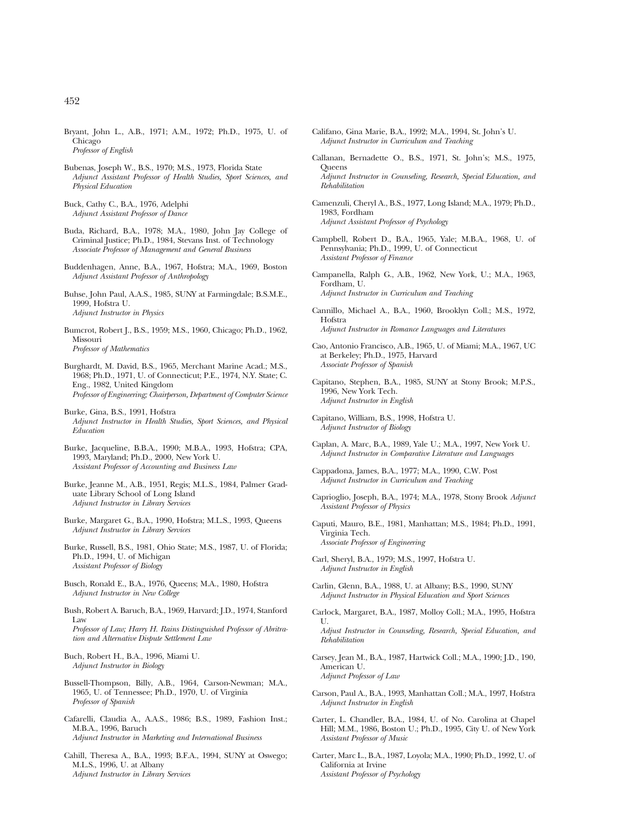- Bryant, John L., A.B., 1971; A.M., 1972; Ph.D., 1975, U. of Chicago *Professor of English*
- Bubenas, Joseph W., B.S., 1970; M.S., 1973, Florida State *Adjunct Assistant Professor of Health Studies, Sport Sciences, and Physical Education*
- Buck, Cathy C., B.A., 1976, Adelphi *Adjunct Assistant Professor of Dance*
- Buda, Richard, B.A., 1978; M.A., 1980, John Jay College of Criminal Justice; Ph.D., 1984, Stevans Inst. of Technology *Associate Professor of Management and General Business*
- Buddenhagen, Anne, B.A., 1967, Hofstra; M.A., 1969, Boston *Adjunct Assistant Professor of Anthropology*
- Buhse, John Paul, A.A.S., 1985, SUNY at Farmingdale; B.S.M.E., 1999, Hofstra U. *Adjunct Instructor in Physics*
- Bumcrot, Robert J., B.S., 1959; M.S., 1960, Chicago; Ph.D., 1962, Missouri *Professor of Mathematics*

Burghardt, M. David, B.S., 1965, Merchant Marine Acad.; M.S., 1968; Ph.D., 1971, U. of Connecticut; P.E., 1974, N.Y. State; C. Eng., 1982, United Kingdom *Professor of Engineering; Chairperson, Department of Computer Science*

- Burke, Gina, B.S., 1991, Hofstra *Adjunct Instructor in Health Studies, Sport Sciences, and Physical Education*
- Burke, Jacqueline, B.B.A., 1990; M.B.A., 1993, Hofstra; CPA, 1993, Maryland; Ph.D., 2000, New York U. *Assistant Professor of Accounting and Business Law*
- Burke, Jeanne M., A.B., 1951, Regis; M.L.S., 1984, Palmer Graduate Library School of Long Island *Adjunct Instructor in Library Services*
- Burke, Margaret G., B.A., 1990, Hofstra; M.L.S., 1993, Queens *Adjunct Instructor in Library Services*
- Burke, Russell, B.S., 1981, Ohio State; M.S., 1987, U. of Florida; Ph.D., 1994, U. of Michigan *Assistant Professor of Biology*
- Busch, Ronald E., B.A., 1976, Queens; M.A., 1980, Hofstra *Adjunct Instructor in New College*
- Bush, Robert A. Baruch, B.A., 1969, Harvard; J.D., 1974, Stanford Law

*Professor of Law; Harry H. Rains Distinguished Professor of Abritration and Alternative Dispute Settlement Law*

- Buch, Robert H., B.A., 1996, Miami U. *Adjunct Instructor in Biology*
- Bussell-Thompson, Billy, A.B., 1964, Carson-Newman; M.A., 1965, U. of Tennessee; Ph.D., 1970, U. of Virginia *Professor of Spanish*
- Cafarelli, Claudia A., A.A.S., 1986; B.S., 1989, Fashion Inst.; M.B.A., 1996, Baruch *Adjunct Instructor in Marketing and International Business*
- Cahill, Theresa A., B.A., 1993; B.F.A., 1994, SUNY at Oswego; M.L.S., 1996, U. at Albany *Adjunct Instructor in Library Services*
- Califano, Gina Marie, B.A., 1992; M.A., 1994, St. John's U. *Adjunct Instructor in Curriculum and Teaching*
- Callanan, Bernadette O., B.S., 1971, St. John's; M.S., 1975, Queens *Adjunct Instructor in Counseling, Research, Special Education, and Rehabilitation*
- Camenzuli, Cheryl A., B.S., 1977, Long Island; M.A., 1979; Ph.D., 1983, Fordham *Adjunct Assistant Professor of Psychology*
- Campbell, Robert D., B.A., 1965, Yale; M.B.A., 1968, U. of Pennsylvania; Ph.D., 1999, U. of Connecticut *Assistant Professor of Finance*
- Campanella, Ralph G., A.B., 1962, New York, U.; M.A., 1963, Fordham, U. *Adjunct Instructor in Curriculum and Teaching*
- Cannillo, Michael A., B.A., 1960, Brooklyn Coll.; M.S., 1972, Hofstra *Adjunct Instructor in Romance Languages and Literatures*
- Cao, Antonio Francisco, A.B., 1965, U. of Miami; M.A., 1967, UC at Berkeley; Ph.D., 1975, Harvard *Associate Professor of Spanish*
- Capitano, Stephen, B.A., 1985, SUNY at Stony Brook; M.P.S., 1996, New York Tech. *Adjunct Instructor in English*
- Capitano, William, B.S., 1998, Hofstra U. *Adjunct Instructor of Biology*
- Caplan, A. Marc, B.A., 1989, Yale U.; M.A., 1997, New York U. *Adjunct Instructor in Comparative Literature and Languages*
- Cappadona, James, B.A., 1977; M.A., 1990, C.W. Post *Adjunct Instructor in Curriculum and Teaching*
- Caprioglio, Joseph, B.A., 1974; M.A., 1978, Stony Brook *Adjunct Assistant Professor of Physics*
- Caputi, Mauro, B.E., 1981, Manhattan; M.S., 1984; Ph.D., 1991, Virginia Tech. *Associate Professor of Engineering*
- Carl, Sheryl, B.A., 1979; M.S., 1997, Hofstra U. *Adjunct Instructor in English*

*Rehabilitation*

- Carlin, Glenn, B.A., 1988, U. at Albany; B.S., 1990, SUNY *Adjunct Instructor in Physical Education and Sport Sciences*
- Carlock, Margaret, B.A., 1987, Molloy Coll.; M.A., 1995, Hofstra  $\mathbf{U}$ *Adjust Instructor in Counseling, Research, Special Education, and*
- Carsey, Jean M., B.A., 1987, Hartwick Coll.; M.A., 1990; J.D., 190, American U. *Adjunct Professor of Law*
- Carson, Paul A., B.A., 1993, Manhattan Coll.; M.A., 1997, Hofstra *Adjunct Instructor in English*
- Carter, L. Chandler, B.A., 1984, U. of No. Carolina at Chapel Hill; M.M., 1986, Boston U.; Ph.D., 1995, City U. of New York *Assistant Professor of Music*
- Carter, Marc L., B.A., 1987, Loyola; M.A., 1990; Ph.D., 1992, U. of California at Irvine *Assistant Professor of Psychology*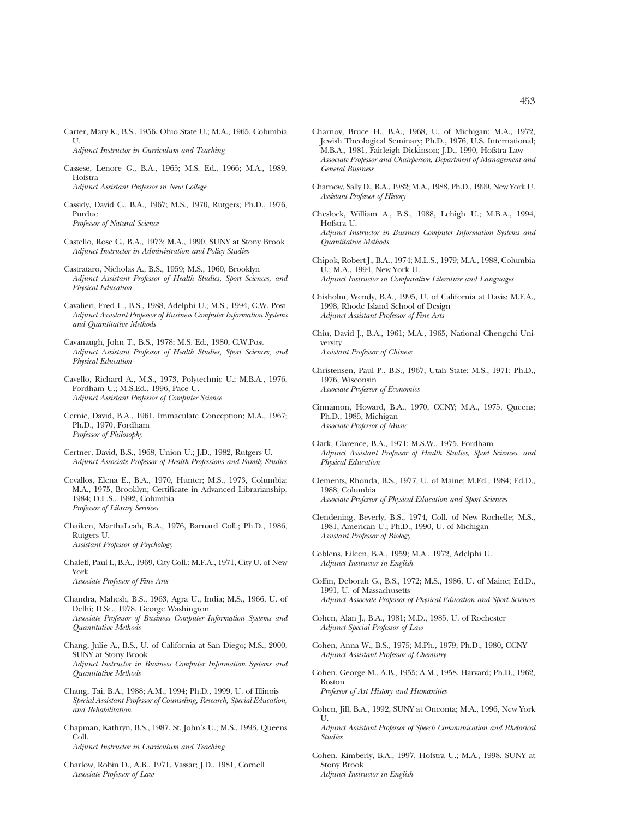- Carter, Mary K., B.S., 1956, Ohio State U.; M.A., 1965, Columbia U. *Adjunct Instructor in Curriculum and Teaching*
- Cassese, Lenore G., B.A., 1965; M.S. Ed., 1966; M.A., 1989, Hofstra *Adjunct Assistant Professor in New College*
- Cassidy, David C., B.A., 1967; M.S., 1970, Rutgers; Ph.D., 1976, Purdue *Professor of Natural Science*
- Castello, Rose C., B.A., 1973; M.A., 1990, SUNY at Stony Brook *Adjunct Instructor in Administration and Policy Studies*
- Castrataro, Nicholas A., B.S., 1959; M.S., 1960, Brooklyn *Adjunct Assistant Professor of Health Studies, Sport Sciences, and Physical Education*
- Cavalieri, Fred L., B.S., 1988, Adelphi U.; M.S., 1994, C.W. Post *Adjunct Assistant Professor of Business Computer Information Systems and Quantitative Methods*
- Cavanaugh, John T., B.S., 1978; M.S. Ed., 1980, C.W.Post *Adjunct Assistant Professor of Health Studies, Sport Sciences, and Physical Education*
- Cavello, Richard A., M.S., 1973, Polytechnic U.; M.B.A., 1976, Fordham U.; M.S.Ed., 1996, Pace U. *Adjunct Assistant Professor of Computer Science*
- Cernic, David, B.A., 1961, Immaculate Conception; M.A., 1967; Ph.D., 1970, Fordham *Professor of Philosophy*
- Certner, David, B.S., 1968, Union U.; J.D., 1982, Rutgers U. *Adjunct Associate Professor of Health Professions and Family Studies*
- Cevallos, Elena E., B.A., 1970, Hunter; M.S., 1973, Columbia; M.A., 1975, Brooklyn; Certificate in Advanced Librarianship, 1984; D.L.S., 1992, Columbia *Professor of Library Services*
- Chaiken, MarthaLeah, B.A., 1976, Barnard Coll.; Ph.D., 1986, Rutgers U. *Assistant Professor of Psychology*
- Chaleff, Paul I., B.A., 1969, City Coll.; M.F.A., 1971, City U. of New York *Associate Professor of Fine Arts*
- Chandra, Mahesh, B.S., 1963, Agra U., India; M.S., 1966, U. of Delhi; D.Sc., 1978, George Washington *Associate Professor of Business Computer Information Systems and Quantitative Methods*
- Chang, Julie A., B.S., U. of California at San Diego; M.S., 2000, SUNY at Stony Brook *Adjunct Instructor in Business Computer Information Systems and Quantitative Methods*
- Chang, Tai, B.A., 1988; A.M., 1994; Ph.D., 1999, U. of Illinois *Special Assistant Professor of Counseling, Research, Special Education, and Rehabilitation*
- Chapman, Kathryn, B.S., 1987, St. John's U.; M.S., 1993, Queens Coll. *Adjunct Instructor in Curriculum and Teaching*
- Charlow, Robin D., A.B., 1971, Vassar; J.D., 1981, Cornell *Associate Professor of Law*
- Charnov, Bruce H., B.A., 1968, U. of Michigan; M.A., 1972, Jewish Theological Seminary; Ph.D., 1976, U.S. International; M.B.A., 1981, Fairleigh Dickinson; J.D., 1990, Hofstra Law *Associate Professor and Chairperson, Department of Management and General Business*
- Charnow, Sally D., B.A., 1982; M.A., 1988, Ph.D., 1999, New York U. *Assistant Professor of History*
- Cheslock, William A., B.S., 1988, Lehigh U.; M.B.A., 1994, Hofstra U. *Adjunct Instructor in Business Computer Information Systems and Quantitative Methods*
- Chipok, Robert J., B.A., 1974; M.L.S., 1979; M.A., 1988, Columbia U.; M.A., 1994, New York U. *Adjunct Instructor in Comparative Literature and Languages*
- Chisholm, Wendy, B.A., 1995, U. of California at Davis; M.F.A., 1998, Rhode Island School of Design *Adjunct Assistant Professor of Fine Arts*
- Chiu, David J., B.A., 1961; M.A., 1965, National Chengchi University *Assistant Professor of Chinese*
- Christensen, Paul P., B.S., 1967, Utah State; M.S., 1971; Ph.D., 1976, Wisconsin *Associate Professor of Economics*
- Cinnamon, Howard, B.A., 1970, CCNY; M.A., 1975, Queens; Ph.D., 1985, Michigan *Associate Professor of Music*
- Clark, Clarence, B.A., 1971; M.S.W., 1975, Fordham *Adjunct Assistant Professor of Health Studies, Sport Sciences, and Physical Education*
- Clements, Rhonda, B.S., 1977, U. of Maine; M.Ed., 1984; Ed.D., 1988, Columbia *Associate Professor of Physical Education and Sport Sciences*
- Clendening, Beverly, B.S., 1974, Coll. of New Rochelle; M.S., 1981, American U.; Ph.D., 1990, U. of Michigan *Assistant Professor of Biology*
- Coblens, Eileen, B.A., 1959; M.A., 1972, Adelphi U. *Adjunct Instructor in English*
- Coffin, Deborah G., B.S., 1972; M.S., 1986, U. of Maine; Ed.D., 1991, U. of Massachusetts *Adjunct Associate Professor of Physical Education and Sport Sciences*
- Cohen, Alan J., B.A., 1981; M.D., 1985, U. of Rochester *Adjunct Special Professor of Law*
- Cohen, Anna W., B.S., 1975; M.Ph., 1979; Ph.D., 1980, CCNY *Adjunct Assistant Professor of Chemistry*
- Cohen, George M., A.B., 1955; A.M., 1958, Harvard; Ph.D., 1962, Boston *Professor of Art History and Humanities*
- Cohen, Jill, B.A., 1992, SUNY at Oneonta; M.A., 1996, New York  $U$

*Adjunct Assistant Professor of Speech Communication and Rhetorical Studies*

Cohen, Kimberly, B.A., 1997, Hofstra U.; M.A., 1998, SUNY at Stony Brook *Adjunct Instructor in English*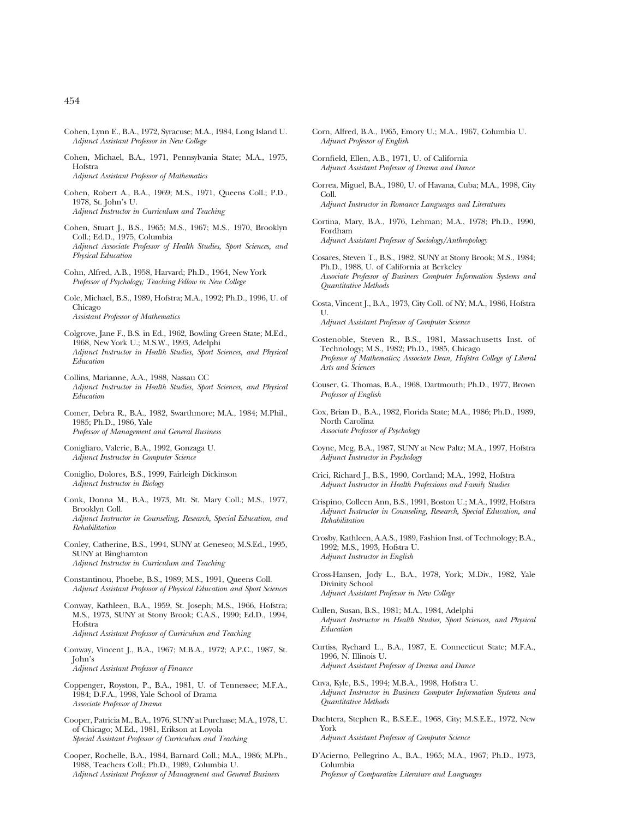- Cohen, Lynn E., B.A., 1972, Syracuse; M.A., 1984, Long Island U. *Adjunct Assistant Professor in New College*
- Cohen, Michael, B.A., 1971, Pennsylvania State; M.A., 1975, Hofstra *Adjunct Assistant Professor of Mathematics*
- Cohen, Robert A., B.A., 1969; M.S., 1971, Queens Coll.; P.D., 1978, St. John's U. *Adjunct Instructor in Curriculum and Teaching*
- Cohen, Stuart J., B.S., 1965; M.S., 1967; M.S., 1970, Brooklyn Coll.; Ed.D., 1975, Columbia *Adjunct Associate Professor of Health Studies, Sport Sciences, and Physical Education*
- Cohn, Alfred, A.B., 1958, Harvard; Ph.D., 1964, New York *Professor of Psychology; Teaching Fellow in New College*
- Cole, Michael, B.S., 1989, Hofstra; M.A., 1992; Ph.D., 1996, U. of Chicago *Assistant Professor of Mathematics*
- Colgrove, Jane F., B.S. in Ed., 1962, Bowling Green State; M.Ed., 1968, New York U.; M.S.W., 1993, Adelphi *Adjunct Instructor in Health Studies, Sport Sciences, and Physical Education*
- Collins, Marianne, A.A., 1988, Nassau CC *Adjunct Instructor in Health Studies, Sport Sciences, and Physical Education*
- Comer, Debra R., B.A., 1982, Swarthmore; M.A., 1984; M.Phil., 1985; Ph.D., 1986, Yale *Professor of Management and General Business*
- Conigliaro, Valerie, B.A., 1992, Gonzaga U. *Adjunct Instructor in Computer Science*
- Coniglio, Dolores, B.S., 1999, Fairleigh Dickinson *Adjunct Instructor in Biology*
- Conk, Donna M., B.A., 1973, Mt. St. Mary Coll.; M.S., 1977, Brooklyn Coll. *Adjunct Instructor in Counseling, Research, Special Education, and Rehabilitation*
- Conley, Catherine, B.S., 1994, SUNY at Geneseo; M.S.Ed., 1995, SUNY at Binghamton *Adjunct Instructor in Curriculum and Teaching*
- Constantinou, Phoebe, B.S., 1989; M.S., 1991, Queens Coll. *Adjunct Assistant Professor of Physical Education and Sport Sciences*
- Conway, Kathleen, B.A., 1959, St. Joseph; M.S., 1966, Hofstra; M.S., 1973, SUNY at Stony Brook; C.A.S., 1990; Ed.D., 1994, Hofstra *Adjunct Assistant Professor of Curriculum and Teaching*
- Conway, Vincent J., B.A., 1967; M.B.A., 1972; A.P.C., 1987, St. John's *Adjunct Assistant Professor of Finance*
- Coppenger, Royston, P., B.A., 1981, U. of Tennessee; M.F.A., 1984; D.F.A., 1998, Yale School of Drama *Associate Professor of Drama*
- Cooper, Patricia M., B.A., 1976, SUNY at Purchase; M.A., 1978, U. of Chicago; M.Ed., 1981, Erikson at Loyola *Special Assistant Professor of Curriculum and Teaching*
- Cooper, Rochelle, B.A., 1984, Barnard Coll.; M.A., 1986; M.Ph., 1988, Teachers Coll.; Ph.D., 1989, Columbia U. *Adjunct Assistant Professor of Management and General Business*
- Corn, Alfred, B.A., 1965, Emory U.; M.A., 1967, Columbia U. *Adjunct Professor of English*
- Cornfield, Ellen, A.B., 1971, U. of California *Adjunct Assistant Professor of Drama and Dance*
- Correa, Miguel, B.A., 1980, U. of Havana, Cuba; M.A., 1998, City Coll. *Adjunct Instructor in Romance Languages and Literatures*
- Cortina, Mary, B.A., 1976, Lehman; M.A., 1978; Ph.D., 1990, Fordham *Adjunct Assistant Professor of Sociology/Anthropology*
- Cosares, Steven T., B.S., 1982, SUNY at Stony Brook; M.S., 1984; Ph.D., 1988, U. of California at Berkeley *Associate Professor of Business Computer Information Systems and Quantitative Methods*
- Costa, Vincent J., B.A., 1973, City Coll. of NY; M.A., 1986, Hofstra U. *Adjunct Assistant Professor of Computer Science*
- Costenoble, Steven R., B.S., 1981, Massachusetts Inst. of Technology; M.S., 1982; Ph.D., 1985, Chicago *Professor of Mathematics; Associate Dean, Hofstra College of Liberal Arts and Sciences*
- Couser, G. Thomas, B.A., 1968, Dartmouth; Ph.D., 1977, Brown *Professor of English*
- Cox, Brian D., B.A., 1982, Florida State; M.A., 1986; Ph.D., 1989, North Carolina *Associate Professor of Psychology*
- Coyne, Meg, B.A., 1987, SUNY at New Paltz; M.A., 1997, Hofstra *Adjunct Instructor in Psychology*
- Crici, Richard J., B.S., 1990, Cortland; M.A., 1992, Hofstra *Adjunct Instructor in Health Professions and Family Studies*
- Crispino, Colleen Ann, B.S., 1991, Boston U.; M.A., 1992, Hofstra *Adjunct Instructor in Counseling, Research, Special Education, and Rehabilitation*
- Crosby, Kathleen, A.A.S., 1989, Fashion Inst. of Technology; B.A., 1992; M.S., 1993, Hofstra U. *Adjunct Instructor in English*
- Cross-Hansen, Jody L., B.A., 1978, York; M.Div., 1982, Yale Divinity School *Adjunct Assistant Professor in New College*
- Cullen, Susan, B.S., 1981; M.A., 1984, Adelphi *Adjunct Instructor in Health Studies, Sport Sciences, and Physical Education*
- Curtiss, Rychard L., B.A., 1987, E. Connecticut State; M.F.A., 1996, N. Illinois U. *Adjunct Assistant Professor of Drama and Dance*
- Cuva, Kyle, B.S., 1994; M.B.A., 1998, Hofstra U. *Adjunct Instructor in Business Computer Information Systems and Quantitative Methods*
- Dachtera, Stephen R., B.S.E.E., 1968, City; M.S.E.E., 1972, New York *Adjunct Assistant Professor of Computer Science*
- D'Acierno, Pellegrino A., B.A., 1965; M.A., 1967; Ph.D., 1973, Columbia *Professor of Comparative Literature and Languages*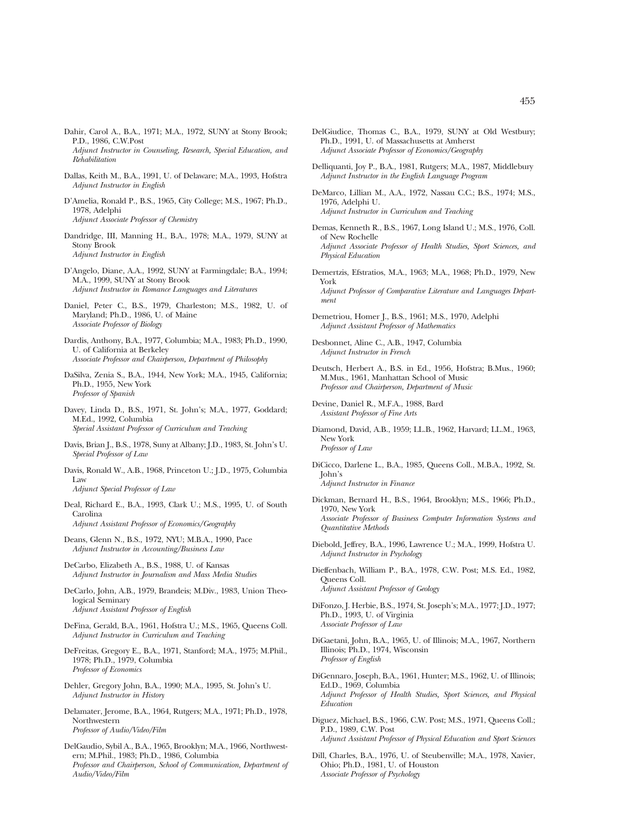- Dahir, Carol A., B.A., 1971; M.A., 1972, SUNY at Stony Brook; P.D., 1986, C.W.Post *Adjunct Instructor in Counseling, Research, Special Education, and Rehabilitation*
- Dallas, Keith M., B.A., 1991, U. of Delaware; M.A., 1993, Hofstra *Adjunct Instructor in English*
- D'Amelia, Ronald P., B.S., 1965, City College; M.S., 1967; Ph.D., 1978, Adelphi *Adjunct Associate Professor of Chemistry*
- Dandridge, III, Manning H., B.A., 1978; M.A., 1979, SUNY at Stony Brook *Adjunct Instructor in English*
- D'Angelo, Diane, A.A., 1992, SUNY at Farmingdale; B.A., 1994; M.A., 1999, SUNY at Stony Brook *Adjunct Instructor in Romance Languages and Literatures*
- Daniel, Peter C., B.S., 1979, Charleston; M.S., 1982, U. of Maryland; Ph.D., 1986, U. of Maine *Associate Professor of Biology*
- Dardis, Anthony, B.A., 1977, Columbia; M.A., 1983; Ph.D., 1990, U. of California at Berkeley *Associate Professor and Chairperson, Department of Philosophy*
- DaSilva, Zenia S., B.A., 1944, New York; M.A., 1945, California; Ph.D., 1955, New York *Professor of Spanish*
- Davey, Linda D., B.S., 1971, St. John's; M.A., 1977, Goddard; M.Ed., 1992, Columbia *Special Assistant Professor of Curriculum and Teaching*
- Davis, Brian J., B.S., 1978, Suny at Albany; J.D., 1983, St. John's U. *Special Professor of Law*
- Davis, Ronald W., A.B., 1968, Princeton U.; J.D., 1975, Columbia Law *Adjunct Special Professor of Law*
- Deal, Richard E., B.A., 1993, Clark U.; M.S., 1995, U. of South Carolina *Adjunct Assistant Professor of Economics/Geography*
- Deans, Glenn N., B.S., 1972, NYU; M.B.A., 1990, Pace *Adjunct Instructor in Accounting/Business Law*
- DeCarbo, Elizabeth A., B.S., 1988, U. of Kansas *Adjunct Instructor in Journalism and Mass Media Studies*
- DeCarlo, John, A.B., 1979, Brandeis; M.Div., 1983, Union Theological Seminary *Adjunct Assistant Professor of English*
- DeFina, Gerald, B.A., 1961, Hofstra U.; M.S., 1965, Queens Coll. *Adjunct Instructor in Curriculum and Teaching*
- DeFreitas, Gregory E., B.A., 1971, Stanford; M.A., 1975; M.Phil., 1978; Ph.D., 1979, Columbia *Professor of Economics*
- Dehler, Gregory John, B.A., 1990; M.A., 1995, St. John's U. *Adjunct Instructor in History*
- Delamater, Jerome, B.A., 1964, Rutgers; M.A., 1971; Ph.D., 1978, Northwestern *Professor of Audio/Video/Film*
- DelGaudio, Sybil A., B.A., 1965, Brooklyn; M.A., 1966, Northwestern; M.Phil., 1983; Ph.D., 1986, Columbia *Professor and Chairperson, School of Communication, Department of Audio/Video/Film*
- DelGiudice, Thomas C., B.A., 1979, SUNY at Old Westbury; Ph.D., 1991, U. of Massachusetts at Amherst *Adjunct Associate Professor of Economics/Geography*
- Delliquanti, Joy P., B.A., 1981, Rutgers; M.A., 1987, Middlebury *Adjunct Instructor in the English Language Program*
- DeMarco, Lillian M., A.A., 1972, Nassau C.C.; B.S., 1974; M.S., 1976, Adelphi U. *Adjunct Instructor in Curriculum and Teaching*
- Demas, Kenneth R., B.S., 1967, Long Island U.; M.S., 1976, Coll. of New Rochelle *Adjunct Associate Professor of Health Studies, Sport Sciences, and Physical Education*
- Demertzis, Efstratios, M.A., 1963; M.A., 1968; Ph.D., 1979, New York *Adjunct Professor of Comparative Literature and Languages Department*
- Demetriou, Homer J., B.S., 1961; M.S., 1970, Adelphi *Adjunct Assistant Professor of Mathematics*
- Desbonnet, Aline C., A.B., 1947, Columbia *Adjunct Instructor in French*
- Deutsch, Herbert A., B.S. in Ed., 1956, Hofstra; B.Mus., 1960; M.Mus., 1961, Manhattan School of Music *Professor and Chairperson, Department of Music*
- Devine, Daniel R., M.F.A., 1988, Bard *Assistant Professor of Fine Arts*
- Diamond, David, A.B., 1959; LL.B., 1962, Harvard; LL.M., 1963, New York *Professor of Law*
- DiCicco, Darlene L., B.A., 1985, Queens Coll., M.B.A., 1992, St. John's *Adjunct Instructor in Finance*
- Dickman, Bernard H., B.S., 1964, Brooklyn; M.S., 1966; Ph.D., 1970, New York *Associate Professor of Business Computer Information Systems and Quantitative Methods*
- Diebold, Jeffrey, B.A., 1996, Lawrence U.; M.A., 1999, Hofstra U. *Adjunct Instructor in Psychology*
- Dieffenbach, William P., B.A., 1978, C.W. Post; M.S. Ed., 1982, Queens Coll. *Adjunct Assistant Professor of Geology*
- DiFonzo, J. Herbie, B.S., 1974, St. Joseph's; M.A., 1977; J.D., 1977; Ph.D., 1993, U. of Virginia *Associate Professor of Law*
- DiGaetani, John, B.A., 1965, U. of Illinois; M.A., 1967, Northern Illinois; Ph.D., 1974, Wisconsin *Professor of English*
- DiGennaro, Joseph, B.A., 1961, Hunter; M.S., 1962, U. of Illinois; Ed.D., 1969, Columbia *Adjunct Professor of Health Studies, Sport Sciences, and Physical Education*
- Diguez, Michael, B.S., 1966, C.W. Post; M.S., 1971, Queens Coll.; P.D., 1989, C.W. Post *Adjunct Assistant Professor of Physical Education and Sport Sciences*
- Dill, Charles, B.A., 1976, U. of Steubenville; M.A., 1978, Xavier, Ohio; Ph.D., 1981, U. of Houston *Associate Professor of Psychology*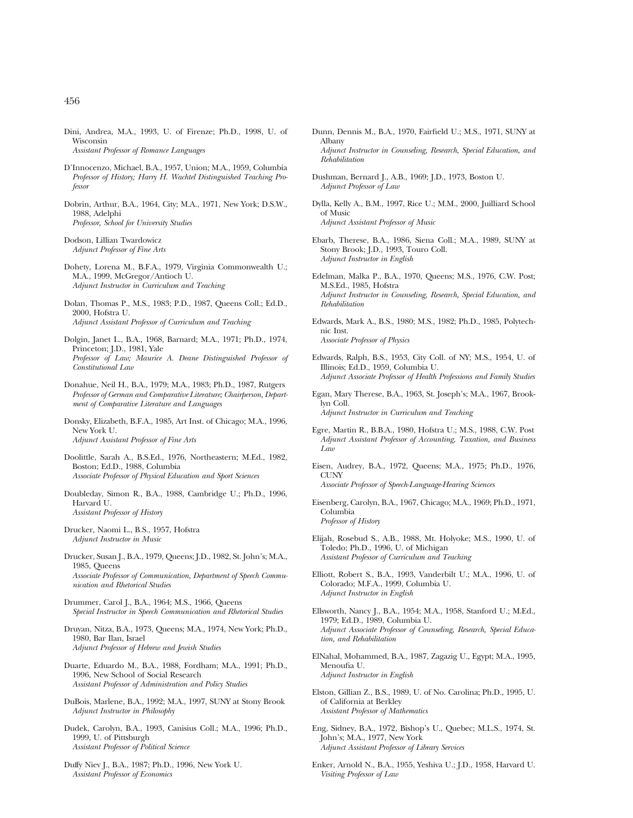- Dini, Andrea, M.A., 1993, U. of Firenze; Ph.D., 1998, U. of Wisconsin *Assistant Professor of Romance Languages*
- D'Innocenzo, Michael, B.A., 1957, Union; M.A., 1959, Columbia *Professor of History; Harry H. Wachtel Distinguished Teaching Professor*
- Dobrin, Arthur, B.A., 1964, City; M.A., 1971, New York; D.S.W., 1988, Adelphi *Professor, School for University Studies*

Dodson, Lillian Twardowicz *Adjunct Professor of Fine Arts*

- Dohety, Lorena M., B.F.A., 1979, Virginia Commonwealth U.; M.A., 1999, McGregor/Antioch U. *Adjunct Instructor in Curriculum and Teaching*
- Dolan, Thomas P., M.S., 1983; P.D., 1987, Queens Coll.; Ed.D., 2000, Hofstra U. *Adjunct Assistant Professor of Curriculum and Teaching*
- Dolgin, Janet L., B.A., 1968, Barnard; M.A., 1971; Ph.D., 1974, Princeton; J.D., 1981, Yale *Professor of Law; Maurice A. Deane Distinguished Professor of Constitutional Law*
- Donahue, Neil H., B.A., 1979; M.A., 1983; Ph.D., 1987, Rutgers *Professor of German and Comparative Literature; Chairperson, Department of Comparative Literature and Languages*
- Donsky, Elizabeth, B.F.A., 1985, Art Inst. of Chicago; M.A., 1996, New York U. *Adjunct Assistant Professor of Fine Arts*
- Doolittle, Sarah A., B.S.Ed., 1976, Northeastern; M.Ed., 1982, Boston; Ed.D., 1988, Columbia *Associate Professor of Physical Education and Sport Sciences*
- Doubleday, Simon R., B.A., 1988, Cambridge U.; Ph.D., 1996, Harvard U. *Assistant Professor of History*
- Drucker, Naomi L., B.S., 1957, Hofstra *Adjunct Instructor in Music*

Drucker, Susan J., B.A., 1979, Queens; J.D., 1982, St. John's; M.A., 1985, Queens *Associate Professor of Communication, Department of Speech Communication and Rhetorical Studies*

- Drummer, Carol J., B.A., 1964; M.S., 1966, Queens *Special Instructor in Speech Communication and Rhetorical Studies*
- Druyan, Nitza, B.A., 1973, Queens; M.A., 1974, New York; Ph.D., 1980, Bar Ilan, Israel *Adjunct Professor of Hebrew and Jewish Studies*
- Duarte, Eduardo M., B.A., 1988, Fordham; M.A., 1991; Ph.D., 1996, New School of Social Research *Assistant Professor of Administration and Policy Studies*
- DuBois, Marlene, B.A., 1992; M.A., 1997, SUNY at Stony Brook *Adjunct Instructor in Philosophy*
- Dudek, Carolyn, B.A., 1993, Canisius Coll.; M.A., 1996; Ph.D., 1999, U. of Pittsburgh *Assistant Professor of Political Science*
- Duffy Niev J., B.A., 1987; Ph.D., 1996, New York U. *Assistant Professor of Economics*
- Dunn, Dennis M., B.A., 1970, Fairfield U.; M.S., 1971, SUNY at Albany *Adjunct Instructor in Counseling, Research, Special Education, and Rehabilitation*
- Dushman, Bernard J., A.B., 1969; J.D., 1973, Boston U. *Adjunct Professor of Law*
- Dylla, Kelly A., B.M., 1997, Rice U.; M.M., 2000, Juilliard School of Music *Adjunct Assistant Professor of Music*
- Ebarb, Therese, B.A., 1986, Siena Coll.; M.A., 1989, SUNY at Stony Brook; J.D., 1993, Touro Coll. *Adjunct Instructor in English*
- Edelman, Malka P., B.A., 1970, Queens; M.S., 1976, C.W. Post; M.S.Ed., 1985, Hofstra *Adjunct Instructor in Counseling, Research, Special Education, and Rehabilitation*
- Edwards, Mark A., B.S., 1980; M.S., 1982; Ph.D., 1985, Polytechnic Inst. *Associate Professor of Physics*
- Edwards, Ralph, B.S., 1953, City Coll. of NY; M.S., 1954, U. of Illinois; Ed.D., 1959, Columbia U. *Adjunct Associate Professor of Health Professions and Family Studies*
- Egan, Mary Therese, B.A., 1963, St. Joseph's; M.A., 1967, Brooklyn Coll. *Adjunct Instructor in Curriculum and Teaching*
- Egre, Martin R., B.B.A., 1980, Hofstra U.; M.S., 1988, C.W. Post *Adjunct Assistant Professor of Accounting, Taxation, and Business Law*
- Eisen, Audrey, B.A., 1972, Queens; M.A., 1975; Ph.D., 1976, **CUNY** *Associate Professor of Speech-Language-Hearing Sciences*
- Eisenberg, Carolyn, B.A., 1967, Chicago; M.A., 1969; Ph.D., 1971, Columbia *Professor of History*
- Elijah, Rosebud S., A.B., 1988, Mt. Holyoke; M.S., 1990, U. of Toledo; Ph.D., 1996, U. of Michigan *Assistant Professor of Curriculum and Teaching*
- Elliott, Robert S., B.A., 1993, Vanderbilt U.; M.A., 1996, U. of Colorado; M.F.A., 1999, Columbia U. *Adjunct Instructor in English*
- Ellsworth, Nancy J., B.A., 1954; M.A., 1958, Stanford U.; M.Ed., 1979; Ed.D., 1989, Columbia U. *Adjunct Associate Professor of Counseling, Research, Special Education, and Rehabilitation*
- ElNahal, Mohammed, B.A., 1987, Zagazig U., Egypt; M.A., 1995, Menoufia U. *Adjunct Instructor in English*
- Elston, Gillian Z., B.S., 1989, U. of No. Carolina; Ph.D., 1995, U. of California at Berkley *Assistant Professor of Mathematics*
- Eng, Sidney, B.A., 1972, Bishop's U., Quebec; M.L.S., 1974, St. John's; M.A., 1977, New York *Adjunct Assistant Professor of Library Services*
- Enker, Arnold N., B.A., 1955, Yeshiva U.; J.D., 1958, Harvard U. *Visiting Professor of Law*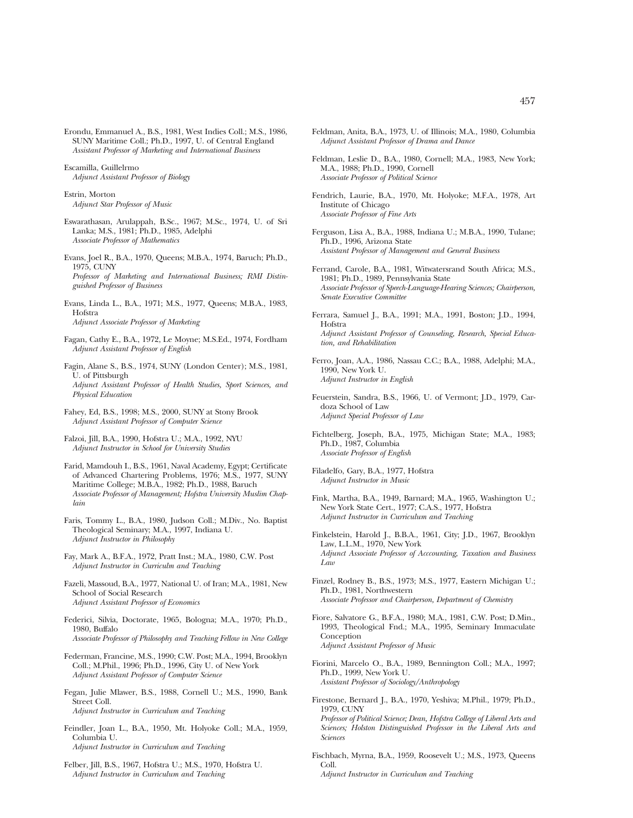Erondu, Emmanuel A., B.S., 1981, West Indies Coll.; M.S., 1986, SUNY Maritime Coll.; Ph.D., 1997, U. of Central England *Assistant Professor of Marketing and International Business*

Escamilla, Guillelrmo *Adjunct Assistant Professor of Biology*

Estrin, Morton *Adjunct Star Professor of Music*

Eswarathasan, Arulappah, B.Sc., 1967; M.Sc., 1974, U. of Sri Lanka; M.S., 1981; Ph.D., 1985, Adelphi *Associate Professor of Mathematics*

Evans, Joel R., B.A., 1970, Queens; M.B.A., 1974, Baruch; Ph.D., 1975, CUNY *Professor of Marketing and International Business; RMI Distinguished Professor of Business*

Evans, Linda L., B.A., 1971; M.S., 1977, Queens; M.B.A., 1983, **Hofstra** *Adjunct Associate Professor of Marketing*

Fagan, Cathy E., B.A., 1972, Le Moyne; M.S.Ed., 1974, Fordham *Adjunct Assistant Professor of English*

Fagin, Alane S., B.S., 1974, SUNY (London Center); M.S., 1981, U. of Pittsburgh *Adjunct Assistant Professor of Health Studies, Sport Sciences, and Physical Education*

Fahey, Ed, B.S., 1998; M.S., 2000, SUNY at Stony Brook *Adjunct Assistant Professor of Computer Science*

Falzoi, Jill, B.A., 1990, Hofstra U.; M.A., 1992, NYU *Adjunct Instructor in School for University Studies*

Farid, Mamdouh I., B.S., 1961, Naval Academy, Egypt; Certificate of Advanced Chartering Problems, 1976; M.S., 1977, SUNY Maritime College; M.B.A., 1982; Ph.D., 1988, Baruch *Associate Professor of Management; Hofstra University Muslim Chaplain*

Faris, Tommy L., B.A., 1980, Judson Coll.; M.Div., No. Baptist Theological Seminary; M.A., 1997, Indiana U. *Adjunct Instructor in Philosophy*

Fay, Mark A., B.F.A., 1972, Pratt Inst.; M.A., 1980, C.W. Post *Adjunct Instructor in Curriculm and Teaching*

Fazeli, Massoud, B.A., 1977, National U. of Iran; M.A., 1981, New School of Social Research *Adjunct Assistant Professor of Economics*

Federici, Silvia, Doctorate, 1965, Bologna; M.A., 1970; Ph.D., 1980, Buffalo *Associate Professor of Philosophy and Teaching Fellow in New College*

- Federman, Francine, M.S., 1990; C.W. Post; M.A., 1994, Brooklyn Coll.; M.Phil., 1996; Ph.D., 1996, City U. of New York *Adjunct Assistant Professor of Computer Science*
- Fegan, Julie Mlawer, B.S., 1988, Cornell U.; M.S., 1990, Bank Street Coll. *Adjunct Instructor in Curriculum and Teaching*

Feindler, Joan L., B.A., 1950, Mt. Holyoke Coll.; M.A., 1959, Columbia U. *Adjunct Instructor in Curriculum and Teaching*

Felber, Jill, B.S., 1967, Hofstra U.; M.S., 1970, Hofstra U. *Adjunct Instructor in Curriculum and Teaching*

Feldman, Anita, B.A., 1973, U. of Illinois; M.A., 1980, Columbia *Adjunct Assistant Professor of Drama and Dance*

- Feldman, Leslie D., B.A., 1980, Cornell; M.A., 1983, New York; M.A., 1988; Ph.D., 1990, Cornell *Associate Professor of Political Science*
- Fendrich, Laurie, B.A., 1970, Mt. Holyoke; M.F.A., 1978, Art Institute of Chicago *Associate Professor of Fine Arts*
- Ferguson, Lisa A., B.A., 1988, Indiana U.; M.B.A., 1990, Tulane; Ph.D., 1996, Arizona State *Assistant Professor of Management and General Business*
- Ferrand, Carole, B.A., 1981, Witwatersrand South Africa; M.S., 1981; Ph.D., 1989, Pennsylvania State *Associate Professor of Speech-Language-Hearing Sciences; Chairperson, Senate Executive Committee*
- Ferrara, Samuel J., B.A., 1991; M.A., 1991, Boston; J.D., 1994, Hofstra *Adjunct Assistant Professor of Counseling, Research, Special Education, and Rehabilitation*

Ferro, Joan, A.A., 1986, Nassau C.C.; B.A., 1988, Adelphi; M.A., 1990, New York U. *Adjunct Instructor in English*

- Feuerstein, Sandra, B.S., 1966, U. of Vermont; J.D., 1979, Cardoza School of Law *Adjunct Special Professor of Law*
- Fichtelberg, Joseph, B.A., 1975, Michigan State; M.A., 1983; Ph.D., 1987, Columbia *Associate Professor of English*

Filadelfo, Gary, B.A., 1977, Hofstra *Adjunct Instructor in Music*

Fink, Martha, B.A., 1949, Barnard; M.A., 1965, Washington U.; New York State Cert., 1977; C.A.S., 1977, Hofstra *Adjunct Instructor in Curriculum and Teaching*

Finkelstein, Harold J., B.B.A., 1961, City; J.D., 1967, Brooklyn Law, L.L.M., 1970, New York *Adjunct Associate Professor of Acccounting, Taxation and Business Law*

- Finzel, Rodney B., B.S., 1973; M.S., 1977, Eastern Michigan U.; Ph.D., 1981, Northwestern *Associate Professor and Chairperson, Department of Chemistry*
- Fiore, Salvatore G., B.F.A., 1980; M.A., 1981, C.W. Post; D.Min., 1993, Theological Fnd.; M.A., 1995, Seminary Immaculate **Conception** *Adjunct Assistant Professor of Music*
- Fiorini, Marcelo O., B.A., 1989, Bennington Coll.; M.A., 1997; Ph.D., 1999, New York U. *Assistant Professor of Sociology/Anthropology*
- Firestone, Bernard J., B.A., 1970, Yeshiva; M.Phil., 1979; Ph.D., 1979, CUNY *Professor of Political Science; Dean, Hofstra College of Liberal Arts and Sciences; Holston Distinguished Professor in the Liberal Arts and Sciences*
- Fischbach, Myrna, B.A., 1959, Roosevelt U.; M.S., 1973, Queens Coll.

*Adjunct Instructor in Curriculum and Teaching*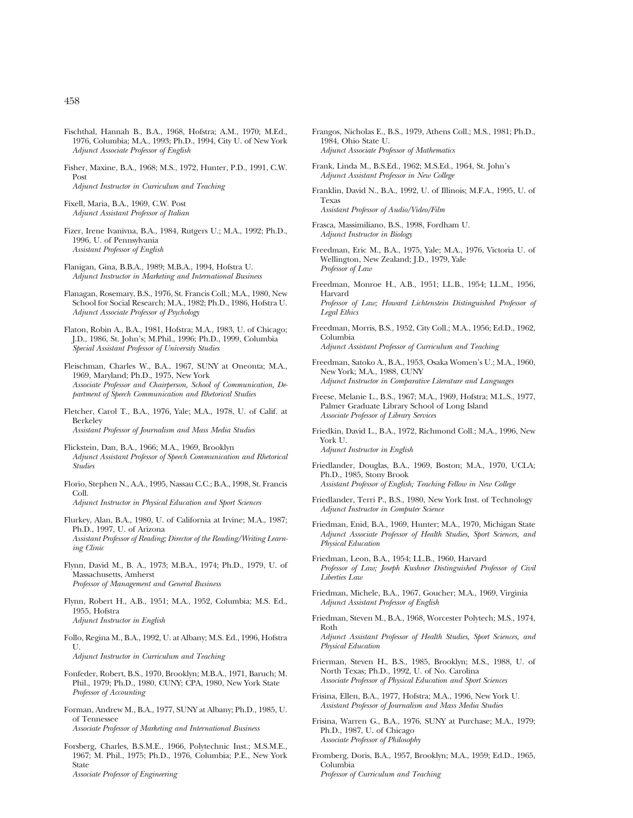- Fischthal, Hannah B., B.A., 1968, Hofstra; A.M., 1970; M.Ed., 1976, Columbia; M.A., 1993; Ph.D., 1994, City U. of New York *Adjunct Associate Professor of English*
- Fisher, Maxine, B.A., 1968; M.S., 1972, Hunter, P.D., 1991, C.W. Post *Adjunct Instructor in Curriculum and Teaching*

Fixell, Maria, B.A., 1969, C.W. Post *Adjunct Assistant Professor of Italian*

- Fizer, Irene Ivanivna, B.A., 1984, Rutgers U.; M.A., 1992; Ph.D., 1996, U. of Pennsylvania *Assistant Professor of English*
- Flanigan, Gina, B.B.A., 1989; M.B.A., 1994, Hofstra U. *Adjunct Instructor in Marketing and International Business*
- Flanagan, Rosemary, B.S., 1976, St. Francis Coll.; M.A., 1980, New School for Social Research; M.A., 1982; Ph.D., 1986, Hofstra U. *Adjunct Associate Professor of Psychology*
- Flaton, Robin A., B.A., 1981, Hofstra; M.A., 1983, U. of Chicago; J.D., 1986, St. John's; M.Phil., 1996; Ph.D., 1999, Columbia *Special Assistant Professor of University Studies*
- Fleischman, Charles W., B.A., 1967, SUNY at Oneonta; M.A., 1969, Maryland; Ph.D., 1975, New York *Associate Professor and Chairperson, School of Communication, Department of Speech Communication and Rhetorical Studies*
- Fletcher, Carol T., B.A., 1976, Yale; M.A., 1978, U. of Calif. at Berkeley *Assistant Professor of Journalism and Mass Media Studies*
- Flickstein, Dan, B.A., 1966; M.A., 1969, Brooklyn *Adjunct Assistant Professor of Speech Communication and Rhetorical Studies*
- Florio, Stephen N., A.A., 1995, Nassau C.C.; B.A., 1998, St. Francis Coll. *Adjunct Instructor in Physical Education and Sport Sciences*
- 
- Flurkey, Alan, B.A., 1980, U. of California at Irvine; M.A., 1987; Ph.D., 1997, U. of Arizona *Assistant Professor of Reading; Director of the Reading/Writing Learning Clinic*
- Flynn, David M., B. A., 1973; M.B.A., 1974; Ph.D., 1979, U. of Massachusetts, Amherst *Professor of Management and General Business*
- Flynn, Robert H., A.B., 1951; M.A., 1952, Columbia; M.S. Ed., 1955, Hofstra *Adjunct Instructor in English*
- Follo, Regina M., B.A., 1992, U. at Albany; M.S. Ed., 1996, Hofstra U.

*Adjunct Instructor in Curriculum and Teaching*

- Fonfeder, Robert, B.S., 1970, Brooklyn; M.B.A., 1971, Baruch; M. Phil., 1979; Ph.D., 1980, CUNY; CPA, 1980, New York State *Professor of Accounting*
- Forman, Andrew M., B.A., 1977, SUNY at Albany; Ph.D., 1985, U. of Tennessee *Associate Professor of Marketing and International Business*

Forsberg, Charles, B.S.M.E., 1966, Polytechnic Inst.; M.S.M.E., 1967; M. Phil., 1975; Ph.D., 1976, Columbia; P.E., New York State *Associate Professor of Engineering*

- Frangos, Nicholas E., B.S., 1979, Athens Coll.; M.S., 1981; Ph.D., 1984, Ohio State U. *Adjunct Associate Professor of Mathematics*
- Frank, Linda M., B.S.Ed., 1962; M.S.Ed., 1964, St. John's *Adjunct Assistant Professor in New College*
- Franklin, David N., B.A., 1992, U. of Illinois; M.F.A., 1995, U. of Texas *Assistant Professor of Audio/Video/Film*
- Frasca, Massimiliano, B.S., 1998, Fordham U. *Adjunct Instructor in Biology*
- Freedman, Eric M., B.A., 1975, Yale; M.A., 1976, Victoria U. of Wellington, New Zealand; J.D., 1979, Yale *Professor of Law*
- Freedman, Monroe H., A.B., 1951; LL.B., 1954; LL.M., 1956, Harvard *Professor of Law; Howard Lichtenstein Distinguished Professor of Legal Ethics*
- Freedman, Morris, B.S., 1952, City Coll.; M.A., 1956; Ed.D., 1962, Columbia *Adjunct Assistant Professor of Curriculum and Teaching*
- Freedman, Satoko A., B.A., 1953, Osaka Women's U.; M.A., 1960, New York; M.A., 1988, CUNY *Adjunct Instructor in Comparative Literature and Languages*
- Freese, Melanie L., B.S., 1967; M.A., 1969, Hofstra; M.L.S., 1977, Palmer Graduate Library School of Long Island *Associate Professor of Library Services*
- Friedkin, David L., B.A., 1972, Richmond Coll.; M.A., 1996, New York U. *Adjunct Instructor in English*
- Friedlander, Douglas, B.A., 1969, Boston; M.A., 1970, UCLA; Ph.D., 1985, Stony Brook *Assistant Professor of English; Teaching Fellow in New College*
- Friedlander, Terri P., B.S., 1980, New York Inst. of Technology *Adjunct Instructor in Computer Science*
- Friedman, Enid, B.A., 1969, Hunter; M.A., 1970, Michigan State *Adjunct Associate Professor of Health Studies, Sport Sciences, and Physical Education*
- Friedman, Leon, B.A., 1954; LL.B., 1960, Harvard *Professor of Law; Joseph Kushner Distinguished Professor of Civil Liberties Law*
- Friedman, Michele, B.A., 1967, Goucher; M.A., 1969, Virginia *Adjunct Assistant Professor of English*
- Friedman, Steven M., B.A., 1968, Worcester Polytech; M.S., 1974, Roth *Adjunct Assistant Professor of Health Studies, Sport Sciences, and Physical Education*
- Frierman, Steven H., B.S., 1985, Brooklyn; M.S., 1988, U. of North Texas; Ph.D., 1992, U. of No. Carolina *Associate Professor of Physical Education and Sport Sciences*
- Frisina, Ellen, B.A., 1977, Hofstra; M.A., 1996, New York U. *Assistant Professor of Journalism and Mass Media Studies*
- Frisina, Warren G., B.A., 1976, SUNY at Purchase; M.A., 1979; Ph.D., 1987, U. of Chicago *Associate Professor of Philosophy*
- Fromberg, Doris, B.A., 1957, Brooklyn; M.A., 1959; Ed.D., 1965, Columbia *Professor of Curriculum and Teaching*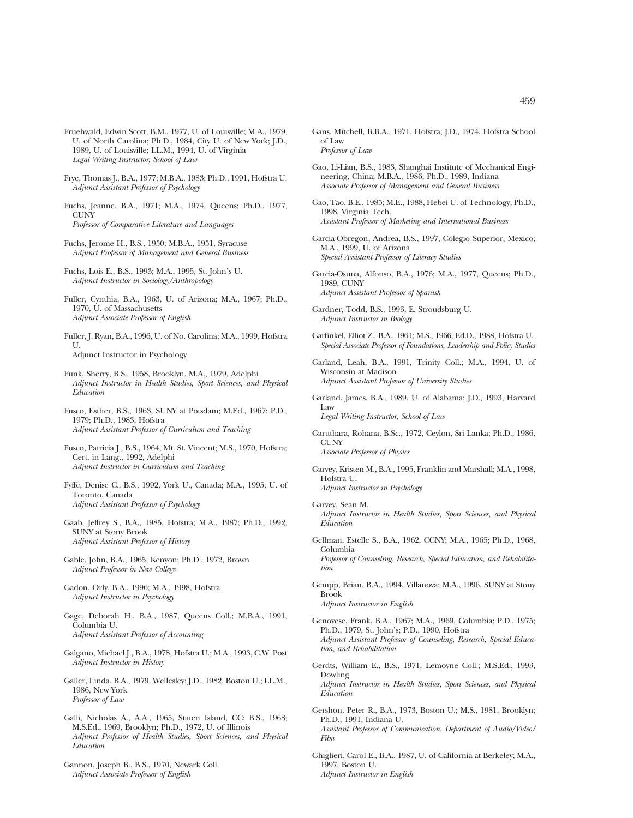- Fruehwald, Edwin Scott, B.M., 1977, U. of Louisville; M.A., 1979, U. of North Carolina; Ph.D., 1984, City U. of New York; J.D., 1989, U. of Louisville; LL.M., 1994, U. of Virginia *Legal Writing Instructor, School of Law*
- Frye, Thomas J., B.A., 1977; M.B.A., 1983; Ph.D., 1991, Hofstra U. *Adjunct Assistant Professor of Psychology*
- Fuchs, Jeanne, B.A., 1971; M.A., 1974, Queens; Ph.D., 1977, **CUNY** *Professor of Comparative Literature and Languages*
- Fuchs, Jerome H., B.S., 1950; M.B.A., 1951, Syracuse *Adjunct Professor of Management and General Business*
- Fuchs, Lois E., B.S., 1993; M.A., 1995, St. John's U. *Adjunct Instructor in Sociology/Anthropology*
- Fuller, Cynthia, B.A., 1963, U. of Arizona; M.A., 1967; Ph.D., 1970, U. of Massachusetts *Adjunct Associate Professor of English*
- Fuller, J. Ryan, B.A., 1996, U. of No. Carolina; M.A., 1999, Hofstra U. Adjunct Instructor in Psychology
- Funk, Sherry, B.S., 1958, Brooklyn, M.A., 1979, Adelphi *Adjunct Instructor in Health Studies, Sport Sciences, and Physical Education*
- Fusco, Esther, B.S., 1963, SUNY at Potsdam; M.Ed., 1967; P.D., 1979; Ph.D., 1983, Hofstra *Adjunct Assistant Professor of Curriculum and Teaching*
- Fusco, Patricia J., B.S., 1964, Mt. St. Vincent; M.S., 1970, Hofstra; Cert. in Lang., 1992, Adelphi *Adjunct Instructor in Curriculum and Teaching*
- Fyffe, Denise C., B.S., 1992, York U., Canada; M.A., 1995, U. of Toronto, Canada *Adjunct Assistant Professor of Psychology*
- Gaab, Jeffrey S., B.A., 1985, Hofstra; M.A., 1987; Ph.D., 1992, SUNY at Stony Brook *Adjunct Assistant Professor of History*
- Gable, John, B.A., 1965, Kenyon; Ph.D., 1972, Brown *Adjunct Professor in New College*
- Gadon, Orly, B.A., 1996; M.A., 1998, Hofstra *Adjunct Instructor in Psychology*
- Gage, Deborah H., B.A., 1987, Queens Coll.; M.B.A., 1991, Columbia U. *Adjunct Assistant Professor of Accounting*
- Galgano, Michael J., B.A., 1978, Hofstra U.; M.A., 1993, C.W. Post *Adjunct Instructor in History*
- Galler, Linda, B.A., 1979, Wellesley; J.D., 1982, Boston U.; LL.M., 1986, New York *Professor of Law*
- Galli, Nicholas A., A.A., 1965, Staten Island, CC; B.S., 1968; M.S.Ed., 1969, Brooklyn; Ph.D., 1972, U. of Illinois *Adjunct Professor of Health Studies, Sport Sciences, and Physical Education*
- Gannon, Joseph B., B.S., 1970, Newark Coll. *Adjunct Associate Professor of English*
- Gans, Mitchell, B.B.A., 1971, Hofstra; J.D., 1974, Hofstra School of Law *Professor of Law*
- Gao, Li-Lian, B.S., 1983, Shanghai Institute of Mechanical Engineering, China; M.B.A., 1986; Ph.D., 1989, Indiana *Associate Professor of Management and General Business*
- Gao, Tao, B.E., 1985; M.E., 1988, Hebei U. of Technology; Ph.D., 1998, Virginia Tech. *Assistant Professor of Marketing and International Business*
- Garcia-Obregon, Andrea, B.S., 1997, Colegio Superior, Mexico; M.A., 1999, U. of Arizona *Special Assistant Professor of Literacy Studies*
- Garcia-Osuna, Alfonso, B.A., 1976; M.A., 1977, Queens; Ph.D., 1989, CUNY *Adjunct Assistant Professor of Spanish*
- Gardner, Todd, B.S., 1993, E. Stroudsburg U. *Adjunct Instructor in Biology*
- Garfinkel, Elliot Z., B.A., 1961; M.S., 1966; Ed.D., 1988, Hofstra U. *Special Associate Professor of Foundations, Leadership and Policy Studies*
- Garland, Leah, B.A., 1991, Trinity Coll.; M.A., 1994, U. of Wisconsin at Madison *Adjunct Assistant Professor of University Studies*
- Garland, James, B.A., 1989, U. of Alabama; J.D., 1993, Harvard Law *Legal Writing Instructor, School of Law*
- Garuthara, Rohana, B.Sc., 1972, Ceylon, Sri Lanka; Ph.D., 1986, **CUNY** *Associate Professor of Physics*
- Garvey, Kristen M., B.A., 1995, Franklin and Marshall; M.A., 1998, Hofstra U. *Adjunct Instructor in Psychology*
- Garvey, Sean M. *Adjunct Instructor in Health Studies, Sport Sciences, and Physical Education*
- Gellman, Estelle S., B.A., 1962, CCNY; M.A., 1965; Ph.D., 1968, Columbia *Professor of Counseling, Research, Special Education, and Rehabilitation*
- Gempp, Brian, B.A., 1994, Villanova; M.A., 1996, SUNY at Stony Brook *Adjunct Instructor in English*
- Genovese, Frank, B.A., 1967; M.A., 1969, Columbia; P.D., 1975; Ph.D., 1979, St. John's; P.D., 1990, Hofstra *Adjunct Assistant Professor of Counseling, Research, Special Education, and Rehabilitation*
- Gerdts, William E., B.S., 1971, Lemoyne Coll.; M.S.Ed., 1993, Dowling *Adjunct Instructor in Health Studies, Sport Sciences, and Physical Education*
- Gershon, Peter R., B.A., 1973, Boston U.; M.S., 1981, Brooklyn; Ph.D., 1991, Indiana U. *Assistant Professor of Communication, Department of Audio/Video/ Film*
- Ghiglieri, Carol E., B.A., 1987, U. of California at Berkeley; M.A., 1997, Boston U. *Adjunct Instructor in English*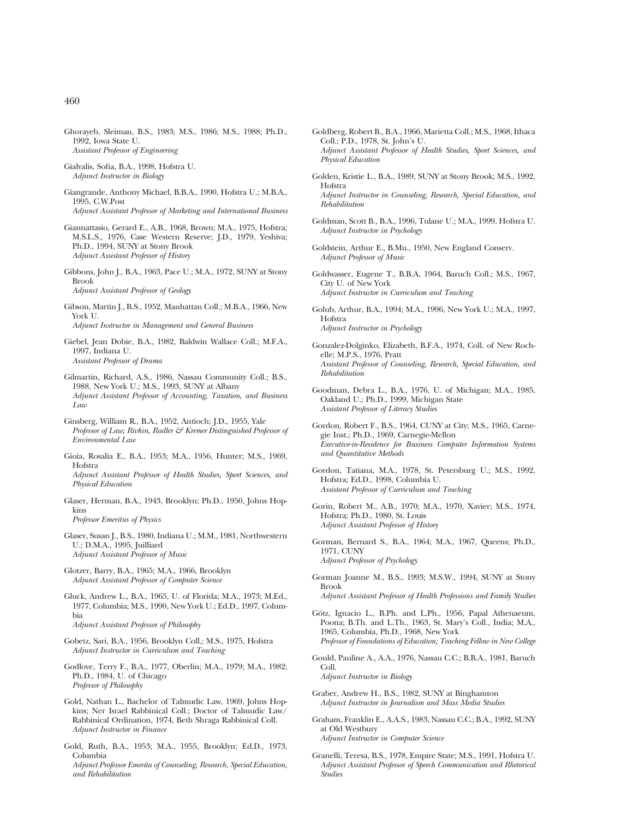- Ghorayeb, Sleiman, B.S., 1983; M.S., 1986; M.S., 1988; Ph.D., 1992, Iowa State U. *Assistant Professor of Engineering*
- Gialvalis, Sofia, B.A., 1998, Hofstra U. *Adjunct Instructor in Biology*
- Giangrande, Anthony Michael, B.B.A., 1990, Hofstra U.; M.B.A., 1995, C.W.Post *Adjunct Assistant Professor of Marketing and International Business*
- Giannattasio, Gerard E., A.B., 1968, Brown; M.A., 1975, Hofstra; M.S.L.S., 1976, Case Western Reserve; J.D., 1979, Yeshiva; Ph.D., 1994, SUNY at Stony Brook *Adjunct Assistant Professor of History*
- Gibbons, John J., B.A., 1963, Pace U.; M.A., 1972, SUNY at Stony Brook *Adjunct Assistant Professor of Geology*
- Gibson, Martin J., B.S., 1952, Manhattan Coll.; M.B.A., 1966, New York U. *Adjunct Instructor in Management and General Business*
- Giebel, Jean Dobie, B.A., 1982, Baldwin Wallace Coll.; M.F.A., 1997, Indiana U. *Assistant Professor of Drama*
- Gilmartin, Richard, A.S., 1986, Nassau Community Coll.; B.S., 1988, New York U.; M.S., 1993, SUNY at Albany *Adjunct Assistant Professor of Accounting, Taxation, and Business Law*
- Ginsberg, William R., B.A., 1952, Antioch; J.D., 1955, Yale *Professor of Law; Rivkin, Radler & Kremer Distinguished Professor of Environmental Law*
- Gioia, Rosalia E., B.A., 1953; M.A., 1956, Hunter; M.S., 1969, Hofstra *Adjunct Assistant Professor of Health Studies, Sport Sciences, and Physical Education*
- Glaser, Herman, B.A., 1943, Brooklyn; Ph.D., 1950, Johns Hopkins *Professor Emeritus of Physics*
- Glaser, Susan J., B.S., 1980, Indiana U.; M.M., 1981, Northwestern U.; D.M.A., 1995, Juilliard *Adjunct Assistant Professor of Music*
- Glotzer, Barry, B.A., 1965; M.A., 1966, Brooklyn *Adjunct Assistant Professor of Computer Science*
- Gluck, Andrew L., B.A., 1965, U. of Florida; M.A., 1973; M.Ed., 1977, Columbia; M.S., 1990, New York U.; Ed.D., 1997, Columbia *Adjunct Assistant Professor of Philosophy*
- Gobetz, Sari, B.A., 1956, Brooklyn Coll.; M.S., 1975, Hofstra *Adjunct Instructor in Curriculum and Teaching*
- Godlove, Terry F., B.A., 1977, Oberlin; M.A., 1979; M.A., 1982; Ph.D., 1984, U. of Chicago *Professor of Philosophy*
- Gold, Nathan L., Bachelor of Talmudic Law, 1969, Johns Hopkins; Ner Israel Rabbinical Coll.; Doctor of Talmudic Law/ Rabbinical Ordination, 1974, Beth Shraga Rabbinical Coll. *Adjunct Instructor in Finance*
- Gold, Ruth, B.A., 1953; M.A., 1955, Brooklyn; Ed.D., 1973, Columbia *Adjunct Professor Emerita of Counseling, Research, Special Education, and Rehabilitation*
- Goldberg, Robert B., B.A., 1966, Marietta Coll.; M.S., 1968, Ithaca Coll.; P.D., 1978, St. John's U. *Adjunct Assistant Professor of Health Studies, Sport Sciences, and Physical Education*
- Golden, Kristie L., B.A., 1989, SUNY at Stony Brook; M.S., 1992, Hofstra *Adjunct Instructor in Counseling, Research, Special Education, and Rehabilitation*
- Goldman, Scott B., B.A., 1996, Tulane U.; M.A., 1999, Hofstra U. *Adjunct Instructor in Psychology*
- Goldstein, Arthur E., B.Mu., 1950, New England Conserv. *Adjunct Professor of Music*
- Goldwasser, Eugene T., B.B.A, 1964, Baruch Coll.; M.S., 1967, City U. of New York *Adjunct Instructor in Curriculum and Teaching*
- Golub, Arthur, B.A., 1994; M.A., 1996, New York U.; M.A., 1997, Hofstra *Adjunct Instructor in Psychology*
- Gonzalez-Dolginko, Elizabeth, B.F.A., 1974, Coll. of New Rochelle; M.P.S., 1976, Pratt *Assistant Professor of Counseling, Research, Special Education, and Rehabilitation*
- Goodman, Debra L., B.A., 1976, U. of Michigan; M.A., 1985, Oakland U.; Ph.D., 1999, Michigan State *Assistant Professor of Literacy Studies*
- Gordon, Robert F., B.S., 1964, CUNY at City; M.S., 1965, Carnegie Inst.; Ph.D., 1969, Carnegie-Mellon *Executive-in-Residence for Business Computer Information Systems and Quantitative Methods*
- Gordon, Tatiana, M.A., 1978, St. Petersburg U.; M.S., 1992, Hofstra; Ed.D., 1998, Columbia U. *Assistant Professor of Curriculum and Teaching*
- Gorin, Robert M., A.B., 1970; M.A., 1970, Xavier; M.S., 1974, Hofstra; Ph.D., 1980, St. Louis *Adjunct Assistant Professor of History*
- Gorman, Bernard S., B.A., 1964; M.A., 1967, Queens; Ph.D., 1971, CUNY *Adjunct Professor of Psychology*
- Gorman Joanne M., B.S., 1993; M.S.W., 1994, SUNY at Stony Brook *Adjunct Assistant Professor of Health Professions and Family Studies*
- Götz, Ignacio L., B.Ph. and L.Ph., 1956, Papal Athenaeum, Poona; B.Th. and L.Th., 1963, St. Mary's Coll., India; M.A., 1965, Columbia, Ph.D., 1968, New York *Professor of Foundations of Education; Teaching Fellow in New College*
- Gould, Pauline A., A.A., 1976, Nassau C.C.; B.B.A., 1981, Baruch Coll. *Adjunct Instructor in Biology*
- Graber, Andrew H., B.S., 1982, SUNY at Binghamton *Adjunct Instructor in Journalism and Mass Media Studies*
- Graham, Franklin E., A.A.S., 1983, Nassau C.C.; B.A., 1992, SUNY at Old Westbury *Adjunct Instructor in Computer Science*
- Granelli, Teresa, B.S., 1978, Empire State; M.S., 1991, Hofstra U. *Adjunct Assistant Professor of Speech Communication and Rhetorical Studies*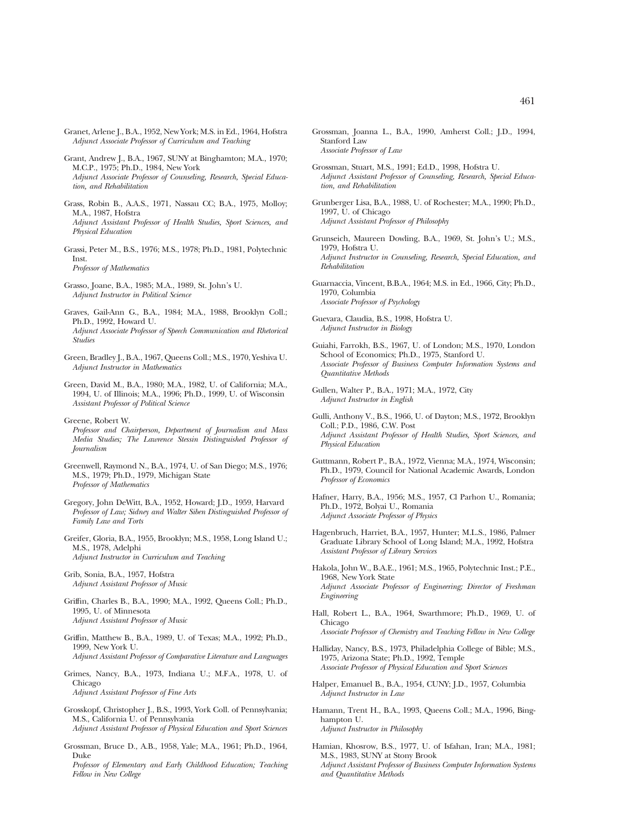- Granet, Arlene J., B.A., 1952, New York; M.S. in Ed., 1964, Hofstra *Adjunct Associate Professor of Curriculum and Teaching*
- Grant, Andrew J., B.A., 1967, SUNY at Binghamton; M.A., 1970; M.C.P., 1975; Ph.D., 1984, New York *Adjunct Associate Professor of Counseling, Research, Special Education, and Rehabilitation*
- Grass, Robin B., A.A.S., 1971, Nassau CC; B.A., 1975, Molloy; M.A., 1987, Hofstra *Adjunct Assistant Professor of Health Studies, Sport Sciences, and Physical Education*
- Grassi, Peter M., B.S., 1976; M.S., 1978; Ph.D., 1981, Polytechnic Inst. *Professor of Mathematics*
- Grasso, Joane, B.A., 1985; M.A., 1989, St. John's U. *Adjunct Instructor in Political Science*
- Graves, Gail-Ann G., B.A., 1984; M.A., 1988, Brooklyn Coll.; Ph.D., 1992, Howard U. *Adjunct Associate Professor of Speech Communication and Rhetorical Studies*
- Green, Bradley J., B.A., 1967, Queens Coll.; M.S., 1970, Yeshiva U. *Adjunct Instructor in Mathematics*
- Green, David M., B.A., 1980; M.A., 1982, U. of California; M.A., 1994, U. of Illinois; M.A., 1996; Ph.D., 1999, U. of Wisconsin *Assistant Professor of Political Science*
- Greene, Robert W.
- *Professor and Chairperson, Department of Journalism and Mass Media Studies; The Lawrence Stessin Distinguished Professor of Journalism*
- Greenwell, Raymond N., B.A., 1974, U. of San Diego; M.S., 1976; M.S., 1979; Ph.D., 1979, Michigan State *Professor of Mathematics*
- Gregory, John DeWitt, B.A., 1952, Howard; J.D., 1959, Harvard *Professor of Law; Sidney and Walter Siben Distinguished Professor of Family Law and Torts*
- Greifer, Gloria, B.A., 1955, Brooklyn; M.S., 1958, Long Island U.; M.S., 1978, Adelphi *Adjunct Instructor in Curriculum and Teaching*
- Grib, Sonia, B.A., 1957, Hofstra *Adjunct Assistant Professor of Music*
- Griffin, Charles B., B.A., 1990; M.A., 1992, Queens Coll.; Ph.D., 1995, U. of Minnesota *Adjunct Assistant Professor of Music*
- Griffin, Matthew B., B.A., 1989, U. of Texas; M.A., 1992; Ph.D., 1999, New York U. *Adjunct Assistant Professor of Comparative Literature and Languages*
- Grimes, Nancy, B.A., 1973, Indiana U.; M.F.A., 1978, U. of Chicago *Adjunct Assistant Professor of Fine Arts*
- Grosskopf, Christopher J., B.S., 1993, York Coll. of Pennsylvania; M.S., California U. of Pennsylvania *Adjunct Assistant Professor of Physical Education and Sport Sciences*
- Grossman, Bruce D., A.B., 1958, Yale; M.A., 1961; Ph.D., 1964, Duke
	- *Professor of Elementary and Early Childhood Education; Teaching Fellow in New College*
- Grossman, Joanna L., B.A., 1990, Amherst Coll.; J.D., 1994, Stanford Law *Associate Professor of Law*
- Grossman, Stuart, M.S., 1991; Ed.D., 1998, Hofstra U. *Adjunct Assistant Professor of Counseling, Research, Special Education, and Rehabilitation*
- Grunberger Lisa, B.A., 1988, U. of Rochester; M.A., 1990; Ph.D., 1997, U. of Chicago *Adjunct Assistant Professor of Philosophy*
- Grunseich, Maureen Dowling, B.A., 1969, St. John's U.; M.S., 1979, Hofstra U. *Adjunct Instructor in Counseling, Research, Special Education, and Rehabilitation*
- Guarnaccia, Vincent, B.B.A., 1964; M.S. in Ed., 1966, City; Ph.D., 1970, Columbia *Associate Professor of Psychology*
- Guevara, Claudia, B.S., 1998, Hofstra U. *Adjunct Instructor in Biology*
- Guiahi, Farrokh, B.S., 1967, U. of London; M.S., 1970, London School of Economics; Ph.D., 1975, Stanford U. *Associate Professor of Business Computer Information Systems and Quantitative Methods*
- Gullen, Walter P., B.A., 1971; M.A., 1972, City *Adjunct Instructor in English*
- Gulli, Anthony V., B.S., 1966, U. of Dayton; M.S., 1972, Brooklyn Coll.; P.D., 1986, C.W. Post *Adjunct Assistant Professor of Health Studies, Sport Sciences, and Physical Education*
- Guttmann, Robert P., B.A., 1972, Vienna; M.A., 1974, Wisconsin; Ph.D., 1979, Council for National Academic Awards, London *Professor of Economics*
- Hafner, Harry, B.A., 1956; M.S., 1957, Cl Parhon U., Romania; Ph.D., 1972, Bolyai U., Romania *Adjunct Associate Professor of Physics*
- Hagenbruch, Harriet, B.A., 1957, Hunter; M.L.S., 1986, Palmer Graduate Library School of Long Island; M.A., 1992, Hofstra *Assistant Professor of Library Services*
- Hakola, John W., B.A.E., 1961; M.S., 1965, Polytechnic Inst.; P.E., 1968, New York State *Adjunct Associate Professor of Engineering; Director of Freshman Engineering*
- Hall, Robert L., B.A., 1964, Swarthmore; Ph.D., 1969, U. of Chicago

*Associate Professor of Chemistry and Teaching Fellow in New College*

- Halliday, Nancy, B.S., 1973, Philadelphia College of Bible; M.S., 1975, Arizona State; Ph.D., 1992, Temple *Associate Professor of Physical Education and Sport Sciences*
- Halper, Emanuel B., B.A., 1954, CUNY; J.D., 1957, Columbia *Adjunct Instructor in Law*
- Hamann, Trent H., B.A., 1993, Queens Coll.; M.A., 1996, Binghampton U. *Adjunct Instructor in Philosophy*
- Hamian, Khosrow, B.S., 1977, U. of Isfahan, Iran; M.A., 1981; M.S., 1983, SUNY at Stony Brook *Adjunct Assistant Professor of Business Computer Information Systems and Quantitative Methods*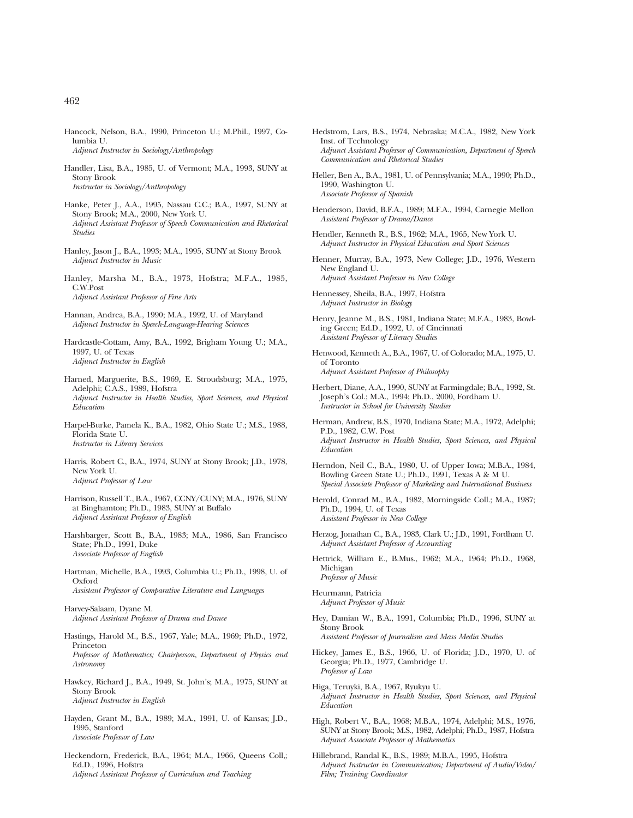- Hancock, Nelson, B.A., 1990, Princeton U.; M.Phil., 1997, Columbia U. *Adjunct Instructor in Sociology/Anthropology*
- Handler, Lisa, B.A., 1985, U. of Vermont; M.A., 1993, SUNY at Stony Brook *Instructor in Sociology/Anthropology*
- Hanke, Peter J., A.A., 1995, Nassau C.C.; B.A., 1997, SUNY at Stony Brook; M.A., 2000, New York U. *Adjunct Assistant Professor of Speech Communication and Rhetorical Studies*
- Hanley, Jason J., B.A., 1993; M.A., 1995, SUNY at Stony Brook *Adjunct Instructor in Music*
- Hanley, Marsha M., B.A., 1973, Hofstra; M.F.A., 1985, C.W.Post *Adjunct Assistant Professor of Fine Arts*
- Hannan, Andrea, B.A., 1990; M.A., 1992, U. of Maryland *Adjunct Instructor in Speech-Language-Hearing Sciences*
- Hardcastle-Cottam, Amy, B.A., 1992, Brigham Young U.; M.A., 1997, U. of Texas *Adjunct Instructor in English*
- Harned, Marguerite, B.S., 1969, E. Stroudsburg; M.A., 1975, Adelphi; C.A.S., 1989, Hofstra *Adjunct Instructor in Health Studies, Sport Sciences, and Physical Education*
- Harpel-Burke, Pamela K., B.A., 1982, Ohio State U.; M.S., 1988, Florida State U. *Instructor in Library Services*
- Harris, Robert C., B.A., 1974, SUNY at Stony Brook; J.D., 1978, New York U. *Adjunct Professor of Law*
- Harrison, Russell T., B.A., 1967, CCNY/CUNY; M.A., 1976, SUNY at Binghamton; Ph.D., 1983, SUNY at Buffalo *Adjunct Assistant Professor of English*
- Harshbarger, Scott B., B.A., 1983; M.A., 1986, San Francisco State; Ph.D., 1991, Duke *Associate Professor of English*
- Hartman, Michelle, B.A., 1993, Columbia U.; Ph.D., 1998, U. of Oxford *Assistant Professor of Comparative Literature and Languages*
- Harvey-Salaam, Dyane M. *Adjunct Assistant Professor of Drama and Dance*
- Hastings, Harold M., B.S., 1967, Yale; M.A., 1969; Ph.D., 1972, Princeton *Professor of Mathematics; Chairperson, Department of Physics and Astronomy*
- Hawkey, Richard J., B.A., 1949, St. John's; M.A., 1975, SUNY at Stony Brook *Adjunct Instructor in English*
- Hayden, Grant M., B.A., 1989; M.A., 1991, U. of Kansas; J.D., 1995, Stanford *Associate Professor of Law*
- Heckendorn, Frederick, B.A., 1964; M.A., 1966, Queens Coll,; Ed.D., 1996, Hofstra *Adjunct Assistant Professor of Curriculum and Teaching*
- Hedstrom, Lars, B.S., 1974, Nebraska; M.C.A., 1982, New York Inst. of Technology *Adjunct Assistant Professor of Communication, Department of Speech Communication and Rhetorical Studies*
- Heller, Ben A., B.A., 1981, U. of Pennsylvania; M.A., 1990; Ph.D., 1990, Washington U. *Associate Professor of Spanish*
- Henderson, David, B.F.A., 1989; M.F.A., 1994, Carnegie Mellon *Assistant Professor of Drama/Dance*
- Hendler, Kenneth R., B.S., 1962; M.A., 1965, New York U. *Adjunct Instructor in Physical Education and Sport Sciences*
- Henner, Murray, B.A., 1973, New College; J.D., 1976, Western New England U. *Adjunct Assistant Professor in New College*
- Hennessey, Sheila, B.A., 1997, Hofstra *Adjunct Instructor in Biology*
- Henry, Jeanne M., B.S., 1981, Indiana State; M.F.A., 1983, Bowling Green; Ed.D., 1992, U. of Cincinnati *Assistant Professor of Literacy Studies*
- Henwood, Kenneth A., B.A., 1967, U. of Colorado; M.A., 1975, U. of Toronto *Adjunct Assistant Professor of Philosophy*
- Herbert, Diane, A.A., 1990, SUNY at Farmingdale; B.A., 1992, St. Joseph's Col.; M.A., 1994; Ph.D., 2000, Fordham U. *Instructor in School for University Studies*
- Herman, Andrew, B.S., 1970, Indiana State; M.A., 1972, Adelphi; P.D., 1982, C.W. Post *Adjunct Instructor in Health Studies, Sport Sciences, and Physical Education*
- Herndon, Neil C., B.A., 1980, U. of Upper Iowa; M.B.A., 1984, Bowling Green State U.; Ph.D., 1991, Texas A & M U. *Special Associate Professor of Marketing and International Business*
- Herold, Conrad M., B.A., 1982, Morningside Coll.; M.A., 1987; Ph.D., 1994, U. of Texas *Assistant Professor in New College*
- Herzog, Jonathan C., B.A., 1983, Clark U.; J.D., 1991, Fordham U. *Adjunct Assistant Professor of Accounting*
- Hettrick, William E., B.Mus., 1962; M.A., 1964; Ph.D., 1968, Michigan *Professor of Music*
- Heurmann, Patricia *Adjunct Professor of Music*
- Hey, Damian W., B.A., 1991, Columbia; Ph.D., 1996, SUNY at Stony Brook
	- *Assistant Professor of Journalism and Mass Media Studies*
- Hickey, James E., B.S., 1966, U. of Florida; J.D., 1970, U. of Georgia; Ph.D., 1977, Cambridge U. *Professor of Law*
- Higa, Teruyki, B.A., 1967, Ryukyu U. *Adjunct Instructor in Health Studies, Sport Sciences, and Physical Education*
- High, Robert V., B.A., 1968; M.B.A., 1974, Adelphi; M.S., 1976, SUNY at Stony Brook; M.S., 1982, Adelphi; Ph.D., 1987, Hofstra *Adjunct Associate Professor of Mathematics*
- Hillebrand, Randal K., B.S., 1989; M.B.A., 1995, Hofstra *Adjunct Instructor in Communication; Department of Audio/Video/ Film; Training Coordinator*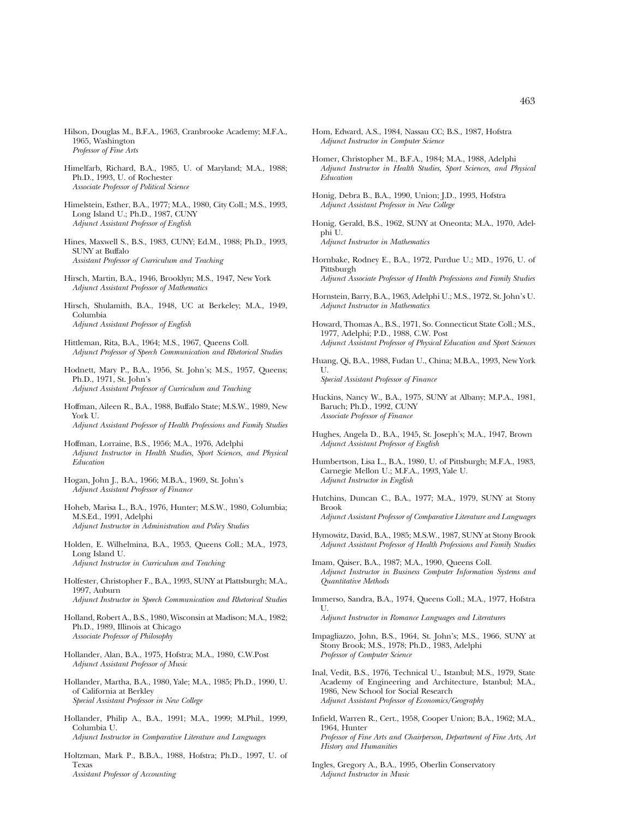- Himelfarb, Richard, B.A., 1985, U. of Maryland; M.A., 1988; Ph.D., 1993, U. of Rochester *Associate Professor of Political Science*
- Himelstein, Esther, B.A., 1977; M.A., 1980, City Coll.; M.S., 1993, Long Island U.; Ph.D., 1987, CUNY *Adjunct Assistant Professor of English*
- Hines, Maxwell S., B.S., 1983, CUNY; Ed.M., 1988; Ph.D., 1993, SUNY at Buffalo *Assistant Professor of Curriculum and Teaching*
- Hirsch, Martin, B.A., 1946, Brooklyn; M.S., 1947, New York *Adjunct Assistant Professor of Mathematics*
- Hirsch, Shulamith, B.A., 1948, UC at Berkeley; M.A., 1949, Columbia *Adjunct Assistant Professor of English*
- Hittleman, Rita, B.A., 1964; M.S., 1967, Queens Coll. *Adjunct Professor of Speech Communication and Rhetorical Studies*
- Hodnett, Mary P., B.A., 1956, St. John's; M.S., 1957, Queens; Ph.D., 1971, St. John's *Adjunct Assistant Professor of Curriculum and Teaching*
- Hoffman, Aileen R., B.A., 1988, Buffalo State; M.S.W., 1989, New York U. *Adjunct Assistant Professor of Health Professions and Family Studies*
- Hoffman, Lorraine, B.S., 1956; M.A., 1976, Adelphi *Adjunct Instructor in Health Studies, Sport Sciences, and Physical Education*
- Hogan, John J., B.A., 1966; M.B.A., 1969, St. John's *Adjunct Assistant Professor of Finance*
- Hoheb, Marisa L., B.A., 1976, Hunter; M.S.W., 1980, Columbia; M.S.Ed., 1991, Adelphi *Adjunct Instructor in Administration and Policy Studies*
- Holden, E. Wilhelmina, B.A., 1953, Queens Coll.; M.A., 1973, Long Island U. *Adjunct Instructor in Curriculum and Teaching*
- Holfester, Christopher F., B.A., 1993, SUNY at Plattsburgh; M.A., 1997, Auburn *Adjunct Instructor in Speech Communication and Rhetorical Studies*
- Holland, Robert A., B.S., 1980, Wisconsin at Madison; M.A., 1982; Ph.D., 1989, Illinois at Chicago *Associate Professor of Philosophy*
- Hollander, Alan, B.A., 1975, Hofstra; M.A., 1980, C.W.Post *Adjunct Assistant Professor of Music*
- Hollander, Martha, B.A., 1980, Yale; M.A., 1985; Ph.D., 1990, U. of California at Berkley *Special Assistant Professor in New College*
- Hollander, Philip A., B.A., 1991; M.A., 1999; M.Phil., 1999, Columbia U. *Adjunct Instructor in Comparative Literature and Languages*
- Holtzman, Mark P., B.B.A., 1988, Hofstra; Ph.D., 1997, U. of Texas *Assistant Professor of Accounting*
- Hom, Edward, A.S., 1984, Nassau CC; B.S., 1987, Hofstra *Adjunct Instructor in Computer Science*
- Homer, Christopher M., B.F.A., 1984; M.A., 1988, Adelphi *Adjunct Instructor in Health Studies, Sport Sciences, and Physical Education*
- Honig, Debra B., B.A., 1990, Union; J.D., 1993, Hofstra *Adjunct Assistant Professor in New College*
- Honig, Gerald, B.S., 1962, SUNY at Oneonta; M.A., 1970, Adelphi U. *Adjunct Instructor in Mathematics*
- Hornbake, Rodney E., B.A., 1972, Purdue U.; MD., 1976, U. of Pittsburgh *Adjunct Associate Professor of Health Professions and Family Studies*
- Hornstein, Barry, B.A., 1963, Adelphi U.; M.S., 1972, St. John's U. *Adjunct Instructor in Mathematics*
- Howard, Thomas A., B.S., 1971, So. Connecticut State Coll.; M.S., 1977, Adelphi; P.D., 1988, C.W. Post *Adjunct Assistant Professor of Physical Education and Sport Sciences*
- Huang, Qi, B.A., 1988, Fudan U., China; M.B.A., 1993, New York U.

*Special Assistant Professor of Finance*

- Huckins, Nancy W., B.A., 1975, SUNY at Albany; M.P.A., 1981, Baruch; Ph.D., 1992, CUNY *Associate Professor of Finance*
- Hughes, Angela D., B.A., 1945, St. Joseph's; M.A., 1947, Brown *Adjunct Assistant Professor of English*
- Humbertson, Lisa L., B.A., 1980, U. of Pittsburgh; M.F.A., 1983, Carnegie Mellon U.; M.F.A., 1993, Yale U. *Adjunct Instructor in English*
- Hutchins, Duncan C., B.A., 1977; M.A., 1979, SUNY at Stony Brook
	- *Adjunct Assistant Professor of Comparative Literature and Languages*
- Hymowitz, David, B.A., 1985; M.S.W., 1987, SUNY at Stony Brook *Adjunct Assistant Professor of Health Professions and Family Studies*
- Imam, Qaiser, B.A., 1987; M.A., 1990, Queens Coll. *Adjunct Instructor in Business Computer Information Systems and Quantitative Methods*
- Immerso, Sandra, B.A., 1974, Queens Coll.; M.A., 1977, Hofstra U.

*Adjunct Instructor in Romance Languages and Literatures*

- Impagliazzo, John, B.S., 1964, St. John's; M.S., 1966, SUNY at Stony Brook; M.S., 1978; Ph.D., 1983, Adelphi *Professor of Computer Science*
- Inal, Vedit, B.S., 1976, Technical U., Istanbul; M.S., 1979, State Academy of Engineering and Architecture, Istanbul; M.A., 1986, New School for Social Research *Adjunct Assistant Professor of Economics/Geography*
- Infield, Warren R., Cert., 1958, Cooper Union; B.A., 1962; M.A., 1964, Hunter *Professor of Fine Arts and Chairperson, Department of Fine Arts, Art History and Humanities*
- Ingles, Gregory A., B.A., 1995, Oberlin Conservatory *Adjunct Instructor in Music*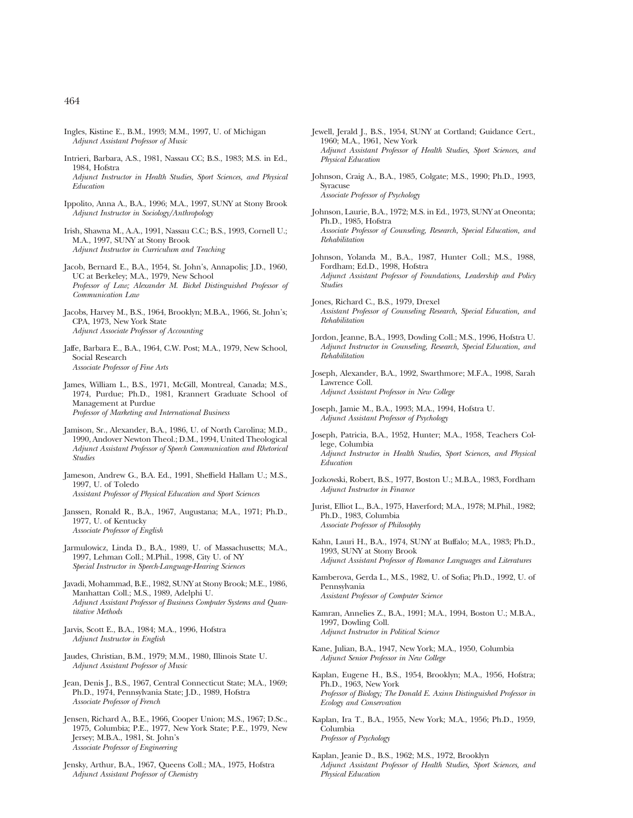- Ingles, Kistine E., B.M., 1993; M.M., 1997, U. of Michigan *Adjunct Assistant Professor of Music*
- Intrieri, Barbara, A.S., 1981, Nassau CC; B.S., 1983; M.S. in Ed., 1984, Hofstra *Adjunct Instructor in Health Studies, Sport Sciences, and Physical Education*
- Ippolito, Anna A., B.A., 1996; M.A., 1997, SUNY at Stony Brook *Adjunct Instructor in Sociology/Anthropology*
- Irish, Shawna M., A.A., 1991, Nassau C.C.; B.S., 1993, Cornell U.; M.A., 1997, SUNY at Stony Brook *Adjunct Instructor in Curriculum and Teaching*
- Jacob, Bernard E., B.A., 1954, St. John's, Annapolis; J.D., 1960, UC at Berkeley; M.A., 1979, New School *Professor of Law; Alexander M. Bickel Distinguished Professor of Communication Law*
- Jacobs, Harvey M., B.S., 1964, Brooklyn; M.B.A., 1966, St. John's; CPA, 1973, New York State *Adjunct Associate Professor of Accounting*
- Jaffe, Barbara E., B.A., 1964, C.W. Post; M.A., 1979, New School, Social Research *Associate Professor of Fine Arts*
- James, William L., B.S., 1971, McGill, Montreal, Canada; M.S., 1974, Purdue; Ph.D., 1981, Krannert Graduate School of Management at Purdue *Professor of Marketing and International Business*
- Jamison, Sr., Alexander, B.A., 1986, U. of North Carolina; M.D., 1990, Andover Newton Theol.; D.M., 1994, United Theological *Adjunct Assistant Professor of Speech Communication and Rhetorical Studies*
- Jameson, Andrew G., B.A. Ed., 1991, Sheffield Hallam U.; M.S., 1997, U. of Toledo *Assistant Professor of Physical Education and Sport Sciences*
- Janssen, Ronald R., B.A., 1967, Augustana; M.A., 1971; Ph.D., 1977, U. of Kentucky *Associate Professor of English*
- Jarmulowicz, Linda D., B.A., 1989, U. of Massachusetts; M.A., 1997, Lehman Coll.; M.Phil., 1998, City U. of NY *Special Instructor in Speech-Language-Hearing Sciences*
- Javadi, Mohammad, B.E., 1982, SUNY at Stony Brook; M.E., 1986, Manhattan Coll.; M.S., 1989, Adelphi U. *Adjunct Assistant Professor of Business Computer Systems and Quantitative Methods*
- Jarvis, Scott E., B.A., 1984; M.A., 1996, Hofstra *Adjunct Instructor in English*
- Jaudes, Christian, B.M., 1979; M.M., 1980, Illinois State U. *Adjunct Assistant Professor of Music*
- Jean, Denis J., B.S., 1967, Central Connecticut State; M.A., 1969; Ph.D., 1974, Pennsylvania State; J.D., 1989, Hofstra *Associate Professor of French*
- Jensen, Richard A., B.E., 1966, Cooper Union; M.S., 1967; D.Sc., 1975, Columbia; P.E., 1977, New York State; P.E., 1979, New Jersey; M.B.A., 1981, St. John's *Associate Professor of Engineering*
- Jensky, Arthur, B.A., 1967, Queens Coll.; MA., 1975, Hofstra *Adjunct Assistant Professor of Chemistry*
- Jewell, Jerald J., B.S., 1954, SUNY at Cortland; Guidance Cert., 1960; M.A., 1961, New York *Adjunct Assistant Professor of Health Studies, Sport Sciences, and Physical Education*
- Johnson, Craig A., B.A., 1985, Colgate; M.S., 1990; Ph.D., 1993, Syracuse *Associate Professor of Psychology*
- Johnson, Laurie, B.A., 1972; M.S. in Ed., 1973, SUNY at Oneonta; Ph.D., 1985, Hofstra *Associate Professor of Counseling, Research, Special Education, and Rehabilitation*
- Johnson, Yolanda M., B.A., 1987, Hunter Coll.; M.S., 1988, Fordham; Ed.D., 1998, Hofstra *Adjunct Assistant Professor of Foundations, Leadership and Policy Studies*
- Jones, Richard C., B.S., 1979, Drexel *Assistant Professor of Counseling Research, Special Education, and Rehabilitation*
- Jordon, Jeanne, B.A., 1993, Dowling Coll.; M.S., 1996, Hofstra U. *Adjunct Instructor in Counseling, Research, Special Education, and Rehabilitation*
- Joseph, Alexander, B.A., 1992, Swarthmore; M.F.A., 1998, Sarah Lawrence Coll. *Adjunct Assistant Professor in New College*
- Joseph, Jamie M., B.A., 1993; M.A., 1994, Hofstra U. *Adjunct Assistant Professor of Psychology*
- Joseph, Patricia, B.A., 1952, Hunter; M.A., 1958, Teachers College, Columbia *Adjunct Instructor in Health Studies, Sport Sciences, and Physical Education*
- Jozkowski, Robert, B.S., 1977, Boston U.; M.B.A., 1983, Fordham *Adjunct Instructor in Finance*
- Jurist, Elliot L., B.A., 1975, Haverford; M.A., 1978; M.Phil., 1982; Ph.D., 1983, Columbia *Associate Professor of Philosophy*
- Kahn, Lauri H., B.A., 1974, SUNY at Buffalo; M.A., 1983; Ph.D., 1993, SUNY at Stony Brook *Adjunct Assistant Professor of Romance Languages and Literatures*
- Kamberova, Gerda L., M.S., 1982, U. of Sofia; Ph.D., 1992, U. of Pennsylvania *Assistant Professor of Computer Science*
- Kamran, Annelies Z., B.A., 1991; M.A., 1994, Boston U.; M.B.A., 1997, Dowling Coll. *Adjunct Instructor in Political Science*
- Kane, Julian, B.A., 1947, New York; M.A., 1950, Columbia *Adjunct Senior Professor in New College*
- Kaplan, Eugene H., B.S., 1954, Brooklyn; M.A., 1956, Hofstra; Ph.D., 1963, New York *Professor of Biology; The Donald E. Axinn Distinguished Professor in Ecology and Conservation*
- Kaplan, Ira T., B.A., 1955, New York; M.A., 1956; Ph.D., 1959, Columbia *Professor of Psychology*
- Kaplan, Jeanie D., B.S., 1962; M.S., 1972, Brooklyn *Adjunct Assistant Professor of Health Studies, Sport Sciences, and Physical Education*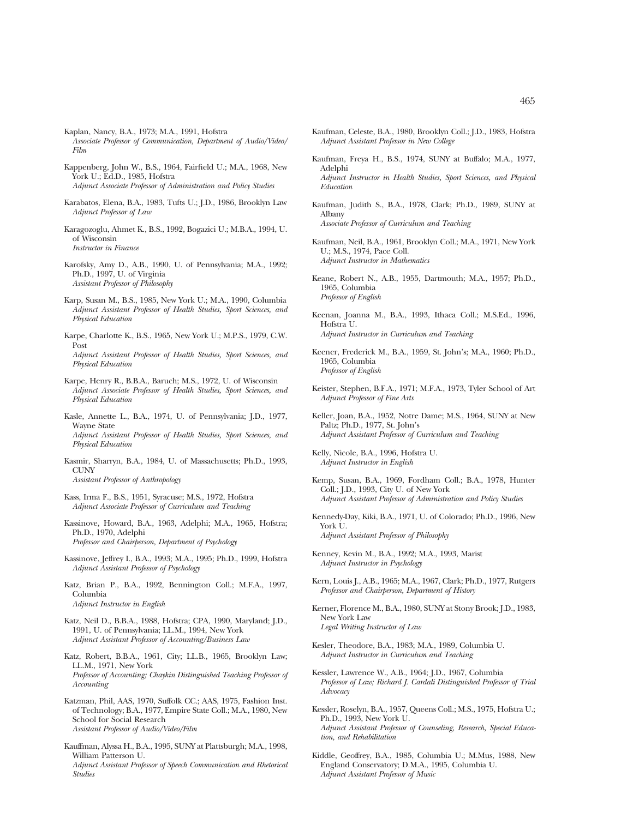- Kaplan, Nancy, B.A., 1973; M.A., 1991, Hofstra *Associate Professor of Communication, Department of Audio/Video/ Film*
- Kappenberg, John W., B.S., 1964, Fairfield U.; M.A., 1968, New York U.; Ed.D., 1985, Hofstra *Adjunct Associate Professor of Administration and Policy Studies*
- Karabatos, Elena, B.A., 1983, Tufts U.; J.D., 1986, Brooklyn Law *Adjunct Professor of Law*
- Karagozoglu, Ahmet K., B.S., 1992, Bogazici U.; M.B.A., 1994, U. of Wisconsin *Instructor in Finance*
- Karofsky, Amy D., A.B., 1990, U. of Pennsylvania; M.A., 1992; Ph.D., 1997, U. of Virginia *Assistant Professor of Philosophy*
- Karp, Susan M., B.S., 1985, New York U.; M.A., 1990, Columbia *Adjunct Assistant Professor of Health Studies, Sport Sciences, and Physical Education*
- Karpe, Charlotte K., B.S., 1965, New York U.; M.P.S., 1979, C.W. Post *Adjunct Assistant Professor of Health Studies, Sport Sciences, and Physical Education*
- Karpe, Henry R., B.B.A., Baruch; M.S., 1972, U. of Wisconsin *Adjunct Associate Professor of Health Studies, Sport Sciences, and Physical Education*
- Kasle, Annette L., B.A., 1974, U. of Pennsylvania; J.D., 1977, Wayne State *Adjunct Assistant Professor of Health Studies, Sport Sciences, and Physical Education*
- Kasmir, Sharryn, B.A., 1984, U. of Massachusetts; Ph.D., 1993, **CUNY** *Assistant Professor of Anthropology*
- Kass, Irma F., B.S., 1951, Syracuse; M.S., 1972, Hofstra *Adjunct Associate Professor of Curriculum and Teaching*
- Kassinove, Howard, B.A., 1963, Adelphi; M.A., 1965, Hofstra; Ph.D., 1970, Adelphi *Professor and Chairperson, Department of Psychology*
- Kassinove, Jeffrey I., B.A., 1993; M.A., 1995; Ph.D., 1999, Hofstra *Adjunct Assistant Professor of Psychology*
- Katz, Brian P., B.A., 1992, Bennington Coll.; M.F.A., 1997, Columbia *Adjunct Instructor in English*
- Katz, Neil D., B.B.A., 1988, Hofstra; CPA, 1990, Maryland; J.D., 1991, U. of Pennsylvania; LL.M., 1994, New York *Adjunct Assistant Professor of Accounting/Business Law*
- Katz, Robert, B.B.A., 1961, City; LL.B., 1965, Brooklyn Law; LL.M., 1971, New York *Professor of Accounting; Chaykin Distinguished Teaching Professor of Accounting*
- Katzman, Phil, AAS, 1970, Suffolk CC.; AAS, 1975, Fashion Inst. of Technology; B.A., 1977, Empire State Coll.; M.A., 1980, New School for Social Research *Assistant Professor of Audio/Video/Film*
- Kauffman, Alyssa H., B.A., 1995, SUNY at Plattsburgh; M.A., 1998, William Patterson U. *Adjunct Assistant Professor of Speech Communication and Rhetorical Studies*
- Kaufman, Celeste, B.A., 1980, Brooklyn Coll.; J.D., 1983, Hofstra *Adjunct Assistant Professor in New College*
- Kaufman, Freya H., B.S., 1974, SUNY at Buffalo; M.A., 1977, Adelphi *Adjunct Instructor in Health Studies, Sport Sciences, and Physical Education*
- Kaufman, Judith S., B.A., 1978, Clark; Ph.D., 1989, SUNY at Albany *Associate Professor of Curriculum and Teaching*
- Kaufman, Neil, B.A., 1961, Brooklyn Coll.; M.A., 1971, New York U.; M.S., 1974, Pace Coll. *Adjunct Instructor in Mathematics*
- Keane, Robert N., A.B., 1955, Dartmouth; M.A., 1957; Ph.D., 1965, Columbia *Professor of English*
- Keenan, Joanna M., B.A., 1993, Ithaca Coll.; M.S.Ed., 1996, Hofstra U. *Adjunct Instructor in Curriculum and Teaching*
- Keener, Frederick M., B.A., 1959, St. John's; M.A., 1960; Ph.D., 1965, Columbia *Professor of English*
- Keister, Stephen, B.F.A., 1971; M.F.A., 1973, Tyler School of Art *Adjunct Professor of Fine Arts*
- Keller, Joan, B.A., 1952, Notre Dame; M.S., 1964, SUNY at New Paltz; Ph.D., 1977, St. John's *Adjunct Assistant Professor of Curriculum and Teaching*
- Kelly, Nicole, B.A., 1996, Hofstra U. *Adjunct Instructor in English*
- Kemp, Susan, B.A., 1969, Fordham Coll.; B.A., 1978, Hunter Coll.; J.D., 1993, City U. of New York *Adjunct Assistant Professor of Administration and Policy Studies*
- Kennedy-Day, Kiki, B.A., 1971, U. of Colorado; Ph.D., 1996, New York U. *Adjunct Assistant Professor of Philosophy*
- Kenney, Kevin M., B.A., 1992; M.A., 1993, Marist *Adjunct Instructor in Psychology*
- Kern, Louis J., A.B., 1965; M.A., 1967, Clark; Ph.D., 1977, Rutgers *Professor and Chairperson, Department of History*
- Kerner, Florence M., B.A., 1980, SUNY at Stony Brook; J.D., 1983, New York Law *Legal Writing Instructor of Law*
- Kesler, Theodore, B.A., 1983; M.A., 1989, Columbia U. *Adjunct Instructor in Curriculum and Teaching*
- Kessler, Lawrence W., A.B., 1964; J.D., 1967, Columbia *Professor of Law; Richard J. Cardali Distinguished Professor of Trial Advocacy*
- Kessler, Roselyn, B.A., 1957, Queens Coll.; M.S., 1975, Hofstra U.; Ph.D., 1993, New York U. *Adjunct Assistant Professor of Counseling, Research, Special Education, and Rehabilitation*
- Kiddle, Geoffrey, B.A., 1985, Columbia U.; M.Mus, 1988, New England Conservatory; D.M.A., 1995, Columbia U. *Adjunct Assistant Professor of Music*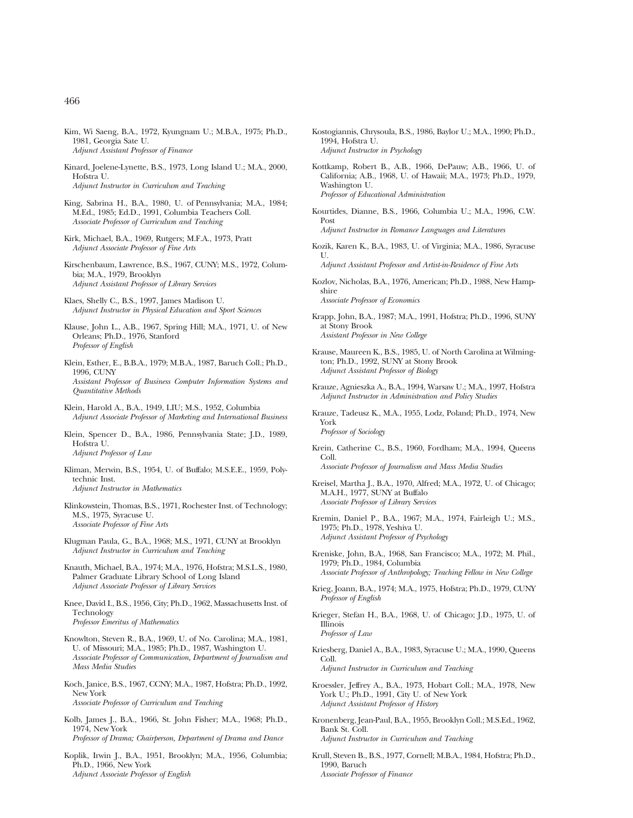- Kim, Wi Saeng, B.A., 1972, Kyungnam U.; M.B.A., 1975; Ph.D., 1981, Georgia Sate U. *Adjunct Assistant Professor of Finance*
- Kinard, Joelene-Lynette, B.S., 1973, Long Island U.; M.A., 2000, Hofstra U. *Adjunct Instructor in Curriculum and Teaching*
- King, Sabrina H., B.A., 1980, U. of Pennsylvania; M.A., 1984; M.Ed., 1985; Ed.D., 1991, Columbia Teachers Coll. *Associate Professor of Curriculum and Teaching*
- Kirk, Michael, B.A., 1969, Rutgers; M.F.A., 1973, Pratt *Adjunct Associate Professor of Fine Arts*
- Kirschenbaum, Lawrence, B.S., 1967, CUNY; M.S., 1972, Columbia; M.A., 1979, Brooklyn *Adjunct Assistant Professor of Library Services*
- Klaes, Shelly C., B.S., 1997, James Madison U. *Adjunct Instructor in Physical Education and Sport Sciences*
- Klause, John L., A.B., 1967, Spring Hill; M.A., 1971, U. of New Orleans; Ph.D., 1976, Stanford *Professor of English*
- Klein, Esther, E., B.B.A., 1979; M.B.A., 1987, Baruch Coll.; Ph.D., 1996, CUNY *Assistant Professor of Business Computer Information Systems and Quantitative Methods*
- Klein, Harold A., B.A., 1949, LIU; M.S., 1952, Columbia *Adjunct Associate Professor of Marketing and International Business*
- Klein, Spencer D., B.A., 1986, Pennsylvania State; J.D., 1989, Hofstra U. *Adjunct Professor of Law*
- Kliman, Merwin, B.S., 1954, U. of Buffalo; M.S.E.E., 1959, Polytechnic Inst. *Adjunct Instructor in Mathematics*
- Klinkowstein, Thomas, B.S., 1971, Rochester Inst. of Technology; M.S., 1975, Syracuse U. *Associate Professor of Fine Arts*
- Klugman Paula, G., B.A., 1968; M.S., 1971, CUNY at Brooklyn *Adjunct Instructor in Curriculum and Teaching*
- Knauth, Michael, B.A., 1974; M.A., 1976, Hofstra; M.S.L.S., 1980, Palmer Graduate Library School of Long Island *Adjunct Associate Professor of Library Services*
- Knee, David I., B.S., 1956, City; Ph.D., 1962, Massachusetts Inst. of Technology *Professor Emeritus of Mathematics*
- Knowlton, Steven R., B.A., 1969, U. of No. Carolina; M.A., 1981, U. of Missouri; M.A., 1985; Ph.D., 1987, Washington U. *Associate Professor of Communication, Department of Journalism and Mass Media Studies*
- Koch, Janice, B.S., 1967, CCNY; M.A., 1987, Hofstra; Ph.D., 1992, New York *Associate Professor of Curriculum and Teaching*
- Kolb, James J., B.A., 1966, St. John Fisher; M.A., 1968; Ph.D., 1974, New York *Professor of Drama; Chairperson, Department of Drama and Dance*
- Koplik, Irwin J., B.A., 1951, Brooklyn; M.A., 1956, Columbia; Ph.D., 1966, New York *Adjunct Associate Professor of English*
- Kostogiannis, Chrysoula, B.S., 1986, Baylor U.; M.A., 1990; Ph.D., 1994, Hofstra U. *Adjunct Instructor in Psychology*
- Kottkamp, Robert B., A.B., 1966, DePauw; A.B., 1966, U. of California; A.B., 1968, U. of Hawaii; M.A., 1973; Ph.D., 1979, Washington U. *Professor of Educational Administration*
- Kourtides, Dianne, B.S., 1966, Columbia U.; M.A., 1996, C.W. Post
	- *Adjunct Instructor in Romance Languages and Literatures*
- Kozik, Karen K., B.A., 1983, U. of Virginia; M.A., 1986, Syracuse U.

*Adjunct Assistant Professor and Artist-in-Residence of Fine Arts*

- Kozlov, Nicholas, B.A., 1976, American; Ph.D., 1988, New Hampshire *Associate Professor of Economics*
- Krapp, John, B.A., 1987; M.A., 1991, Hofstra; Ph.D., 1996, SUNY at Stony Brook *Assistant Professor in New College*
- Krause, Maureen K., B.S., 1985, U. of North Carolina at Wilmington; Ph.D., 1992, SUNY at Stony Brook *Adjunct Assistant Professor of Biology*
- Krauze, Agnieszka A., B.A., 1994, Warsaw U.; M.A., 1997, Hofstra *Adjunct Instructor in Administration and Policy Studies*
- Krauze, Tadeusz K., M.A., 1955, Lodz, Poland; Ph.D., 1974, New York *Professor of Sociology*
- Krein, Catherine C., B.S., 1960, Fordham; M.A., 1994, Queens Coll. *Associate Professor of Journalism and Mass Media Studies*
- Kreisel, Martha J., B.A., 1970, Alfred; M.A., 1972, U. of Chicago; M.A.H., 1977, SUNY at Buffalo *Associate Professor of Library Services*
- Kremin, Daniel P., B.A., 1967; M.A., 1974, Fairleigh U.; M.S., 1975; Ph.D., 1978, Yeshiva U. *Adjunct Assistant Professor of Psychology*
- Kreniske, John, B.A., 1968, San Francisco; M.A., 1972; M. Phil., 1979; Ph.D., 1984, Columbia *Associate Professor of Anthropology; Teaching Fellow in New College*
- Krieg, Joann, B.A., 1974; M.A., 1975, Hofstra; Ph.D., 1979, CUNY *Professor of English*
- Krieger, Stefan H., B.A., 1968, U. of Chicago; J.D., 1975, U. of Illinois *Professor of Law*
- Kriesberg, Daniel A., B.A., 1983, Syracuse U.; M.A., 1990, Queens Coll.

*Adjunct Instructor in Curriculum and Teaching*

- Kroessler, Jeffrey A., B.A., 1973, Hobart Coll.; M.A., 1978, New York U.; Ph.D., 1991, City U. of New York *Adjunct Assistant Professor of History*
- Kronenberg, Jean-Paul, B.A., 1955, Brooklyn Coll.; M.S.Ed., 1962, Bank St. Coll. *Adjunct Instructor in Curriculum and Teaching*
- Krull, Steven B., B.S., 1977, Cornell; M.B.A., 1984, Hofstra; Ph.D., 1990, Baruch *Associate Professor of Finance*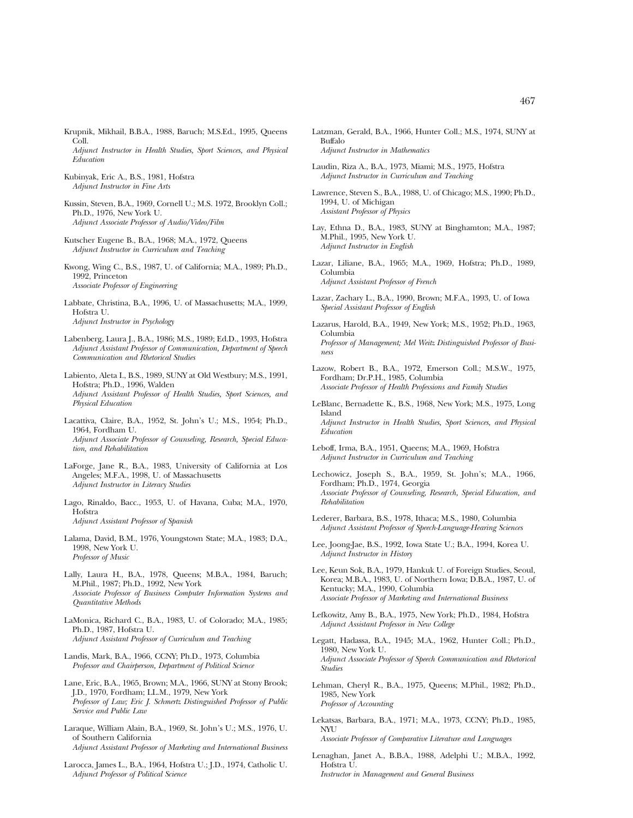- Krupnik, Mikhail, B.B.A., 1988, Baruch; M.S.Ed., 1995, Queens Coll. *Adjunct Instructor in Health Studies, Sport Sciences, and Physical Education*
- Kubinyak, Eric A., B.S., 1981, Hofstra *Adjunct Instructor in Fine Arts*
- Kussin, Steven, B.A., 1969, Cornell U.; M.S. 1972, Brooklyn Coll.; Ph.D., 1976, New York U. *Adjunct Associate Professor of Audio/Video/Film*
- Kutscher Eugene B., B.A., 1968; M.A., 1972, Queens *Adjunct Instructor in Curriculum and Teaching*
- Kwong, Wing C., B.S., 1987, U. of California; M.A., 1989; Ph.D., 1992, Princeton *Associate Professor of Engineering*
- Labbate, Christina, B.A., 1996, U. of Massachusetts; M.A., 1999, Hofstra U. *Adjunct Instructor in Psychology*
- Labenberg, Laura J., B.A., 1986; M.S., 1989; Ed.D., 1993, Hofstra *Adjunct Assistant Professor of Communication, Department of Speech Communication and Rhetorical Studies*
- Labiento, Aleta I., B.S., 1989, SUNY at Old Westbury; M.S., 1991, Hofstra; Ph.D., 1996, Walden *Adjunct Assistant Professor of Health Studies, Sport Sciences, and Physical Education*
- Lacattiva, Claire, B.A., 1952, St. John's U.; M.S., 1954; Ph.D., 1964, Fordham U. *Adjunct Associate Professor of Counseling, Research, Special Education, and Rehabilitation*
- LaForge, Jane R., B.A., 1983, University of California at Los Angeles; M.F.A., 1998, U. of Massachusetts *Adjunct Instructor in Literacy Studies*
- Lago, Rinaldo, Bacc., 1953, U. of Havana, Cuba; M.A., 1970, Hofstra *Adjunct Assistant Professor of Spanish*
- Lalama, David, B.M., 1976, Youngstown State; M.A., 1983; D.A., 1998, New York U. *Professor of Music*
- Lally, Laura H., B.A., 1978, Queens; M.B.A., 1984, Baruch; M.Phil., 1987; Ph.D., 1992, New York *Associate Professor of Business Computer Information Systems and Quantitative Methods*
- LaMonica, Richard C., B.A., 1983, U. of Colorado; M.A., 1985; Ph.D., 1987, Hofstra U. *Adjunct Assistant Professor of Curriculum and Teaching*
- Landis, Mark, B.A., 1966, CCNY; Ph.D., 1973, Columbia *Professor and Chairperson, Department of Political Science*
- Lane, Eric, B.A., 1965, Brown; M.A., 1966, SUNY at Stony Brook; J.D., 1970, Fordham; LL.M., 1979, New York *Professor of Law; Eric J. Schmertz Distinguished Professor of Public Service and Public Law*
- Laraque, William Alain, B.A., 1969, St. John's U.; M.S., 1976, U. of Southern California *Adjunct Assistant Professor of Marketing and International Business*
- Larocca, James L., B.A., 1964, Hofstra U.; J.D., 1974, Catholic U. *Adjunct Professor of Political Science*
- Latzman, Gerald, B.A., 1966, Hunter Coll.; M.S., 1974, SUNY at Buffalo *Adjunct Instructor in Mathematics*
- Laudin, Riza A., B.A., 1973, Miami; M.S., 1975, Hofstra *Adjunct Instructor in Curriculum and Teaching*
- Lawrence, Steven S., B.A., 1988, U. of Chicago; M.S., 1990; Ph.D., 1994, U. of Michigan *Assistant Professor of Physics*
- Lay, Ethna D., B.A., 1983, SUNY at Binghamton; M.A., 1987; M.Phil., 1995, New York U. *Adjunct Instructor in English*
- Lazar, Liliane, B.A., 1965; M.A., 1969, Hofstra; Ph.D., 1989, Columbia *Adjunct Assistant Professor of French*
- Lazar, Zachary L., B.A., 1990, Brown; M.F.A., 1993, U. of Iowa *Special Assistant Professor of English*
- Lazarus, Harold, B.A., 1949, New York; M.S., 1952; Ph.D., 1963, Columbia *Professor of Management; Mel Weitz Distinguished Professor of Business*
- Lazow, Robert B., B.A., 1972, Emerson Coll.; M.S.W., 1975, Fordham; Dr.P.H., 1985, Columbia *Associate Professor of Health Professions and Family Studies*
- LeBlanc, Bernadette K., B.S., 1968, New York; M.S., 1975, Long Island *Adjunct Instructor in Health Studies, Sport Sciences, and Physical Education*
- Leboff, Irma, B.A., 1951, Queens; M.A., 1969, Hofstra *Adjunct Instructor in Curriculum and Teaching*
- Lechowicz, Joseph S., B.A., 1959, St. John's; M.A., 1966, Fordham; Ph.D., 1974, Georgia *Associate Professor of Counseling, Research, Special Education, and Rehabilitation*
- Lederer, Barbara, B.S., 1978, Ithaca; M.S., 1980, Columbia *Adjunct Assistant Professor of Speech-Language-Hearing Sciences*
- Lee, Joong-Jae, B.S., 1992, Iowa State U.; B.A., 1994, Korea U. *Adjunct Instructor in History*
- Lee, Keun Sok, B.A., 1979, Hankuk U. of Foreign Studies, Seoul, Korea; M.B.A., 1983, U. of Northern Iowa; D.B.A., 1987, U. of Kentucky; M.A., 1990, Columbia *Associate Professor of Marketing and International Business*
- Lefkowitz, Amy B., B.A., 1975, New York; Ph.D., 1984, Hofstra *Adjunct Assistant Professor in New College*
- Legatt, Hadassa, B.A., 1945; M.A., 1962, Hunter Coll.; Ph.D., 1980, New York U. *Adjunct Associate Professor of Speech Communication and Rhetorical Studies*
- Lehman, Cheryl R., B.A., 1975, Queens; M.Phil., 1982; Ph.D., 1985, New York *Professor of Accounting*
- Lekatsas, Barbara, B.A., 1971; M.A., 1973, CCNY; Ph.D., 1985, NYU *Associate Professor of Comparative Literature and Languages*
- Lenaghan, Janet A., B.B.A., 1988, Adelphi U.; M.B.A., 1992, Hofstra U. *Instructor in Management and General Business*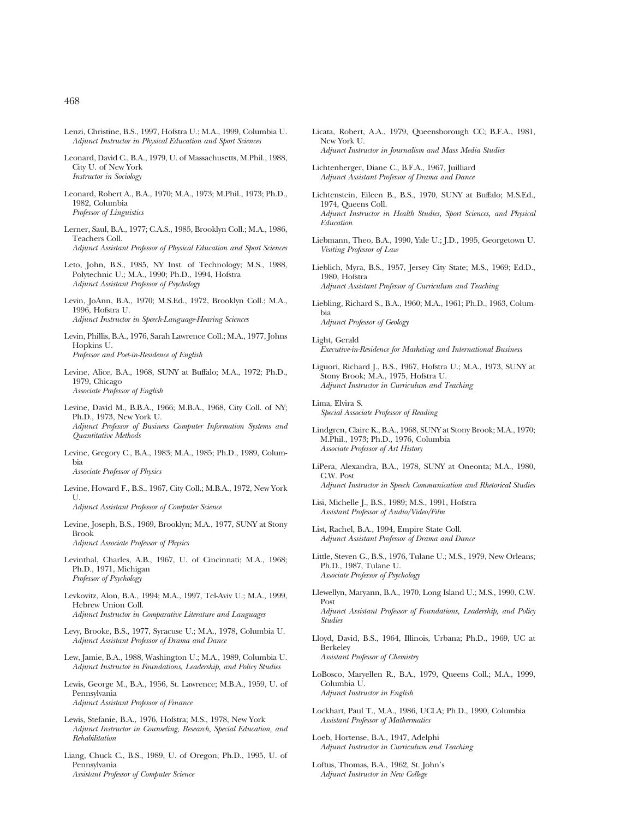- Lenzi, Christine, B.S., 1997, Hofstra U.; M.A., 1999, Columbia U. *Adjunct Instructor in Physical Education and Sport Sciences*
- Leonard, David C., B.A., 1979, U. of Massachusetts, M.Phil., 1988, City U. of New York *Instructor in Sociology*
- Leonard, Robert A., B.A., 1970; M.A., 1973; M.Phil., 1973; Ph.D., 1982, Columbia *Professor of Linguistics*
- Lerner, Saul, B.A., 1977; C.A.S., 1985, Brooklyn Coll.; M.A., 1986, Teachers Coll. *Adjunct Assistant Professor of Physical Education and Sport Sciences*
- Leto, John, B.S., 1985, NY Inst. of Technology; M.S., 1988, Polytechnic U.; M.A., 1990; Ph.D., 1994, Hofstra *Adjunct Assistant Professor of Psychology*
- Levin, JoAnn, B.A., 1970; M.S.Ed., 1972, Brooklyn Coll.; M.A., 1996, Hofstra U. *Adjunct Instructor in Speech-Language-Hearing Sciences*
- Levin, Phillis, B.A., 1976, Sarah Lawrence Coll.; M.A., 1977, Johns Hopkins U. *Professor and Poet-in-Residence of English*
- Levine, Alice, B.A., 1968, SUNY at Buffalo; M.A., 1972; Ph.D., 1979, Chicago *Associate Professor of English*
- Levine, David M., B.B.A., 1966; M.B.A., 1968, City Coll. of NY; Ph.D., 1973, New York U. *Adjunct Professor of Business Computer Information Systems and Quantitative Methods*
- Levine, Gregory C., B.A., 1983; M.A., 1985; Ph.D., 1989, Columbia *Associate Professor of Physics*
- Levine, Howard F., B.S., 1967, City Coll.; M.B.A., 1972, New York U. *Adjunct Assistant Professor of Computer Science*
- Levine, Joseph, B.S., 1969, Brooklyn; M.A., 1977, SUNY at Stony Brook *Adjunct Associate Professor of Physics*
- Levinthal, Charles, A.B., 1967, U. of Cincinnati; M.A., 1968; Ph.D., 1971, Michigan *Professor of Psychology*
- Levkovitz, Alon, B.A., 1994; M.A., 1997, Tel-Aviv U.; M.A., 1999, Hebrew Union Coll. *Adjunct Instructor in Comparative Literature and Languages*
- Levy, Brooke, B.S., 1977, Syracuse U.; M.A., 1978, Columbia U. *Adjunct Assistant Professor of Drama and Dance*
- Lew, Jamie, B.A., 1988, Washington U.; M.A., 1989, Columbia U. *Adjunct Instructor in Foundations, Leadership, and Policy Studies*
- Lewis, George M., B.A., 1956, St. Lawrence; M.B.A., 1959, U. of Pennsylvania *Adjunct Assistant Professor of Finance*
- Lewis, Stefanie, B.A., 1976, Hofstra; M.S., 1978, New York *Adjunct Instructor in Counseling, Research, Special Education, and Rehabilitation*
- Liang, Chuck C., B.S., 1989, U. of Oregon; Ph.D., 1995, U. of Pennsylvania *Assistant Professor of Computer Science*
- Licata, Robert, A.A., 1979, Queensborough CC; B.F.A., 1981, New York U. *Adjunct Instructor in Journalism and Mass Media Studies*
- Lichtenberger, Diane C., B.F.A., 1967, Juilliard *Adjunct Assistant Professor of Drama and Dance*
- Lichtenstein, Eileen B., B.S., 1970, SUNY at Buffalo; M.S.Ed., 1974, Queens Coll. *Adjunct Instructor in Health Studies, Sport Sciences, and Physical Education*
- Liebmann, Theo, B.A., 1990, Yale U.; J.D., 1995, Georgetown U. *Visiting Professor of Law*
- Lieblich, Myra, B.S., 1957, Jersey City State; M.S., 1969; Ed.D., 1980, Hofstra *Adjunct Assistant Professor of Curriculum and Teaching*
- Liebling, Richard S., B.A., 1960; M.A., 1961; Ph.D., 1963, Columbia *Adjunct Professor of Geology*
- Light, Gerald *Executive-in-Residence for Marketing and International Business*
- Liguori, Richard J., B.S., 1967, Hofstra U.; M.A., 1973, SUNY at Stony Brook; M.A., 1975, Hofstra U. *Adjunct Instructor in Curriculum and Teaching*
- Lima, Elvira S. *Special Associate Professor of Reading*
- Lindgren, Claire K., B.A., 1968, SUNY at Stony Brook; M.A., 1970; M.Phil., 1973; Ph.D., 1976, Columbia *Associate Professor of Art History*
- LiPera, Alexandra, B.A., 1978, SUNY at Oneonta; M.A., 1980, C.W. Post *Adjunct Instructor in Speech Communication and Rhetorical Studies*
- Lisi, Michelle J., B.S., 1989; M.S., 1991, Hofstra *Assistant Professor of Audio/Video/Film*
- List, Rachel, B.A., 1994, Empire State Coll. *Adjunct Assistant Professor of Drama and Dance*
- Little, Steven G., B.S., 1976, Tulane U.; M.S., 1979, New Orleans; Ph.D., 1987, Tulane U. *Associate Professor of Psychology*
- Llewellyn, Maryann, B.A., 1970, Long Island U.; M.S., 1990, C.W. Post *Adjunct Assistant Professor of Foundations, Leadership, and Policy Studies*
- Lloyd, David, B.S., 1964, Illinois, Urbana; Ph.D., 1969, UC at Berkeley *Assistant Professor of Chemistry*
- LoBosco, Maryellen R., B.A., 1979, Queens Coll.; M.A., 1999, Columbia U. *Adjunct Instructor in English*
- Lockhart, Paul T., M.A., 1986, UCLA; Ph.D., 1990, Columbia *Assistant Professor of Mathermatics*
- Loeb, Hortense, B.A., 1947, Adelphi *Adjunct Instructor in Curriculum and Teaching*
- Loftus, Thomas, B.A., 1962, St. John's *Adjunct Instructor in New College*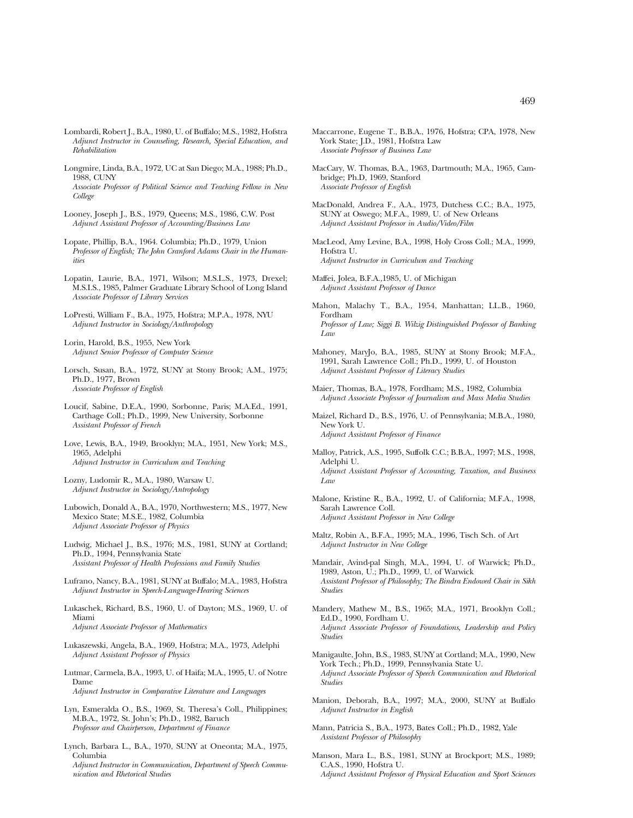- Lombardi, Robert J., B.A., 1980, U. of Buffalo; M.S., 1982, Hofstra *Adjunct Instructor in Counseling, Research, Special Education, and Rehabilitation*
- Longmire, Linda, B.A., 1972, UC at San Diego; M.A., 1988; Ph.D., 1988, CUNY *Associate Professor of Political Science and Teaching Fellow in New College*
- Looney, Joseph J., B.S., 1979, Queens; M.S., 1986, C.W. Post *Adjunct Assistant Professor of Accounting/Business Law*
- Lopate, Phillip, B.A., 1964. Columbia; Ph.D., 1979, Union *Professor of English; The John Cranford Adams Chair in the Humanities*
- Lopatin, Laurie, B.A., 1971, Wilson; M.S.L.S., 1973, Drexel; M.S.I.S., 1985, Palmer Graduate Library School of Long Island *Associate Professor of Library Services*
- LoPresti, William F., B.A., 1975, Hofstra; M.P.A., 1978, NYU *Adjunct Instructor in Sociology/Anthropology*
- Lorin, Harold, B.S., 1955, New York *Adjunct Senior Professor of Computer Science*
- Lorsch, Susan, B.A., 1972, SUNY at Stony Brook; A.M., 1975; Ph.D., 1977, Brown *Associate Professor of English*
- Loucif, Sabine, D.E.A., 1990, Sorbonne, Paris; M.A.Ed., 1991, Carthage Coll.; Ph.D., 1999, New University, Sorbonne *Assistant Professor of French*
- Love, Lewis, B.A., 1949, Brooklyn; M.A., 1951, New York; M.S., 1965, Adelphi *Adjunct Instructor in Curriculum and Teaching*
- Lozny, Ludomir R., M.A., 1980, Warsaw U. *Adjunct Instructor in Sociology/Antropology*
- Lubowich, Donald A., B.A., 1970, Northwestern; M.S., 1977, New Mexico State; M.S.E., 1982, Columbia *Adjunct Associate Professor of Physics*
- Ludwig, Michael J., B.S., 1976; M.S., 1981, SUNY at Cortland; Ph.D., 1994, Pennsylvania State *Assistant Professor of Health Professions and Family Studies*
- Lufrano, Nancy, B.A., 1981, SUNY at Buffalo; M.A., 1983, Hofstra *Adjunct Instructor in Speech-Language-Hearing Sciences*
- Lukaschek, Richard, B.S., 1960, U. of Dayton; M.S., 1969, U. of Miami *Adjunct Associate Professor of Mathematics*
- Lukaszewski, Angela, B.A., 1969, Hofstra; M.A., 1973, Adelphi *Adjunct Assistant Professor of Physics*
- Lutmar, Carmela, B.A., 1993, U. of Haifa; M.A., 1995, U. of Notre Dame *Adjunct Instructor in Comparative Literature and Languages*
- Lyn, Esmeralda O., B.S., 1969, St. Theresa's Coll., Philippines; M.B.A., 1972, St. John's; Ph.D., 1982, Baruch *Professor and Chairperson, Department of Finance*
- Lynch, Barbara L., B.A., 1970, SUNY at Oneonta; M.A., 1975, Columbia

*Adjunct Instructor in Communication, Department of Speech Communication and Rhetorical Studies*

- Maccarrone, Eugene T., B.B.A., 1976, Hofstra; CPA, 1978, New York State; J.D., 1981, Hofstra Law *Associate Professor of Business Law*
- MacCary, W. Thomas, B.A., 1963, Dartmouth; M.A., 1965, Cambridge; Ph.D, 1969, Stanford *Associate Professor of English*
- MacDonald, Andrea F., A.A., 1973, Dutchess C.C.; B.A., 1975, SUNY at Oswego; M.F.A., 1989, U. of New Orleans *Adjunct Assistant Professor in Audio/Video/Film*
- MacLeod, Amy Levine, B.A., 1998, Holy Cross Coll.; M.A., 1999, Hofstra U. *Adjunct Instructor in Curriculum and Teaching*
- Maffei, Jolea, B.F.A.,1985, U. of Michigan *Adjunct Assistant Professor of Dance*
- Mahon, Malachy T., B.A., 1954, Manhattan; LL.B., 1960, Fordham *Professor of Law; Siggi B. Wilzig Distinguished Professor of Banking Law*
- Mahoney, MaryJo, B.A., 1985, SUNY at Stony Brook; M.F.A., 1991, Sarah Lawrence Coll.; Ph.D., 1999, U. of Houston *Adjunct Assistant Professor of Literacy Studies*
- Maier, Thomas, B.A., 1978, Fordham; M.S., 1982, Columbia *Adjunct Associate Professor of Journalism and Mass Media Studies*
- Maizel, Richard D., B.S., 1976, U. of Pennsylvania; M.B.A., 1980, New York U. *Adjunct Assistant Professor of Finance*
- Malloy, Patrick, A.S., 1995, Suffolk C.C.; B.B.A., 1997; M.S., 1998, Adelphi U. *Adjunct Assistant Professor of Accounting, Taxation, and Business Law*
- Malone, Kristine R., B.A., 1992, U. of California; M.F.A., 1998, Sarah Lawrence Coll. *Adjunct Assistant Professor in New College*
- Maltz, Robin A., B.F.A., 1995; M.A., 1996, Tisch Sch. of Art *Adjunct Instructor in New College*
- Mandair, Avind-pal Singh, M.A., 1994, U. of Warwick; Ph.D., 1989, Aston, U.; Ph.D., 1999, U. of Warwick *Assistant Professor of Philosophy; The Bindra Endowed Chair in Sikh Studies*
- Mandery, Mathew M., B.S., 1965; M.A., 1971, Brooklyn Coll.; Ed.D., 1990, Fordham U. *Adjunct Associate Professor of Foundations, Leadership and Policy Studies*
- Manigaulte, John, B.S., 1983, SUNY at Cortland; M.A., 1990, New York Tech.; Ph.D., 1999, Pennsylvania State U. *Adjunct Associate Professor of Speech Communication and Rhetorical Studies*
- Manion, Deborah, B.A., 1997; M.A., 2000, SUNY at Buffalo *Adjunct Instructor in English*
- Mann, Patricia S., B.A., 1973, Bates Coll.; Ph.D., 1982, Yale *Assistant Professor of Philosophy*
- Manson, Mara L., B.S., 1981, SUNY at Brockport; M.S., 1989; C.A.S., 1990, Hofstra U. *Adjunct Assistant Professor of Physical Education and Sport Sciences*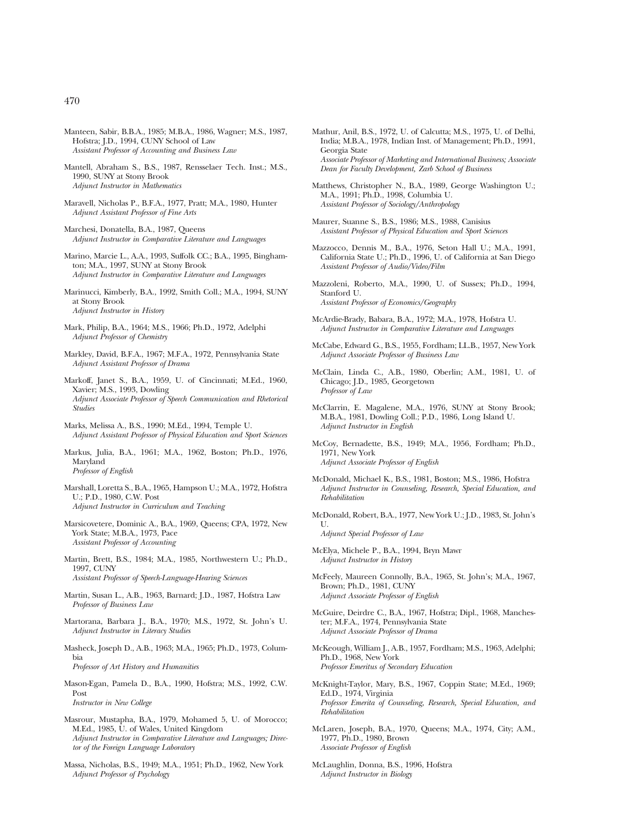- Manteen, Sabir, B.B.A., 1985; M.B.A., 1986, Wagner; M.S., 1987, Hofstra; J.D., 1994, CUNY School of Law *Assistant Professor of Accounting and Business Law*
- Mantell, Abraham S., B.S., 1987, Rensselaer Tech. Inst.; M.S., 1990, SUNY at Stony Brook *Adjunct Instructor in Mathematics*
- Maravell, Nicholas P., B.F.A., 1977, Pratt; M.A., 1980, Hunter *Adjunct Assistant Professor of Fine Arts*
- Marchesi, Donatella, B.A., 1987, Queens *Adjunct Instructor in Comparative Literature and Languages*
- Marino, Marcie L., A.A., 1993, Suffolk CC.; B.A., 1995, Binghamton; M.A., 1997, SUNY at Stony Brook *Adjunct Instructor in Comparative Literature and Languages*
- Marinucci, Kimberly, B.A., 1992, Smith Coll.; M.A., 1994, SUNY at Stony Brook *Adjunct Instructor in History*
- Mark, Philip, B.A., 1964; M.S., 1966; Ph.D., 1972, Adelphi *Adjunct Professor of Chemistry*
- Markley, David, B.F.A., 1967; M.F.A., 1972, Pennsylvania State *Adjunct Assistant Professor of Drama*
- Markoff, Janet S., B.A., 1959, U. of Cincinnati; M.Ed., 1960, Xavier; M.S., 1993, Dowling *Adjunct Associate Professor of Speech Communication and Rhetorical Studies*
- Marks, Melissa A., B.S., 1990; M.Ed., 1994, Temple U. *Adjunct Assistant Professor of Physical Education and Sport Sciences*
- Markus, Julia, B.A., 1961; M.A., 1962, Boston; Ph.D., 1976, Maryland *Professor of English*
- Marshall, Loretta S., B.A., 1965, Hampson U.; M.A., 1972, Hofstra U.; P.D., 1980, C.W. Post *Adjunct Instructor in Curriculum and Teaching*
- Marsicovetere, Dominic A., B.A., 1969, Queens; CPA, 1972, New York State; M.B.A., 1973, Pace *Assistant Professor of Accounting*
- Martin, Brett, B.S., 1984; M.A., 1985, Northwestern U.; Ph.D., 1997, CUNY *Assistant Professor of Speech-Language-Hearing Sciences*
- Martin, Susan L., A.B., 1963, Barnard; J.D., 1987, Hofstra Law *Professor of Business Law*
- Martorana, Barbara J., B.A., 1970; M.S., 1972, St. John's U. *Adjunct Instructor in Literacy Studies*
- Masheck, Joseph D., A.B., 1963; M.A., 1965; Ph.D., 1973, Columbia *Professor of Art History and Humanities*
- Mason-Egan, Pamela D., B.A., 1990, Hofstra; M.S., 1992, C.W. Post *Instructor in New College*
- Masrour, Mustapha, B.A., 1979, Mohamed 5, U. of Morocco; M.Ed., 1985, U. of Wales, United Kingdom *Adjunct Instructor in Comparative Literature and Languages; Director of the Foreign Language Laboratory*
- Massa, Nicholas, B.S., 1949; M.A., 1951; Ph.D., 1962, New York *Adjunct Professor of Psychology*
- Mathur, Anil, B.S., 1972, U. of Calcutta; M.S., 1975, U. of Delhi, India; M.B.A., 1978, Indian Inst. of Management; Ph.D., 1991, Georgia State *Associate Professor of Marketing and International Business; Associate Dean for Faculty Development, Zarb School of Business*
- Matthews, Christopher N., B.A., 1989, George Washington U.; M.A., 1991; Ph.D., 1998, Columbia U. *Assistant Professor of Sociology/Anthropology*
- Maurer, Suanne S., B.S., 1986; M.S., 1988, Canisius *Assistant Professor of Physical Education and Sport Sciences*
- Mazzocco, Dennis M., B.A., 1976, Seton Hall U.; M.A., 1991, California State U.; Ph.D., 1996, U. of California at San Diego *Assistant Professor of Audio/Video/Film*
- Mazzoleni, Roberto, M.A., 1990, U. of Sussex; Ph.D., 1994, Stanford U. *Assistant Professor of Economics/Geography*
- McArdie-Brady, Babara, B.A., 1972; M.A., 1978, Hofstra U. *Adjunct Instructor in Comparative Literature and Languages*
- McCabe, Edward G., B.S., 1955, Fordham; LL.B., 1957, New York *Adjunct Associate Professor of Business Law*
- McClain, Linda C., A.B., 1980, Oberlin; A.M., 1981, U. of Chicago; J.D., 1985, Georgetown *Professor of Law*
- McClarrin, E. Magalene, M.A., 1976, SUNY at Stony Brook; M.B.A., 1981, Dowling Coll.; P.D., 1986, Long Island U. *Adjunct Instructor in English*
- McCoy, Bernadette, B.S., 1949; M.A., 1956, Fordham; Ph.D., 1971, New York *Adjunct Associate Professor of English*
- McDonald, Michael K., B.S., 1981, Boston; M.S., 1986, Hofstra *Adjunct Instructor in Counseling, Research, Special Education, and Rehabilitation*
- McDonald, Robert, B.A., 1977, New York U.; J.D., 1983, St. John's U.

*Adjunct Special Professor of Law*

- McElya, Michele P., B.A., 1994, Bryn Mawr *Adjunct Instructor in History*
- McFeely, Maureen Connolly, B.A., 1965, St. John's; M.A., 1967, Brown; Ph.D., 1981, CUNY *Adjunct Associate Professor of English*
- McGuire, Deirdre C., B.A., 1967, Hofstra; Dipl., 1968, Manchester; M.F.A., 1974, Pennsylvania State *Adjunct Associate Professor of Drama*
- McKeough, William J., A.B., 1957, Fordham; M.S., 1963, Adelphi; Ph.D., 1968, New York *Professor Emeritus of Secondary Education*
- McKnight-Taylor, Mary, B.S., 1967, Coppin State; M.Ed., 1969; Ed.D., 1974, Virginia *Professor Emerita of Counseling, Research, Special Education, and Rehabilitation*
- McLaren, Joseph, B.A., 1970, Queens; M.A., 1974, City; A.M., 1977, Ph.D., 1980, Brown *Associate Professor of English*
- McLaughlin, Donna, B.S., 1996, Hofstra *Adjunct Instructor in Biology*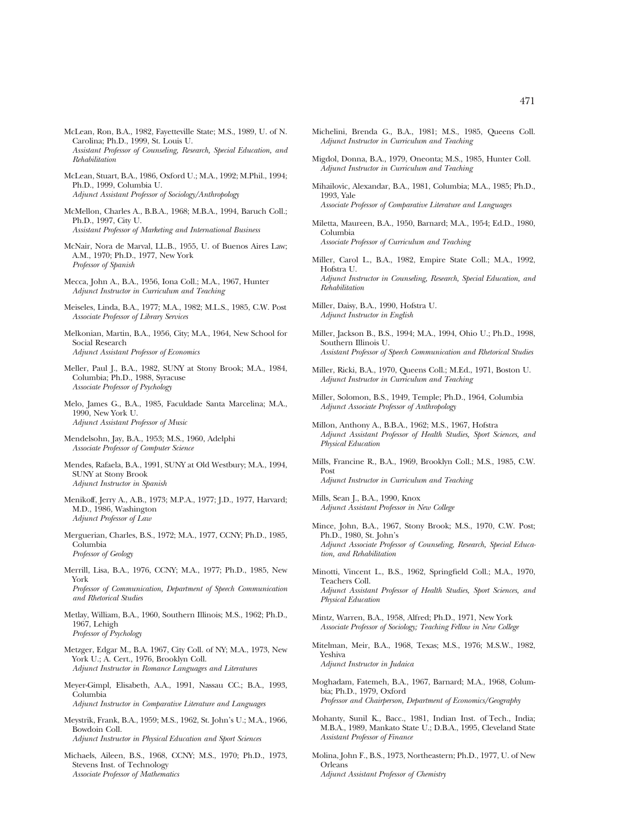- McLean, Ron, B.A., 1982, Fayetteville State; M.S., 1989, U. of N. Carolina; Ph.D., 1999, St. Louis U. *Assistant Professor of Counseling, Research, Special Education, and Rehabilitation*
- McLean, Stuart, B.A., 1986, Oxford U.; M.A., 1992; M.Phil., 1994; Ph.D., 1999, Columbia U. *Adjunct Assistant Professor of Sociology/Anthropology*
- McMellon, Charles A., B.B.A., 1968; M.B.A., 1994, Baruch Coll.; Ph.D., 1997, City U. *Assistant Professor of Marketing and International Business*
- McNair, Nora de Marval, LL.B., 1955, U. of Buenos Aires Law; A.M., 1970; Ph.D., 1977, New York *Professor of Spanish*
- Mecca, John A., B.A., 1956, Iona Coll.; M.A., 1967, Hunter *Adjunct Instructor in Curriculum and Teaching*
- Meiseles, Linda, B.A., 1977; M.A., 1982; M.L.S., 1985, C.W. Post *Associate Professor of Library Services*
- Melkonian, Martin, B.A., 1956, City; M.A., 1964, New School for Social Research *Adjunct Assistant Professor of Economics*
- Meller, Paul J., B.A., 1982, SUNY at Stony Brook; M.A., 1984, Columbia; Ph.D., 1988, Syracuse *Associate Professor of Psychology*
- Melo, James G., B.A., 1985, Faculdade Santa Marcelina; M.A., 1990, New York U. *Adjunct Assistant Professor of Music*
- Mendelsohn, Jay, B.A., 1953; M.S., 1960, Adelphi *Associate Professor of Computer Science*
- Mendes, Rafaela, B.A., 1991, SUNY at Old Westbury; M.A., 1994, SUNY at Stony Brook *Adjunct Instructor in Spanish*
- Menikoff, Jerry A., A.B., 1973; M.P.A., 1977; J.D., 1977, Harvard; M.D., 1986, Washington *Adjunct Professor of Law*
- Merguerian, Charles, B.S., 1972; M.A., 1977, CCNY; Ph.D., 1985, Columbia *Professor of Geology*
- Merrill, Lisa, B.A., 1976, CCNY; M.A., 1977; Ph.D., 1985, New York *Professor of Communication, Department of Speech Communication and Rhetorical Studies*
- Metlay, William, B.A., 1960, Southern Illinois; M.S., 1962; Ph.D., 1967, Lehigh *Professor of Psychology*
- Metzger, Edgar M., B.A. 1967, City Coll. of NY; M.A., 1973, New York U.; A. Cert., 1976, Brooklyn Coll. *Adjunct Instructor in Romance Languages and Literatures*
- Meyer-Gimpl, Elisabeth, A.A., 1991, Nassau CC.; B.A., 1993, Columbia *Adjunct Instructor in Comparative Literature and Languages*
- Meystrik, Frank, B.A., 1959; M.S., 1962, St. John's U.; M.A., 1966, Bowdoin Coll. *Adjunct Instructor in Physical Education and Sport Sciences*
- Michaels, Aileen, B.S., 1968, CCNY; M.S., 1970; Ph.D., 1973, Stevens Inst. of Technology *Associate Professor of Mathematics*
- Michelini, Brenda G., B.A., 1981; M.S., 1985, Queens Coll. *Adjunct Instructor in Curriculum and Teaching*
- Migdol, Donna, B.A., 1979, Oneonta; M.S., 1985, Hunter Coll. *Adjunct Instructor in Curriculum and Teaching*
- Mihailovic, Alexandar, B.A., 1981, Columbia; M.A., 1985; Ph.D., 1993, Yale *Associate Professor of Comparative Literature and Languages*
- Miletta, Maureen, B.A., 1950, Barnard; M.A., 1954; Ed.D., 1980, Columbia *Associate Professor of Curriculum and Teaching*
- Miller, Carol L., B.A., 1982, Empire State Coll.; M.A., 1992, Hofstra U. *Adjunct Instructor in Counseling, Research, Special Education, and Rehabilitation*
- Miller, Daisy, B.A., 1990, Hofstra U. *Adjunct Instructor in English*
- Miller, Jackson B., B.S., 1994; M.A., 1994, Ohio U.; Ph.D., 1998, Southern Illinois U. *Assistant Professor of Speech Communication and Rhetorical Studies*
- Miller, Ricki, B.A., 1970, Queens Coll.; M.Ed., 1971, Boston U. *Adjunct Instructor in Curriculum and Teaching*
- Miller, Solomon, B.S., 1949, Temple; Ph.D., 1964, Columbia *Adjunct Associate Professor of Anthropology*
- Millon, Anthony A., B.B.A., 1962; M.S., 1967, Hofstra *Adjunct Assistant Professor of Health Studies, Sport Sciences, and Physical Education*
- Mills, Francine R., B.A., 1969, Brooklyn Coll.; M.S., 1985, C.W. Post *Adjunct Instructor in Curriculum and Teaching*
- Mills, Sean J., B.A., 1990, Knox *Adjunct Assistant Professor in New College*
- Mince, John, B.A., 1967, Stony Brook; M.S., 1970, C.W. Post; Ph.D., 1980, St. John's *Adjunct Associate Professor of Counseling, Research, Special Education, and Rehabilitation*
- Minotti, Vincent L., B.S., 1962, Springfield Coll.; M.A., 1970, Teachers Coll. *Adjunct Assistant Professor of Health Studies, Sport Sciences, and Physical Education*
- Mintz, Warren, B.A., 1958, Alfred; Ph.D., 1971, New York *Associate Professor of Sociology; Teaching Fellow in New College*
- Mitelman, Meir, B.A., 1968, Texas; M.S., 1976; M.S.W., 1982, Yeshiva *Adjunct Instructor in Judaica*
- Moghadam, Fatemeh, B.A., 1967, Barnard; M.A., 1968, Columbia; Ph.D., 1979, Oxford *Professor and Chairperson, Department of Economics/Geography*
- Mohanty, Sunil K., Bacc., 1981, Indian Inst. of Tech., India; M.B.A., 1989, Mankato State U.; D.B.A., 1995, Cleveland State *Assistant Professor of Finance*
- Molina, John F., B.S., 1973, Northeastern; Ph.D., 1977, U. of New Orleans *Adjunct Assistant Professor of Chemistry*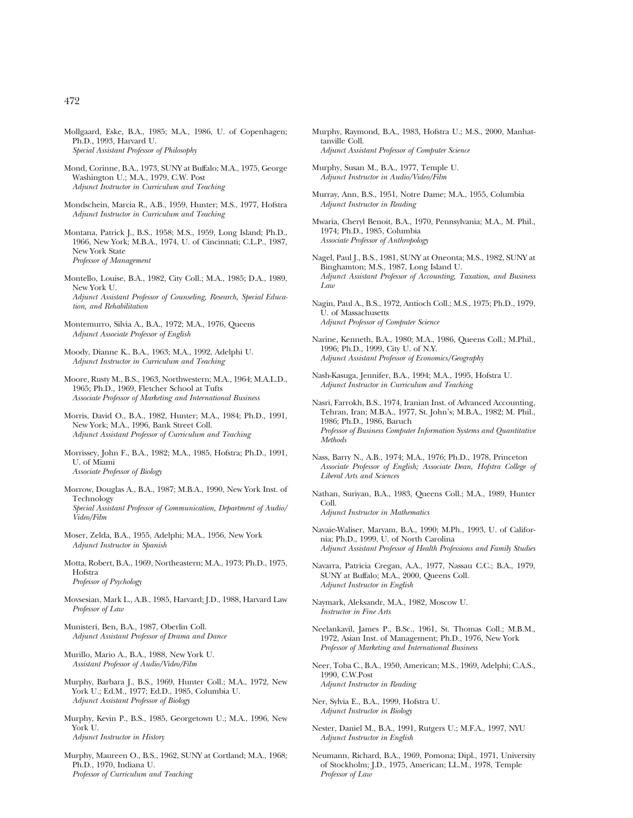- Mollgaard, Eske, B.A., 1985; M.A., 1986, U. of Copenhagen; Ph.D., 1993, Harvard U. *Special Assistant Professor of Philosophy*
- Mond, Corinne, B.A., 1973, SUNY at Buffalo; M.A., 1975, George Washington U.; M.A., 1979, C.W. Post *Adjunct Instructor in Curriculum and Teaching*
- Mondschein, Marcia R., A.B., 1959, Hunter; M.S., 1977, Hofstra *Adjunct Instructor in Curriculum and Teaching*
- Montana, Patrick J., B.S., 1958; M.S., 1959, Long Island; Ph.D., 1966, New York; M.B.A., 1974, U. of Cincinnati; C.L.P., 1987, New York State *Professor of Management*
- Montello, Louise, B.A., 1982, City Coll.; M.A., 1985; D.A., 1989, New York U. *Adjunct Assistant Professor of Counseling, Research, Special Education, and Rehabilitation*
- Montemurro, Silvia A., B.A., 1972; M.A., 1976, Queens *Adjunct Associate Professor of English*
- Moody, Dianne K., B.A., 1963; M.A., 1992, Adelphi U. *Adjunct Instructor in Curriculum and Teaching*
- Moore, Rusty M., B.S., 1963, Northwestern; M.A., 1964; M.A.L.D., 1965; Ph.D., 1969, Fletcher School at Tufts *Associate Professor of Marketing and International Business*
- Morris, David O., B.A., 1982, Hunter; M.A., 1984; Ph.D., 1991, New York; M.A., 1996, Bank Street Coll. *Adjunct Assistant Professor of Curriculum and Teaching*
- Morrissey, John F., B.A., 1982; M.A., 1985, Hofstra; Ph.D., 1991, U. of Miami *Associate Professor of Biology*
- Morrow, Douglas A., B.A., 1987; M.B.A., 1990, New York Inst. of Technology *Special Assistant Professor of Communication, Department of Audio/ Video/Film*
- Moser, Zelda, B.A., 1955, Adelphi; M.A., 1956, New York *Adjunct Instructor in Spanish*
- Motta, Robert, B.A., 1969, Northeastern; M.A., 1973; Ph.D., 1975, Hofstra *Professor of Psychology*
- Movsesian, Mark L., A.B., 1985, Harvard; J.D., 1988, Harvard Law *Professor of Law*
- Munisteri, Ben, B.A., 1987, Oberlin Coll. *Adjunct Assistant Professor of Drama and Dance*
- Murillo, Mario A., B.A., 1988, New York U. *Assistant Professor of Audio/Video/Film*
- Murphy, Barbara J., B.S., 1969, Hunter Coll.; M.A., 1972, New York U.; Ed.M., 1977; Ed.D., 1985, Columbia U. *Adjunct Assistant Professor of Biology*
- Murphy, Kevin P., B.S., 1985, Georgetown U.; M.A., 1996, New York U. *Adjunct Instructor in History*
- Murphy, Maureen O., B.S., 1962, SUNY at Cortland; M.A., 1968; Ph.D., 1970, Indiana U. *Professor of Curriculum and Teaching*
- Murphy, Raymond, B.A., 1983, Hofstra U.; M.S., 2000, Manhattanville Coll. *Adjunct Assistant Professor of Computer Science*
- Murphy, Susan M., B.A., 1977, Temple U. *Adjunct Instructor in Audio/Video/Film*
- Murray, Ann, B.S., 1951, Notre Dame; M.A., 1955, Columbia *Adjunct Instructor in Reading*
- Mwaria, Cheryl Benoit, B.A., 1970, Pennsylvania; M.A., M. Phil., 1974; Ph.D., 1985, Columbia *Associate Professor of Anthropology*
- Nagel, Paul J., B.S., 1981, SUNY at Oneonta; M.S., 1982, SUNY at Binghamton; M.S., 1987, Long Island U. *Adjunct Assistant Professor of Accounting, Taxation, and Business Law*
- Nagin, Paul A., B.S., 1972, Antioch Coll.; M.S., 1975; Ph.D., 1979, U. of Massachusetts *Adjunct Professor of Computer Science*
- Narine, Kenneth, B.A., 1980; M.A., 1986, Queens Coll.; M.Phil., 1996; Ph.D., 1999, City U. of N.Y. *Adjunct Assistant Professor of Economics/Geography*
- Nash-Kasuga, Jennifer, B.A., 1994; M.A., 1995, Hofstra U. *Adjunct Instructor in Curriculum and Teaching*
- Nasri, Farrokh, B.S., 1974, Iranian Inst. of Advanced Accounting, Tehran, Iran; M.B.A., 1977, St. John's; M.B.A., 1982; M. Phil., 1986; Ph.D., 1986, Baruch *Professor of Business Computer Information Systems and Quantitative Methods*
- Nass, Barry N., A.B., 1974; M.A., 1976; Ph.D., 1978, Princeton *Associate Professor of English; Associate Dean, Hofstra College of Liberal Arts and Sciences*
- Nathan, Suriyan, B.A., 1983, Queens Coll.; M.A., 1989, Hunter Coll.

*Adjunct Instructor in Mathematics*

- Navaie-Waliser, Maryam, B.A., 1990; M.Ph., 1993, U. of California; Ph.D., 1999, U. of North Carolina *Adjunct Assistant Professor of Health Professions and Family Studies*
- Navarra, Patricia Cregan, A.A., 1977, Nassau C.C.; B.A., 1979, SUNY at Buffalo; M.A., 2000, Queens Coll. *Adjunct Instructor in English*
- Naymark, Aleksandr, M.A., 1982, Moscow U. *Instructor in Fine Arts*
- Neelankavil, James P., B.Sc., 1961, St. Thomas Coll.; M.B.M., 1972, Asian Inst. of Management; Ph.D., 1976, New York *Professor of Marketing and International Business*
- Neer, Toba C., B.A., 1950, American; M.S., 1969, Adelphi; C.A.S., 1990, C.W.Post *Adjunct Instructor in Reading*
- Ner, Sylvia E., B.A., 1999, Hofstra U. *Adjunct Instructor in Biology*
- Nester, Daniel M., B.A., 1991, Rutgers U.; M.F.A., 1997, NYU *Adjunct Instructor in English*
- Neumann, Richard, B.A., 1969, Pomona; Dipl., 1971, University of Stockholm; J.D., 1975, American; LL.M., 1978, Temple *Professor of Law*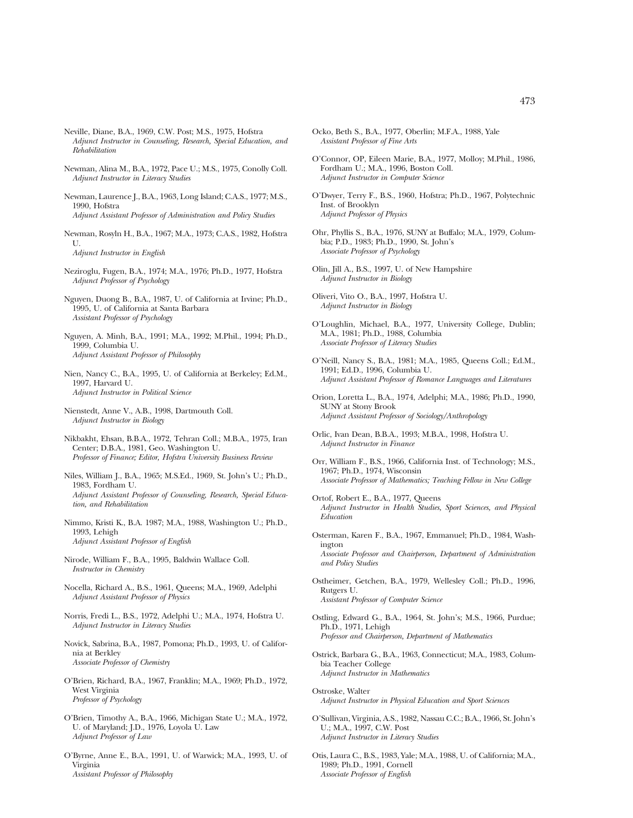- Neville, Diane, B.A., 1969, C.W. Post; M.S., 1975, Hofstra *Adjunct Instructor in Counseling, Research, Special Education, and Rehabilitation*
- Newman, Alina M., B.A., 1972, Pace U.; M.S., 1975, Conolly Coll. *Adjunct Instructor in Literacy Studies*
- Newman, Laurence J., B.A., 1963, Long Island; C.A.S., 1977; M.S., 1990, Hofstra *Adjunct Assistant Professor of Administration and Policy Studies*
- Newman, Rosyln H., B.A., 1967; M.A., 1973; C.A.S., 1982, Hofstra  $U$ *Adjunct Instructor in English*
- Neziroglu, Fugen, B.A., 1974; M.A., 1976; Ph.D., 1977, Hofstra *Adjunct Professor of Psychology*
- Nguyen, Duong B., B.A., 1987, U. of California at Irvine; Ph.D., 1995, U. of California at Santa Barbara *Assistant Professor of Psychology*
- Nguyen, A. Minh, B.A., 1991; M.A., 1992; M.Phil., 1994; Ph.D., 1999, Columbia U. *Adjunct Assistant Professor of Philosophy*
- Nien, Nancy C., B.A., 1995, U. of California at Berkeley; Ed.M., 1997, Harvard U. *Adjunct Instructor in Political Science*
- Nienstedt, Anne V., A.B., 1998, Dartmouth Coll. *Adjunct Instructor in Biology*
- Nikbakht, Ehsan, B.B.A., 1972, Tehran Coll.; M.B.A., 1975, Iran Center; D.B.A., 1981, Geo. Washington U. *Professor of Finance; Editor, Hofstra University Business Review*
- Niles, William J., B.A., 1965; M.S.Ed., 1969, St. John's U.; Ph.D., 1983, Fordham U. *Adjunct Assistant Professor of Counseling, Research, Special Education, and Rehabilitation*
- Nimmo, Kristi K., B.A. 1987; M.A., 1988, Washington U.; Ph.D., 1993, Lehigh *Adjunct Assistant Professor of English*
- Nirode, William F., B.A., 1995, Baldwin Wallace Coll. *Instructor in Chemistry*
- Nocella, Richard A., B.S., 1961, Queens; M.A., 1969, Adelphi *Adjunct Assistant Professor of Physics*
- Norris, Fredi L., B.S., 1972, Adelphi U.; M.A., 1974, Hofstra U. *Adjunct Instructor in Literacy Studies*
- Novick, Sabrina, B.A., 1987, Pomona; Ph.D., 1993, U. of California at Berkley *Associate Professor of Chemistry*
- O'Brien, Richard, B.A., 1967, Franklin; M.A., 1969; Ph.D., 1972, West Virginia *Professor of Psychology*
- O'Brien, Timothy A., B.A., 1966, Michigan State U.; M.A., 1972, U. of Maryland; J.D., 1976, Loyola U. Law *Adjunct Professor of Law*
- O'Byrne, Anne E., B.A., 1991, U. of Warwick; M.A., 1993, U. of Virginia *Assistant Professor of Philosophy*
- Ocko, Beth S., B.A., 1977, Oberlin; M.F.A., 1988, Yale *Assistant Professor of Fine Arts*
- O'Connor, OP, Eileen Marie, B.A., 1977, Molloy; M.Phil., 1986, Fordham U.; M.A., 1996, Boston Coll. *Adjunct Instructor in Computer Science*
- O'Dwyer, Terry F., B.S., 1960, Hofstra; Ph.D., 1967, Polytechnic Inst. of Brooklyn *Adjunct Professor of Physics*
- Ohr, Phyllis S., B.A., 1976, SUNY at Buffalo; M.A., 1979, Columbia; P.D., 1983; Ph.D., 1990, St. John's *Associate Professor of Psychology*
- Olin, Jill A., B.S., 1997, U. of New Hampshire *Adjunct Instructor in Biology*
- Oliveri, Vito O., B.A., 1997, Hofstra U. *Adjunct Instructor in Biology*
- O'Loughlin, Michael, B.A., 1977, University College, Dublin; M.A., 1981; Ph.D., 1988, Columbia *Associate Professor of Literacy Studies*
- O'Neill, Nancy S., B.A., 1981; M.A., 1985, Queens Coll.; Ed.M., 1991; Ed.D., 1996, Columbia U. *Adjunct Assistant Professor of Romance Languages and Literatures*
- Orion, Loretta L., B.A., 1974, Adelphi; M.A., 1986; Ph.D., 1990, SUNY at Stony Brook *Adjunct Assistant Professor of Sociology/Anthropology*
- Orlic, Ivan Dean, B.B.A., 1993; M.B.A., 1998, Hofstra U. *Adjunct Instructor in Finance*
- Orr, William F., B.S., 1966, California Inst. of Technology; M.S., 1967; Ph.D., 1974, Wisconsin *Associate Professor of Mathematics; Teaching Fellow in New College*
- Ortof, Robert E., B.A., 1977, Queens *Adjunct Instructor in Health Studies, Sport Sciences, and Physical Education*
- Osterman, Karen F., B.A., 1967, Emmanuel; Ph.D., 1984, Washington *Associate Professor and Chairperson, Department of Administration and Policy Studies*
- Ostheimer, Getchen, B.A., 1979, Wellesley Coll.; Ph.D., 1996, Rutgers U. *Assistant Professor of Computer Science*
- Ostling, Edward G., B.A., 1964, St. John's; M.S., 1966, Purdue; Ph.D., 1971, Lehigh *Professor and Chairperson, Department of Mathematics*
- Ostrick, Barbara G., B.A., 1963, Connecticut; M.A., 1983, Columbia Teacher College *Adjunct Instructor in Mathematics*
- Ostroske, Walter *Adjunct Instructor in Physical Education and Sport Sciences*
- O'Sullivan, Virginia, A.S., 1982, Nassau C.C.; B.A., 1966, St. John's U.; M.A., 1997, C.W. Post *Adjunct Instructor in Literacy Studies*
- Otis, Laura C., B.S., 1983, Yale; M.A., 1988, U. of California; M.A., 1989; Ph.D., 1991, Cornell *Associate Professor of English*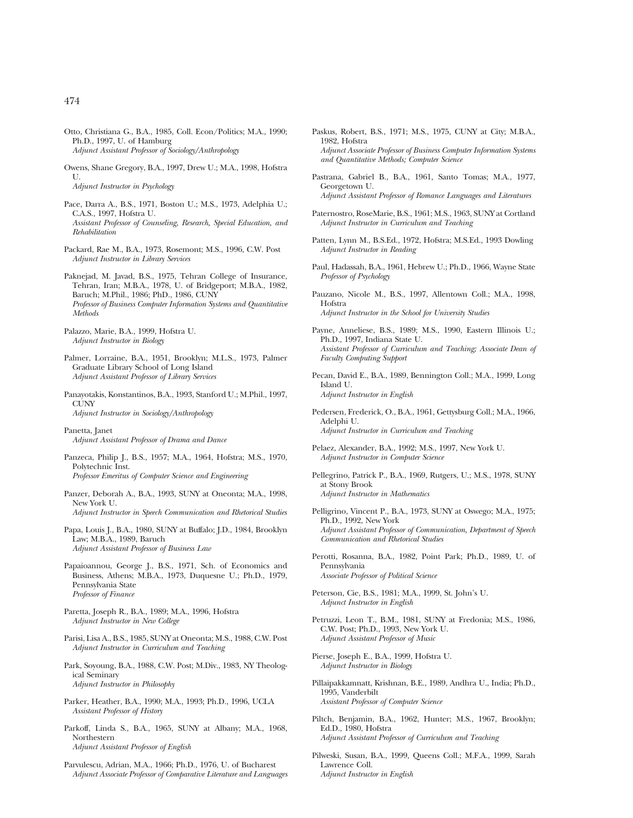- Otto, Christiana G., B.A., 1985, Coll. Econ/Politics; M.A., 1990; Ph.D., 1997, U. of Hamburg *Adjunct Assistant Professor of Sociology/Anthropology*
- Owens, Shane Gregory, B.A., 1997, Drew U.; M.A., 1998, Hofstra U. *Adjunct Instructor in Psychology*
- Pace, Darra A., B.S., 1971, Boston U.; M.S., 1973, Adelphia U.; C.A.S., 1997, Hofstra U. *Assistant Professor of Counseling, Research, Special Education, and Rehabilitation*
- Packard, Rae M., B.A., 1973, Rosemont; M.S., 1996, C.W. Post *Adjunct Instructor in Library Services*
- Paknejad, M. Javad, B.S., 1975, Tehran College of Insurance, Tehran, Iran; M.B.A., 1978, U. of Bridgeport; M.B.A., 1982, Baruch; M.Phil., 1986; PhD., 1986, CUNY *Professor of Business Computer Information Systems and Quantitative Methods*
- Palazzo, Marie, B.A., 1999, Hofstra U. *Adjunct Instructor in Biology*
- Palmer, Lorraine, B.A., 1951, Brooklyn; M.L.S., 1973, Palmer Graduate Library School of Long Island *Adjunct Assistant Professor of Library Services*
- Panayotakis, Konstantinos, B.A., 1993, Stanford U.; M.Phil., 1997, **CUNV** *Adjunct Instructor in Sociology/Anthropology*
- Panetta, Janet *Adjunct Assistant Professor of Drama and Dance*
- Panzeca, Philip J., B.S., 1957; M.A., 1964, Hofstra; M.S., 1970, Polytechnic Inst. *Professor Emeritus of Computer Science and Engineering*
- Panzer, Deborah A., B.A., 1993, SUNY at Oneonta; M.A., 1998, New York U. *Adjunct Instructor in Speech Communication and Rhetorical Studies*
- Papa, Louis J., B.A., 1980, SUNY at Buffalo; J.D., 1984, Brooklyn Law; M.B.A., 1989, Baruch *Adjunct Assistant Professor of Business Law*
- Papaioannou, George J., B.S., 1971, Sch. of Economics and Business, Athens; M.B.A., 1973, Duquesne U.; Ph.D., 1979, Pennsylvania State *Professor of Finance*
- Paretta, Joseph R., B.A., 1989; M.A., 1996, Hofstra *Adjunct Instructor in New College*
- Parisi, Lisa A., B.S., 1985, SUNY at Oneonta; M.S., 1988, C.W. Post *Adjunct Instructor in Curriculum and Teaching*
- Park, Soyoung, B.A., 1988, C.W. Post; M.Div., 1983, NY Theological Seminary *Adjunct Instructor in Philosophy*
- Parker, Heather, B.A., 1990; M.A., 1993; Ph.D., 1996, UCLA *Assistant Professor of History*
- Parkoff, Linda S., B.A., 1965, SUNY at Albany; M.A., 1968, Northestern *Adjunct Assistant Professor of English*
- Parvulescu, Adrian, M.A., 1966; Ph.D., 1976, U. of Bucharest *Adjunct Associate Professor of Comparative Literature and Languages*
- Paskus, Robert, B.S., 1971; M.S., 1975, CUNY at City; M.B.A., 1982, Hofstra *Adjunct Associate Professor of Business Computer Information Systems and Quantitative Methods; Computer Science*
- Pastrana, Gabriel B., B.A., 1961, Santo Tomas; M.A., 1977, Georgetown U. *Adjunct Assistant Professor of Romance Languages and Literatures*
- Paternostro, RoseMarie, B.S., 1961; M.S., 1963, SUNY at Cortland *Adjunct Instructor in Curriculum and Teaching*
- Patten, Lynn M., B.S.Ed., 1972, Hofstra; M.S.Ed., 1993 Dowling *Adjunct Instructor in Reading*
- Paul, Hadassah, B.A., 1961, Hebrew U.; Ph.D., 1966, Wayne State *Professor of Psychology*
- Pauzano, Nicole M., B.S., 1997, Allentown Coll.; M.A., 1998, Hofstra *Adjunct Instructor in the School for University Studies*
- Payne, Anneliese, B.S., 1989; M.S., 1990, Eastern Illinois U.; Ph.D., 1997, Indiana State U. *Assistant Professor of Curriculum and Teaching; Associate Dean of Faculty Computing Support*
- Pecan, David E., B.A., 1989, Bennington Coll.; M.A., 1999, Long Island U. *Adjunct Instructor in English*
- Pedersen, Frederick, O., B.A., 1961, Gettysburg Coll.; M.A., 1966, Adelphi U. *Adjunct Instructor in Curriculum and Teaching*
- Pelaez, Alexander, B.A., 1992; M.S., 1997, New York U. *Adjunct Instructor in Computer Science*
- Pellegrino, Patrick P., B.A., 1969, Rutgers, U.; M.S., 1978, SUNY at Stony Brook *Adjunct Instructor in Mathematics*
- Pelligrino, Vincent P., B.A., 1973, SUNY at Oswego; M.A., 1975; Ph.D., 1992, New York *Adjunct Assistant Professor of Communication, Department of Speech Communication and Rhetorical Studies*
- Perotti, Rosanna, B.A., 1982, Point Park; Ph.D., 1989, U. of Pennsylvania *Associate Professor of Political Science*
- Peterson, Cie, B.S., 1981; M.A., 1999, St. John's U. *Adjunct Instructor in English*
- Petruzzi, Leon T., B.M., 1981, SUNY at Fredonia; M.S., 1986, C.W. Post; Ph.D., 1993, New York U. *Adjunct Assistant Professor of Music*
- Pierse, Joseph E., B.A., 1999, Hofstra U. *Adjunct Instructor in Biology*
- Pillaipakkamnatt, Krishnan, B.E., 1989, Andhra U., India; Ph.D., 1995, Vanderbilt *Assistant Professor of Computer Science*
- Piltch, Benjamin, B.A., 1962, Hunter; M.S., 1967, Brooklyn; Ed.D., 1980, Hofstra *Adjunct Assistant Professor of Curriculum and Teaching*
- Pilweski, Susan, B.A., 1999, Queens Coll.; M.F.A., 1999, Sarah Lawrence Coll. *Adjunct Instructor in English*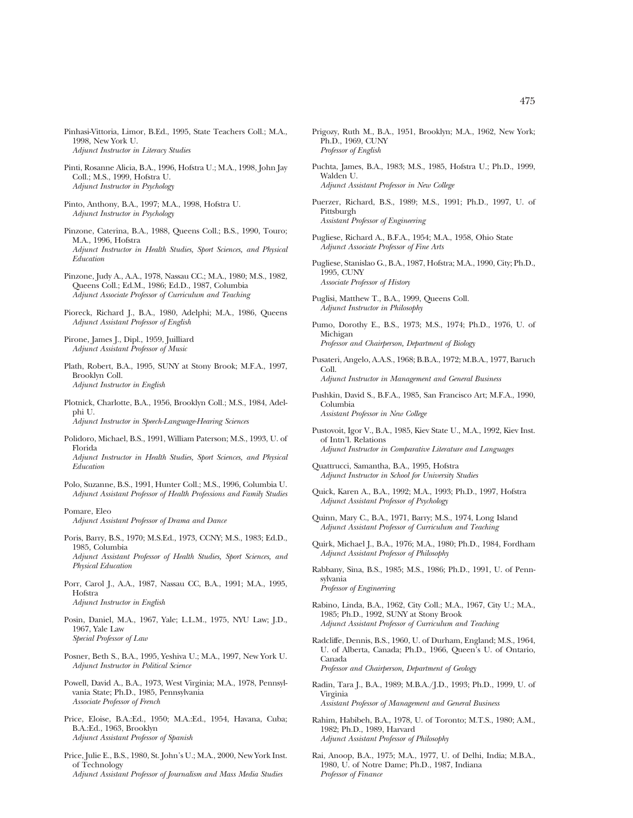- Pinhasi-Vittoria, Limor, B.Ed., 1995, State Teachers Coll.; M.A., 1998, New York U. *Adjunct Instructor in Literacy Studies*
- Pinti, Rosanne Alicia, B.A., 1996, Hofstra U.; M.A., 1998, John Jay Coll.; M.S., 1999, Hofstra U. *Adjunct Instructor in Psychology*
- Pinto, Anthony, B.A., 1997; M.A., 1998, Hofstra U. *Adjunct Instructor in Psychology*
- Pinzone, Caterina, B.A., 1988, Queens Coll.; B.S., 1990, Touro; M.A., 1996, Hofstra *Adjunct Instructor in Health Studies, Sport Sciences, and Physical Education*
- Pinzone, Judy A., A.A., 1978, Nassau CC.; M.A., 1980; M.S., 1982, Queens Coll.; Ed.M., 1986; Ed.D., 1987, Columbia *Adjunct Associate Professor of Curriculum and Teaching*
- Pioreck, Richard J., B.A., 1980, Adelphi; M.A., 1986, Queens *Adjunct Assistant Professor of English*
- Pirone, James J., Dipl., 1959, Juilliard *Adjunct Assistant Professor of Music*
- Plath, Robert, B.A., 1995, SUNY at Stony Brook; M.F.A., 1997, Brooklyn Coll. *Adjunct Instructor in English*
- Plotnick, Charlotte, B.A., 1956, Brooklyn Coll.; M.S., 1984, Adelphi U. *Adjunct Instructor in Speech-Language-Hearing Sciences*
- Polidoro, Michael, B.S., 1991, William Paterson; M.S., 1993, U. of Florida *Adjunct Instructor in Health Studies, Sport Sciences, and Physical Education*
- Polo, Suzanne, B.S., 1991, Hunter Coll.; M.S., 1996, Columbia U. *Adjunct Assistant Professor of Health Professions and Family Studies*

Pomare, Eleo *Adjunct Assistant Professor of Drama and Dance*

- Poris, Barry, B.S., 1970; M.S.Ed., 1973, CCNY; M.S., 1983; Ed.D., 1985, Columbia *Adjunct Assistant Professor of Health Studies, Sport Sciences, and Physical Education*
- Porr, Carol J., A.A., 1987, Nassau CC, B.A., 1991; M.A., 1995, Hofstra *Adjunct Instructor in English*
- Posin, Daniel, M.A., 1967, Yale; L.L.M., 1975, NYU Law; J.D., 1967, Yale Law *Special Professor of Law*
- Posner, Beth S., B.A., 1995, Yeshiva U.; M.A., 1997, New York U. *Adjunct Instructor in Political Science*
- Powell, David A., B.A., 1973, West Virginia; M.A., 1978, Pennsylvania State; Ph.D., 1985, Pennsylvania *Associate Professor of French*
- Price, Eloise, B.A.:Ed., 1950; M.A.:Ed., 1954, Havana, Cuba; B.A.:Ed., 1963, Brooklyn *Adjunct Assistant Professor of Spanish*
- Price, Julie E., B.S., 1980, St. John's U.; M.A., 2000, New York Inst. of Technology *Adjunct Assistant Professor of Journalism and Mass Media Studies*
- Prigozy, Ruth M., B.A., 1951, Brooklyn; M.A., 1962, New York; Ph.D., 1969, CUNY *Professor of English*
- Puchta, James, B.A., 1983; M.S., 1985, Hofstra U.; Ph.D., 1999, Walden U. *Adjunct Assistant Professor in New College*
- Puerzer, Richard, B.S., 1989; M.S., 1991; Ph.D., 1997, U. of Pittsburgh *Assistant Professor of Engineering*
- Pugliese, Richard A., B.F.A., 1954; M.A., 1958, Ohio State *Adjunct Associate Professor of Fine Arts*
- Pugliese, Stanislao G., B.A., 1987, Hofstra; M.A., 1990, City; Ph.D., 1995, CUNY *Associate Professor of History*
- Puglisi, Matthew T., B.A., 1999, Queens Coll. *Adjunct Instructor in Philosophy*
- Pumo, Dorothy E., B.S., 1973; M.S., 1974; Ph.D., 1976, U. of Michigan *Professor and Chairperson, Department of Biology*
- Pusateri, Angelo, A.A.S., 1968; B.B.A., 1972; M.B.A., 1977, Baruch Coll. *Adjunct Instructor in Management and General Business*
- Pushkin, David S., B.F.A., 1985, San Francisco Art; M.F.A., 1990, Columbia *Assistant Professor in New College*
- Pustovoit, Igor V., B.A., 1985, Kiev State U., M.A., 1992, Kiev Inst. of Intn'l. Relations *Adjunct Instructor in Comparative Literature and Languages*
- Quattrucci, Samantha, B.A., 1995, Hofstra *Adjunct Instructor in School for University Studies*
- Quick, Karen A., B.A., 1992; M.A., 1993; Ph.D., 1997, Hofstra *Adjunct Assistant Professor of Psychology*
- Quinn, Mary C., B.A., 1971, Barry; M.S., 1974, Long Island *Adjunct Assistant Professor of Curriculum and Teaching*
- Quirk, Michael J., B.A., 1976; M.A., 1980; Ph.D., 1984, Fordham *Adjunct Assistant Professor of Philosophy*
- Rabbany, Sina, B.S., 1985; M.S., 1986; Ph.D., 1991, U. of Pennsylvania *Professor of Engineering*
- Rabino, Linda, B.A., 1962, City Coll.; M.A., 1967, City U.; M.A., 1985; Ph.D., 1992, SUNY at Stony Brook *Adjunct Assistant Professor of Curriculum and Teaching*
- Radcliffe, Dennis, B.S., 1960, U. of Durham, England; M.S., 1964, U. of Alberta, Canada; Ph.D., 1966, Queen's U. of Ontario, Canada *Professor and Chairperson, Department of Geology*
- Radin, Tara J., B.A., 1989; M.B.A./J.D., 1993; Ph.D., 1999, U. of Virginia *Assistant Professor of Management and General Business*
- Rahim, Habibeh, B.A., 1978, U. of Toronto; M.T.S., 1980; A.M., 1982; Ph.D., 1989, Harvard *Adjunct Assistant Professor of Philosophy*
- Rai, Anoop, B.A., 1975; M.A., 1977, U. of Delhi, India; M.B.A., 1980, U. of Notre Dame; Ph.D., 1987, Indiana *Professor of Finance*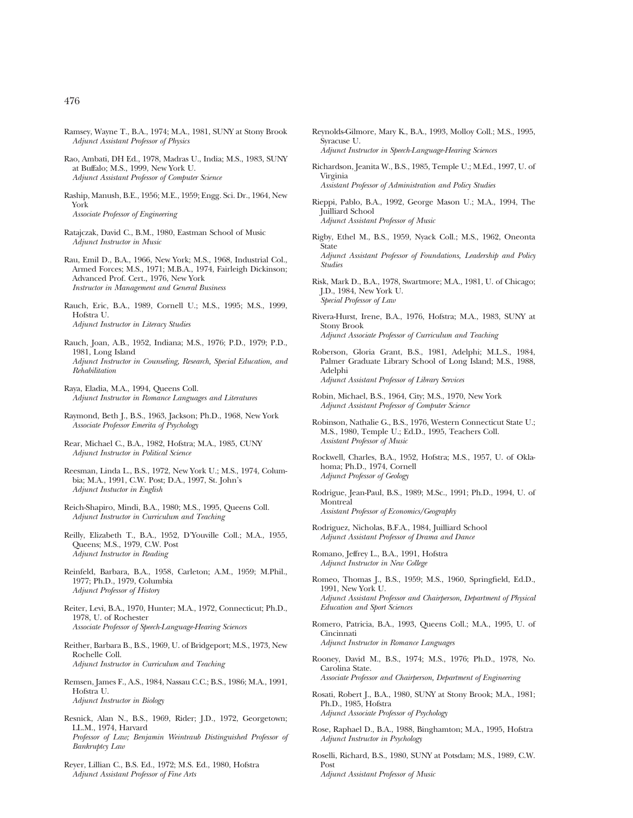- Ramsey, Wayne T., B.A., 1974; M.A., 1981, SUNY at Stony Brook *Adjunct Assistant Professor of Physics*
- Rao, Ambati, DH Ed., 1978, Madras U., India; M.S., 1983, SUNY at Buffalo; M.S., 1999, New York U. *Adjunct Assistant Professor of Computer Science*
- Raship, Manush, B.E., 1956; M.E., 1959; Engg. Sci. Dr., 1964, New York *Associate Professor of Engineering*
- Ratajczak, David C., B.M., 1980, Eastman School of Music *Adjunct Instructor in Music*
- Rau, Emil D., B.A., 1966, New York; M.S., 1968, Industrial Col., Armed Forces; M.S., 1971; M.B.A., 1974, Fairleigh Dickinson; Advanced Prof. Cert., 1976, New York *Instructor in Management and General Business*
- Rauch, Eric, B.A., 1989, Cornell U.; M.S., 1995; M.S., 1999, Hofstra U. *Adjunct Instructor in Literacy Studies*
- Rauch, Joan, A.B., 1952, Indiana; M.S., 1976; P.D., 1979; P.D., 1981, Long Island *Adjunct Instructor in Counseling, Research, Special Education, and Rehabilitation*
- Raya, Eladia, M.A., 1994, Queens Coll. *Adjunct Instructor in Romance Languages and Literatures*
- Raymond, Beth J., B.S., 1963, Jackson; Ph.D., 1968, New York *Associate Professor Emerita of Psychology*
- Rear, Michael C., B.A., 1982, Hofstra; M.A., 1985, CUNY *Adjunct Instructor in Political Science*
- Reesman, Linda L., B.S., 1972, New York U.; M.S., 1974, Columbia; M.A., 1991, C.W. Post; D.A., 1997, St. John's *Adjunct Instuctor in English*
- Reich-Shapiro, Mindi, B.A., 1980; M.S., 1995, Queens Coll. *Adjunct Instructor in Curriculum and Teaching*
- Reilly, Elizabeth T., B.A., 1952, D'Youville Coll.; M.A., 1955, Queens; M.S., 1979, C.W. Post *Adjunct Instructor in Reading*
- Reinfeld, Barbara, B.A., 1958, Carleton; A.M., 1959; M.Phil., 1977; Ph.D., 1979, Columbia *Adjunct Professor of History*
- Reiter, Levi, B.A., 1970, Hunter; M.A., 1972, Connecticut; Ph.D., 1978, U. of Rochester *Associate Professor of Speech-Language-Hearing Sciences*
- Reither, Barbara B., B.S., 1969, U. of Bridgeport; M.S., 1973, New Rochelle Coll. *Adjunct Instructor in Curriculum and Teaching*
- Remsen, James F., A.S., 1984, Nassau C.C.; B.S., 1986; M.A., 1991, Hofstra U. *Adjunct Instructor in Biology*
- Resnick, Alan N., B.S., 1969, Rider; J.D., 1972, Georgetown; LL.M., 1974, Harvard *Professor of Law; Benjamin Weintraub Distinguished Professor of Bankruptcy Law*
- Reyer, Lillian C., B.S. Ed., 1972; M.S. Ed., 1980, Hofstra *Adjunct Assistant Professor of Fine Arts*
- Reynolds-Gilmore, Mary K., B.A., 1993, Molloy Coll.; M.S., 1995, Syracuse U. *Adjunct Instructor in Speech-Language-Hearing Sciences*
- Richardson, Jeanita W., B.S., 1985, Temple U.; M.Ed., 1997, U. of Virginia *Assistant Professor of Administration and Policy Studies*
- Rieppi, Pablo, B.A., 1992, George Mason U.; M.A., 1994, The Juilliard School *Adjunct Assistant Professor of Music*
- Rigby, Ethel M., B.S., 1959, Nyack Coll.; M.S., 1962, Oneonta State *Adjunct Assistant Professor of Foundations, Leadership and Policy Studies*
- Risk, Mark D., B.A., 1978, Swartmore; M.A., 1981, U. of Chicago; J.D., 1984, New York U. *Special Professor of Law*
- Rivera-Hurst, Irene, B.A., 1976, Hofstra; M.A., 1983, SUNY at Stony Brook *Adjunct Associate Professor of Curriculum and Teaching*
- Roberson, Gloria Grant, B.S., 1981, Adelphi; M.L.S., 1984, Palmer Graduate Library School of Long Island; M.S., 1988, Adelphi *Adjunct Assistant Professor of Library Services*
- Robin, Michael, B.S., 1964, City; M.S., 1970, New York *Adjunct Assistant Professor of Computer Science*
- Robinson, Nathalie G., B.S., 1976, Western Connecticut State U.; M.S., 1980, Temple U.; Ed.D., 1995, Teachers Coll. *Assistant Professor of Music*
- Rockwell, Charles, B.A., 1952, Hofstra; M.S., 1957, U. of Oklahoma; Ph.D., 1974, Cornell *Adjunct Professor of Geology*
- Rodrigue, Jean-Paul, B.S., 1989; M.Sc., 1991; Ph.D., 1994, U. of Montreal *Assistant Professor of Economics/Geography*
- Rodriguez, Nicholas, B.F.A., 1984, Juilliard School *Adjunct Assistant Professor of Drama and Dance*

Romano, Jeffrey L., B.A., 1991, Hofstra *Adjunct Instructor in New College*

- Romeo, Thomas J., B.S., 1959; M.S., 1960, Springfield, Ed.D., 1991, New York U. *Adjunct Assistant Professor and Chairperson, Department of Physical Education and Sport Sciences*
- Romero, Patricia, B.A., 1993, Queens Coll.; M.A., 1995, U. of Cincinnati *Adjunct Instructor in Romance Languages*
- Rooney, David M., B.S., 1974; M.S., 1976; Ph.D., 1978, No. Carolina State. *Associate Professor and Chairperson, Department of Engineering*
- Rosati, Robert J., B.A., 1980, SUNY at Stony Brook; M.A., 1981; Ph.D., 1985, Hofstra *Adjunct Associate Professor of Psychology*
- Rose, Raphael D., B.A., 1988, Binghamton; M.A., 1995, Hofstra *Adjunct Instructor in Psychology*
- Roselli, Richard, B.S., 1980, SUNY at Potsdam; M.S., 1989, C.W. Post

*Adjunct Assistant Professor of Music*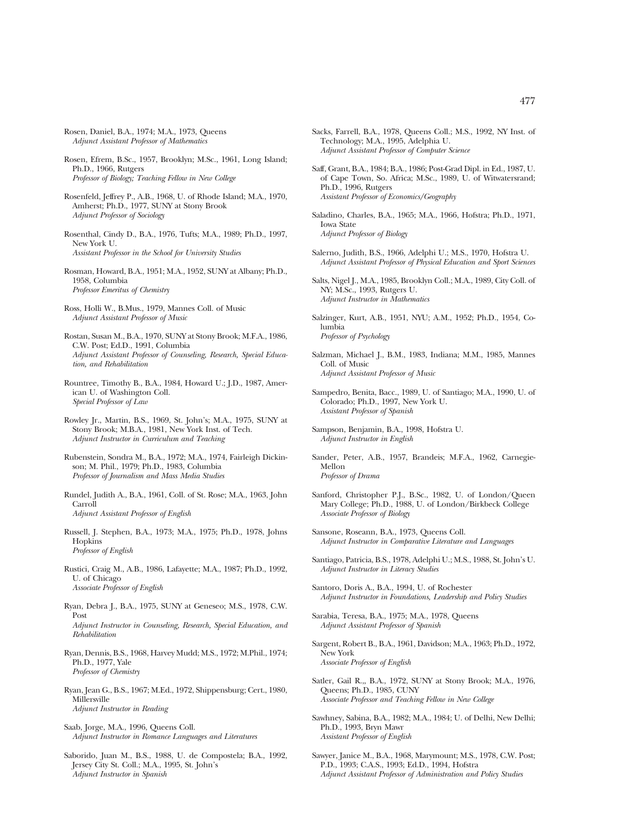- Rosen, Daniel, B.A., 1974; M.A., 1973, Queens *Adjunct Assistant Professor of Mathematics*
- Rosen, Efrem, B.Sc., 1957, Brooklyn; M.Sc., 1961, Long Island; Ph.D., 1966, Rutgers *Professor of Biology; Teaching Fellow in New College*
- Rosenfeld, Jeffrey P., A.B., 1968, U. of Rhode Island; M.A., 1970, Amherst; Ph.D., 1977, SUNY at Stony Brook *Adjunct Professor of Sociology*
- Rosenthal, Cindy D., B.A., 1976, Tufts; M.A., 1989; Ph.D., 1997, New York U. *Assistant Professor in the School for University Studies*
- Rosman, Howard, B.A., 1951; M.A., 1952, SUNY at Albany; Ph.D., 1958, Columbia *Professor Emeritus of Chemistry*
- Ross, Holli W., B.Mus., 1979, Mannes Coll. of Music *Adjunct Assistant Professor of Music*
- Rostan, Susan M., B.A., 1970, SUNY at Stony Brook; M.F.A., 1986, C.W. Post; Ed.D., 1991, Columbia *Adjunct Assistant Professor of Counseling, Research, Special Education, and Rehabilitation*
- Rountree, Timothy B., B.A., 1984, Howard U.; J.D., 1987, American U. of Washington Coll. *Special Professor of Law*
- Rowley Jr., Martin, B.S., 1969, St. John's; M.A., 1975, SUNY at Stony Brook; M.B.A., 1981, New York Inst. of Tech. *Adjunct Instructor in Curriculum and Teaching*
- Rubenstein, Sondra M., B.A., 1972; M.A., 1974, Fairleigh Dickinson; M. Phil., 1979; Ph.D., 1983, Columbia *Professor of Journalism and Mass Media Studies*
- Rundel, Judith A., B.A., 1961, Coll. of St. Rose; M.A., 1963, John Carroll *Adjunct Assistant Professor of English*
- Russell, J. Stephen, B.A., 1973; M.A., 1975; Ph.D., 1978, Johns Hopkins *Professor of English*
- Rustici, Craig M., A.B., 1986, Lafayette; M.A., 1987; Ph.D., 1992, U. of Chicago *Associate Professor of English*
- Ryan, Debra J., B.A., 1975, SUNY at Geneseo; M.S., 1978, C.W. Post *Adjunct Instructor in Counseling, Research, Special Education, and Rehabilitation*
- Ryan, Dennis, B.S., 1968, Harvey Mudd; M.S., 1972; M.Phil., 1974; Ph.D., 1977, Yale *Professor of Chemistry*
- Ryan, Jean G., B.S., 1967; M.Ed., 1972, Shippensburg; Cert., 1980, Millersville *Adjunct Instructor in Reading*
- Saab, Jorge, M.A., 1996, Queens Coll. *Adjunct Instructor in Romance Languages and Literatures*
- Saborido, Juan M., B.S., 1988, U. de Compostela; B.A., 1992, Jersey City St. Coll.; M.A., 1995, St. John's *Adjunct Instructor in Spanish*
- Sacks, Farrell, B.A., 1978, Queens Coll.; M.S., 1992, NY Inst. of Technology; M.A., 1995, Adelphia U. *Adjunct Assistant Professor of Computer Science*
- Saff, Grant, B.A., 1984; B.A., 1986; Post-Grad Dipl. in Ed., 1987, U. of Cape Town, So. Africa; M.Sc., 1989, U. of Witwatersrand; Ph.D., 1996, Rutgers *Assistant Professor of Economics/Geography*
- Saladino, Charles, B.A., 1965; M.A., 1966, Hofstra; Ph.D., 1971, Iowa State *Adjunct Professor of Biology*
- Salerno, Judith, B.S., 1966, Adelphi U.; M.S., 1970, Hofstra U. *Adjunct Assistant Professor of Physical Education and Sport Sciences*
- Salts, Nigel J., M.A., 1985, Brooklyn Coll.; M.A., 1989, City Coll. of NY; M.Sc., 1993, Rutgers U. *Adjunct Instructor in Mathematics*
- Salzinger, Kurt, A.B., 1951, NYU; A.M., 1952; Ph.D., 1954, Columbia *Professor of Psychology*
- Salzman, Michael J., B.M., 1983, Indiana; M.M., 1985, Mannes Coll. of Music *Adjunct Assistant Professor of Music*
- Sampedro, Benita, Bacc., 1989, U. of Santiago; M.A., 1990, U. of Colorado; Ph.D., 1997, New York U. *Assistant Professor of Spanish*

Sampson, Benjamin, B.A., 1998, Hofstra U. *Adjunct Instructor in English*

- Sander, Peter, A.B., 1957, Brandeis; M.F.A., 1962, Carnegie-Mellon *Professor of Drama*
- Sanford, Christopher P.J., B.Sc., 1982, U. of London/Queen Mary College; Ph.D., 1988, U. of London/Birkbeck College *Associate Professor of Biology*
- Sansone, Roseann, B.A., 1973, Queens Coll. *Adjunct Instructor in Comparative Literature and Languages*
- Santiago, Patricia, B.S., 1978, Adelphi U.; M.S., 1988, St. John's U. *Adjunct Instructor in Literacy Studies*
- Santoro, Doris A., B.A., 1994, U. of Rochester *Adjunct Instructor in Foundations, Leadership and Policy Studies*
- Sarabia, Teresa, B.A., 1975; M.A., 1978, Queens *Adjunct Assistant Professor of Spanish*
- Sargent, Robert B., B.A., 1961, Davidson; M.A., 1963; Ph.D., 1972, New York *Associate Professor of English*
- Satler, Gail R.,, B.A., 1972, SUNY at Stony Brook; M.A., 1976, Queens; Ph.D., 1985, CUNY *Associate Professor and Teaching Fellow in New College*
- Sawhney, Sabina, B.A., 1982; M.A., 1984; U. of Delhi, New Delhi; Ph.D., 1993, Bryn Mawr *Assistant Professor of English*
- Sawyer, Janice M., B.A., 1968, Marymount; M.S., 1978, C.W. Post; P.D., 1993; C.A.S., 1993; Ed.D., 1994, Hofstra *Adjunct Assistant Professor of Administration and Policy Studies*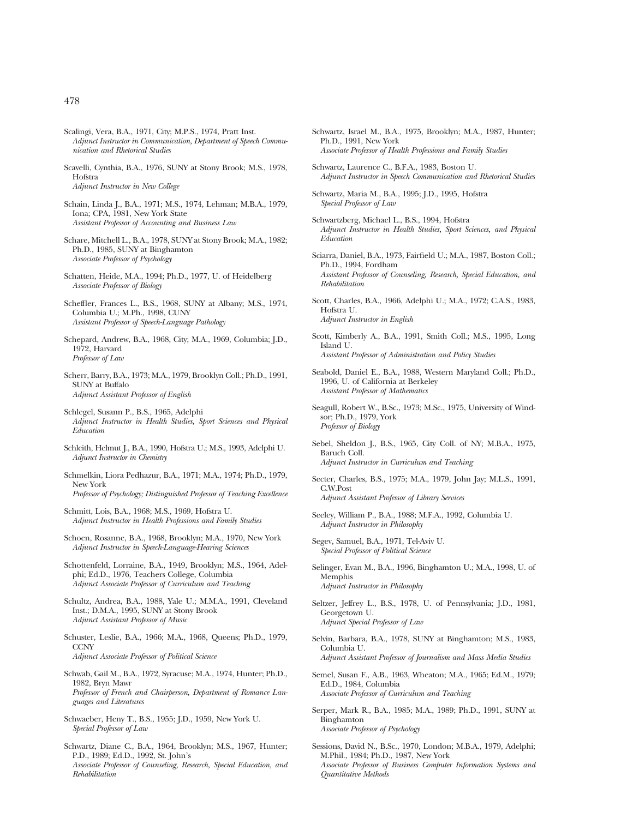- Scalingi, Vera, B.A., 1971, City; M.P.S., 1974, Pratt Inst. *Adjunct Instructor in Communication, Department of Speech Communication and Rhetorical Studies*
- Scavelli, Cynthia, B.A., 1976, SUNY at Stony Brook; M.S., 1978, Hofstra *Adjunct Instructor in New College*
- Schain, Linda J., B.A., 1971; M.S., 1974, Lehman; M.B.A., 1979, Iona; CPA, 1981, New York State *Assistant Professor of Accounting and Business Law*
- Schare, Mitchell L., B.A., 1978, SUNY at Stony Brook; M.A., 1982; Ph.D., 1985, SUNY at Binghamton *Associate Professor of Psychology*
- Schatten, Heide, M.A., 1994; Ph.D., 1977, U. of Heidelberg *Associate Professor of Biology*
- Scheffler, Frances L., B.S., 1968, SUNY at Albany; M.S., 1974, Columbia U.; M.Ph., 1998, CUNY *Assistant Professor of Speech-Language Pathology*
- Schepard, Andrew, B.A., 1968, City; M.A., 1969, Columbia; J.D., 1972, Harvard *Professor of Law*
- Scherr, Barry, B.A., 1973; M.A., 1979, Brooklyn Coll.; Ph.D., 1991, SUNY at Buffalo *Adjunct Assistant Professor of English*
- Schlegel, Susann P., B.S., 1965, Adelphi *Adjunct Instructor in Health Studies, Sport Sciences and Physical Education*
- Schleith, Helmut J., B.A., 1990, Hofstra U.; M.S., 1993, Adelphi U. *Adjunct Instructor in Chemistry*
- Schmelkin, Liora Pedhazur, B.A., 1971; M.A., 1974; Ph.D., 1979, New York *Professor of Psychology; Distinguished Professor of Teaching Excellence*
- Schmitt, Lois, B.A., 1968; M.S., 1969, Hofstra U. *Adjunct Instructor in Health Professions and Family Studies*
- Schoen, Rosanne, B.A., 1968, Brooklyn; M.A., 1970, New York *Adjunct Instructor in Speech-Language-Hearing Sciences*
- Schottenfeld, Lorraine, B.A., 1949, Brooklyn; M.S., 1964, Adelphi; Ed.D., 1976, Teachers College, Columbia *Adjunct Associate Professor of Curriculum and Teaching*
- Schultz, Andrea, B.A., 1988, Yale U.; M.M.A., 1991, Cleveland Inst.; D.M.A., 1995, SUNY at Stony Brook *Adjunct Assistant Professor of Music*
- Schuster, Leslie, B.A., 1966; M.A., 1968, Queens; Ph.D., 1979, **CCNY** *Adjunct Associate Professor of Political Science*
- Schwab, Gail M., B.A., 1972, Syracuse; M.A., 1974, Hunter; Ph.D., 1982, Bryn Mawr *Professor of French and Chairperson, Department of Romance Languages and Literatures*
- Schwaeber, Heny T., B.S., 1955; J.D., 1959, New York U. *Special Professor of Law*
- Schwartz, Diane C., B.A., 1964, Brooklyn; M.S., 1967, Hunter; P.D., 1989; Ed.D., 1992, St. John's *Associate Professor of Counseling, Research, Special Education, and Rehabilitation*
- Schwartz, Israel M., B.A., 1975, Brooklyn; M.A., 1987, Hunter; Ph.D., 1991, New York *Associate Professor of Health Professions and Family Studies*
- Schwartz, Laurence C., B.F.A., 1983, Boston U. *Adjunct Instructor in Speech Communication and Rhetorical Studies*
- Schwartz, Maria M., B.A., 1995; J.D., 1995, Hofstra *Special Professor of Law*
- Schwartzberg, Michael L., B.S., 1994, Hofstra *Adjunct Instructor in Health Studies, Sport Sciences, and Physical Education*
- Sciarra, Daniel, B.A., 1973, Fairfield U.; M.A., 1987, Boston Coll.; Ph.D., 1994, Fordham *Assistant Professor of Counseling, Research, Special Education, and Rehabilitation*
- Scott, Charles, B.A., 1966, Adelphi U.; M.A., 1972; C.A.S., 1983, Hofstra U. *Adjunct Instructor in English*
- Scott, Kimberly A., B.A., 1991, Smith Coll.; M.S., 1995, Long Island U. *Assistant Professor of Administration and Policy Studies*
- Seabold, Daniel E., B.A., 1988, Western Maryland Coll.; Ph.D., 1996, U. of California at Berkeley *Assistant Professor of Mathematics*
- Seagull, Robert W., B.Sc., 1973; M.Sc., 1975, University of Windsor; Ph.D., 1979, York *Professor of Biology*
- Sebel, Sheldon J., B.S., 1965, City Coll. of NY; M.B.A., 1975, Baruch Coll. *Adjunct Instructor in Curriculum and Teaching*
- Secter, Charles, B.S., 1975; M.A., 1979, John Jay; M.L.S., 1991, C.W.Post *Adjunct Assistant Professor of Library Services*
- Seeley, William P., B.A., 1988; M.F.A., 1992, Columbia U. *Adjunct Instructor in Philosophy*

Segev, Samuel, B.A., 1971, Tel-Aviv U. *Special Professor of Political Science*

- Selinger, Evan M., B.A., 1996, Binghamton U.; M.A., 1998, U. of Memphis *Adjunct Instructor in Philosophy*
- Seltzer, Jeffrey L., B.S., 1978, U. of Pennsylvania; J.D., 1981, Georgetown U. *Adjunct Special Professor of Law*
- Selvin, Barbara, B.A., 1978, SUNY at Binghamton; M.S., 1983, Columbia U. *Adjunct Assistant Professor of Journalism and Mass Media Studies*
- Semel, Susan F., A.B., 1963, Wheaton; M.A., 1965; Ed.M., 1979; Ed.D., 1984, Columbia *Associate Professor of Curriculum and Teaching*
- Serper, Mark R., B.A., 1985; M.A., 1989; Ph.D., 1991, SUNY at Binghamton *Associate Professor of Psychology*
- Sessions, David N., B.Sc., 1970, London; M.B.A., 1979, Adelphi; M.Phil., 1984; Ph.D., 1987, New York *Associate Professor of Business Computer Information Systems and Quantitative Methods*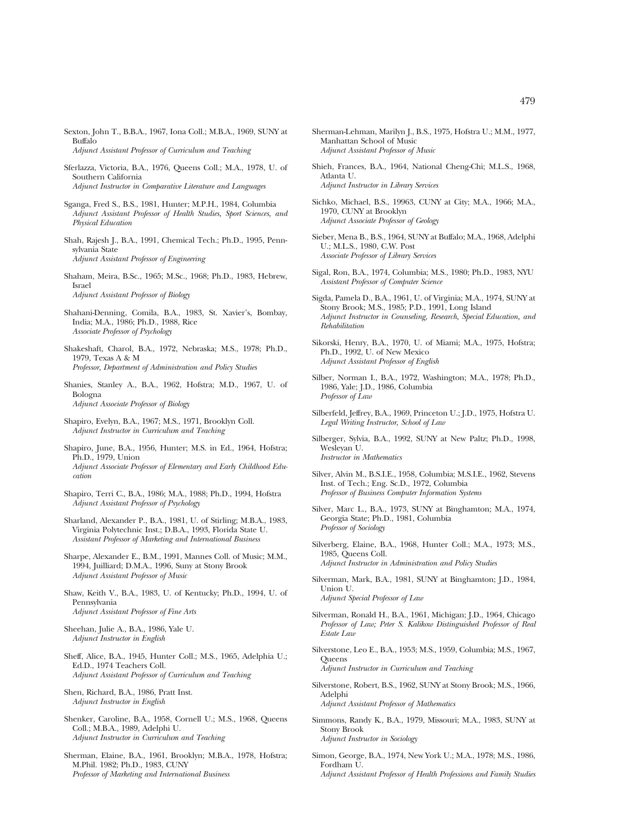- Sexton, John T., B.B.A., 1967, Iona Coll.; M.B.A., 1969, SUNY at Buffalo *Adjunct Assistant Professor of Curriculum and Teaching*
- Sferlazza, Victoria, B.A., 1976, Queens Coll.; M.A., 1978, U. of Southern California *Adjunct Instructor in Comparative Literature and Languages*
- Sganga, Fred S., B.S., 1981, Hunter; M.P.H., 1984, Columbia *Adjunct Assistant Professor of Health Studies, Sport Sciences, and Physical Education*
- Shah, Rajesh J., B.A., 1991, Chemical Tech.; Ph.D., 1995, Pennsylvania State *Adjunct Assistant Professor of Engineering*
- Shaham, Meira, B.Sc., 1965; M.Sc., 1968; Ph.D., 1983, Hebrew, Israel *Adjunct Assistant Professor of Biology*
- Shahani-Denning, Comila, B.A., 1983, St. Xavier's, Bombay, India; M.A., 1986; Ph.D., 1988, Rice *Associate Professor of Psychology*
- Shakeshaft, Charol, B.A., 1972, Nebraska; M.S., 1978; Ph.D., 1979, Texas A & M *Professor, Department of Administration and Policy Studies*
- Shanies, Stanley A., B.A., 1962, Hofstra; M.D., 1967, U. of Bologna *Adjunct Associate Professor of Biology*
- Shapiro, Evelyn, B.A., 1967; M.S., 1971, Brooklyn Coll. *Adjunct Instructor in Curriculum and Teaching*
- Shapiro, June, B.A., 1956, Hunter; M.S. in Ed., 1964, Hofstra; Ph.D., 1979, Union *Adjunct Associate Professor of Elementary and Early Childhood Education*
- Shapiro, Terri C., B.A., 1986; M.A., 1988; Ph.D., 1994, Hofstra *Adjunct Assistant Professor of Psychology*
- Sharland, Alexander P., B.A., 1981, U. of Stirling; M.B.A., 1983, Virginia Polytechnic Inst.; D.B.A., 1993, Florida State U. *Assistant Professor of Marketing and International Business*
- Sharpe, Alexander E., B.M., 1991, Mannes Coll. of Music; M.M., 1994, Juilliard; D.M.A., 1996, Suny at Stony Brook *Adjunct Assistant Professor of Music*
- Shaw, Keith V., B.A., 1983, U. of Kentucky; Ph.D., 1994, U. of Pennsylvania *Adjunct Assistant Professor of Fine Arts*
- Sheehan, Julie A., B.A., 1986, Yale U. *Adjunct Instructor in English*
- Sheff, Alice, B.A., 1945, Hunter Coll.; M.S., 1965, Adelphia U.; Ed.D., 1974 Teachers Coll. *Adjunct Assistant Professor of Curriculum and Teaching*
- Shen, Richard, B.A., 1986, Pratt Inst. *Adjunct Instructor in English*
- Shenker, Caroline, B.A., 1958, Cornell U.; M.S., 1968, Queens Coll.; M.B.A., 1989, Adelphi U. *Adjunct Instructor in Curriculum and Teaching*
- Sherman, Elaine, B.A., 1961, Brooklyn; M.B.A., 1978, Hofstra; M.Phil. 1982; Ph.D., 1983, CUNY *Professor of Marketing and International Business*
- Sherman-Lehman, Marilyn J., B.S., 1975, Hofstra U.; M.M., 1977, Manhattan School of Music *Adjunct Assistant Professor of Music*
- Shieh, Frances, B.A., 1964, National Cheng-Chi; M.L.S., 1968, Atlanta U. *Adjunct Instructor in Library Services*
- Sichko, Michael, B.S., 19963, CUNY at City; M.A., 1966; M.A., 1970, CUNY at Brooklyn *Adjunct Associate Professor of Geology*
- Sieber, Mena B., B.S., 1964, SUNY at Buffalo; M.A., 1968, Adelphi U.; M.L.S., 1980, C.W. Post *Associate Professor of Library Services*
- Sigal, Ron, B.A., 1974, Columbia; M.S., 1980; Ph.D., 1983, NYU *Assistant Professor of Computer Science*
- Sigda, Pamela D., B.A., 1961, U. of Virginia; M.A., 1974, SUNY at Stony Brook; M.S., 1985; P.D., 1991, Long Island *Adjunct Instructor in Counseling, Research, Special Education, and Rehabilitation*
- Sikorski, Henry, B.A., 1970, U. of Miami; M.A., 1975, Hofstra; Ph.D., 1992, U. of New Mexico *Adjunct Assistant Professor of English*
- Silber, Norman I., B.A., 1972, Washington; M.A., 1978; Ph.D., 1986, Yale; J.D., 1986, Columbia *Professor of Law*
- Silberfeld, Jeffrey, B.A., 1969, Princeton U.; J.D., 1975, Hofstra U. *Legal Writing Instructor, School of Law*
- Silberger, Sylvia, B.A., 1992, SUNY at New Paltz; Ph.D., 1998, Wesleyan U. *Instructor in Mathematics*
- Silver, Alvin M., B.S.I.E., 1958, Columbia; M.S.I.E., 1962, Stevens Inst. of Tech.; Eng. Sc.D., 1972, Columbia *Professor of Business Computer Information Systems*
- Silver, Marc L., B.A., 1973, SUNY at Binghamton; M.A., 1974, Georgia State; Ph.D., 1981, Columbia *Professor of Sociology*
- Silverberg, Elaine, B.A., 1968, Hunter Coll.; M.A., 1973; M.S., 1985, Queens Coll. *Adjunct Instructor in Administration and Policy Studies*
- Silverman, Mark, B.A., 1981, SUNY at Binghamton; J.D., 1984, Union U. *Adjunct Special Professor of Law*
- Silverman, Ronald H., B.A., 1961, Michigan; J.D., 1964, Chicago *Professor of Law; Peter S. Kalikow Distinguished Professor of Real Estate Law*
- Silverstone, Leo E., B.A., 1953; M.S., 1959, Columbia; M.S., 1967, **Queens** *Adjunct Instructor in Curriculum and Teaching*
- Silverstone, Robert, B.S., 1962, SUNY at Stony Brook; M.S., 1966, Adelphi *Adjunct Assistant Professor of Mathematics*
- Simmons, Randy K., B.A., 1979, Missouri; M.A., 1983, SUNY at Stony Brook *Adjunct Instructor in Sociology*
- Simon, George, B.A., 1974, New York U.; M.A., 1978; M.S., 1986, Fordham U. *Adjunct Assistant Professor of Health Professions and Family Studies*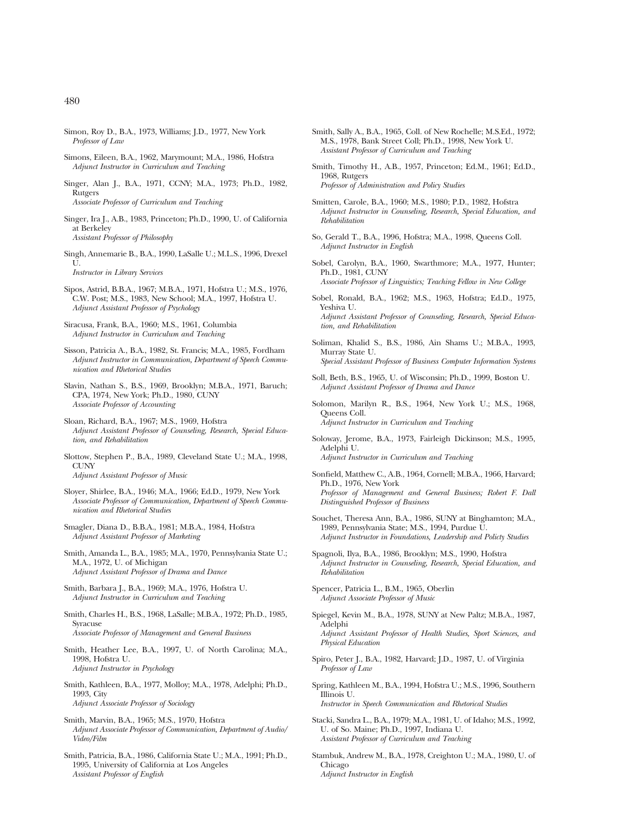- Simon, Roy D., B.A., 1973, Williams; J.D., 1977, New York *Professor of Law*
- Simons, Eileen, B.A., 1962, Marymount; M.A., 1986, Hofstra *Adjunct Instructor in Curriculum and Teaching*
- Singer, Alan J., B.A., 1971, CCNY; M.A., 1973; Ph.D., 1982, Rutgers *Associate Professor of Curriculum and Teaching*
- Singer, Ira J., A.B., 1983, Princeton; Ph.D., 1990, U. of California at Berkeley *Assistant Professor of Philosophy*
- Singh, Annemarie B., B.A., 1990, LaSalle U.; M.L.S., 1996, Drexel  $\bar{U}$ *Instructor in Library Services*
- Sipos, Astrid, B.B.A., 1967; M.B.A., 1971, Hofstra U.; M.S., 1976, C.W. Post; M.S., 1983, New School; M.A., 1997, Hofstra U. *Adjunct Assistant Professor of Psychology*

Siracusa, Frank, B.A., 1960; M.S., 1961, Columbia *Adjunct Instructor in Curriculum and Teaching*

- Sisson, Patricia A., B.A., 1982, St. Francis; M.A., 1985, Fordham *Adjunct Instructor in Communication, Department of Speech Communication and Rhetorical Studies*
- Slavin, Nathan S., B.S., 1969, Brooklyn; M.B.A., 1971, Baruch; CPA, 1974, New York; Ph.D., 1980, CUNY *Associate Professor of Accounting*
- Sloan, Richard, B.A., 1967; M.S., 1969, Hofstra *Adjunct Assistant Professor of Counseling, Research, Special Education, and Rehabilitation*
- Slottow, Stephen P., B.A., 1989, Cleveland State U.; M.A., 1998, CUNY *Adjunct Assistant Professor of Music*
- Sloyer, Shirlee, B.A., 1946; M.A., 1966; Ed.D., 1979, New York *Associate Professor of Communication, Department of Speech Communication and Rhetorical Studies*
- Smagler, Diana D., B.B.A., 1981; M.B.A., 1984, Hofstra *Adjunct Assistant Professor of Marketing*
- Smith, Amanda L., B.A., 1985; M.A., 1970, Pennsylvania State U.; M.A., 1972, U. of Michigan *Adjunct Assistant Professor of Drama and Dance*
- Smith, Barbara J., B.A., 1969; M.A., 1976, Hofstra U. *Adjunct Instructor in Curriculum and Teaching*
- Smith, Charles H., B.S., 1968, LaSalle; M.B.A., 1972; Ph.D., 1985, Syracuse *Associate Professor of Management and General Business*
- Smith, Heather Lee, B.A., 1997, U. of North Carolina; M.A., 1998, Hofstra U. *Adjunct Instructor in Psychology*
- Smith, Kathleen, B.A., 1977, Molloy; M.A., 1978, Adelphi; Ph.D., 1993, City *Adjunct Associate Professor of Sociology*
- Smith, Marvin, B.A., 1965; M.S., 1970, Hofstra *Adjunct Associate Professor of Communication, Department of Audio/ Video/Film*
- Smith, Patricia, B.A., 1986, California State U.; M.A., 1991; Ph.D., 1995, University of California at Los Angeles *Assistant Professor of English*
- Smith, Sally A., B.A., 1965, Coll. of New Rochelle; M.S.Ed., 1972; M.S., 1978, Bank Street Coll; Ph.D., 1998, New York U. *Assistant Professor of Curriculum and Teaching*
- Smith, Timothy H., A.B., 1957, Princeton; Ed.M., 1961; Ed.D., 1968, Rutgers *Professor of Administration and Policy Studies*
- Smitten, Carole, B.A., 1960; M.S., 1980; P.D., 1982, Hofstra *Adjunct Instructor in Counseling, Research, Special Education, and Rehabilitation*
- So, Gerald T., B.A., 1996, Hofstra; M.A., 1998, Queens Coll. *Adjunct Instructor in English*
- Sobel, Carolyn, B.A., 1960, Swarthmore; M.A., 1977, Hunter; Ph.D., 1981, CUNY *Associate Professor of Linguistics; Teaching Fellow in New College*
- Sobel, Ronald, B.A., 1962; M.S., 1963, Hofstra; Ed.D., 1975, Yeshiva U. *Adjunct Assistant Professor of Counseling, Research, Special Education, and Rehabilitation*
- Soliman, Khalid S., B.S., 1986, Ain Shams U.; M.B.A., 1993, Murray State U. *Special Assistant Professor of Business Computer Information Systems*
- Soll, Beth, B.S., 1965, U. of Wisconsin; Ph.D., 1999, Boston U. *Adjunct Assistant Professor of Drama and Dance*
- Solomon, Marilyn R., B.S., 1964, New York U.; M.S., 1968, Queens Coll. *Adjunct Instructor in Curriculum and Teaching*
- Soloway, Jerome, B.A., 1973, Fairleigh Dickinson; M.S., 1995, Adelphi U. *Adjunct Instructor in Curriculum and Teaching*
- Sonfield, Matthew C., A.B., 1964, Cornell; M.B.A., 1966, Harvard; Ph.D., 1976, New York *Professor of Management and General Business; Robert F. Dall Distinguished Professor of Business*
- Souchet, Theresa Ann, B.A., 1986, SUNY at Binghamton; M.A., 1989, Pennsylvania State; M.S., 1994, Purdue U. *Adjunct Instructor in Foundations, Leadership and Policty Studies*
- Spagnoli, Ilya, B.A., 1986, Brooklyn; M.S., 1990, Hofstra *Adjunct Instructor in Counseling, Research, Special Education, and Rehabilitation*
- Spencer, Patricia L., B.M., 1965, Oberlin *Adjunct Associate Professor of Music*
- Spiegel, Kevin M., B.A., 1978, SUNY at New Paltz; M.B.A., 1987, Adelphi *Adjunct Assistant Professor of Health Studies, Sport Sciences, and Physical Education*
- Spiro, Peter J., B.A., 1982, Harvard; J.D., 1987, U. of Virginia *Professor of Law*
- Spring, Kathleen M., B.A., 1994, Hofstra U.; M.S., 1996, Southern Illinois U. *Instructor in Speech Communication and Rhetorical Studies*
- Stacki, Sandra L., B.A., 1979; M.A., 1981, U. of Idaho; M.S., 1992, U. of So. Maine; Ph.D., 1997, Indiana U. *Assistant Professor of Curriculum and Teaching*
- Stambuk, Andrew M., B.A., 1978, Creighton U.; M.A., 1980, U. of Chicago *Adjunct Instructor in English*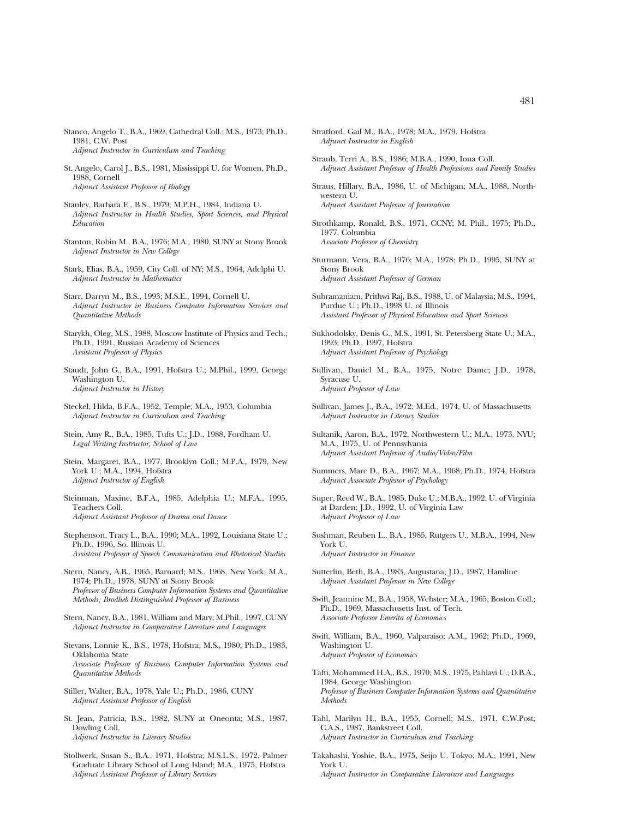- Stanco, Angelo T., B.A., 1969, Cathedral Coll.; M.S., 1973; Ph.D., 1981, C.W. Post *Adjunct Instructor in Curriculum and Teaching*
- St. Angelo, Carol J., B.S., 1981, Mississippi U. for Women, Ph.D., 1988, Cornell *Adjunct Assistant Professor of Biology*
- Stanley, Barbara E., B.S., 1979; M.P.H., 1984, Indiana U. *Adjunct Instructor in Health Studies, Sport Sciences, and Physical Education*
- Stanton, Robin M., B.A., 1976; M.A., 1980, SUNY at Stony Brook *Adjunct Instructor in New College*
- Stark, Elias, B.A., 1959, City Coll. of NY; M.S., 1964, Adelphi U. *Adjunct Instructor in Mathematics*
- Starr, Darryn M., B.S., 1993; M.S.E., 1994, Cornell U. *Adjunct Instructor in Business Computer Information Services and Quantitative Methods*
- Starykh, Oleg, M.S., 1988, Moscow Institute of Physics and Tech.; Ph.D., 1991, Russian Academy of Sciences *Assistant Professor of Physics*
- Staudt, John G., B.A., 1991, Hofstra U.; M.Phil., 1999, George Washington U. *Adjunct Instructor in History*
- Steckel, Hilda, B.F.A., 1952, Temple; M.A., 1953, Columbia *Adjunct Instructor in Curriculum and Teaching*
- Stein, Amy R., B.A., 1985, Tufts U.; J.D., 1988, Fordham U. *Legal Writing Instructor, School of Law*
- Stein, Margaret, B.A., 1977, Brooklyn Coll.; M.P.A., 1979, New York U.; M.A., 1994, Hofstra *Adjunct Instructor of English*
- Steinman, Maxine, B.F.A., 1985, Adelphia U.; M.F.A., 1995, Teachers Coll. *Adjunct Assistant Professor of Drama and Dance*
- Stephenson, Tracy L., B.A., 1990; M.A., 1992, Louisiana State U.; Ph.D., 1996, So. Illinois U. *Assistant Professor of Speech Communication and Rhetorical Studies*
- Stern, Nancy, A.B., 1965, Barnard; M.S., 1968, New York; M.A., 1974; Ph.D., 1978, SUNY at Stony Brook *Professor of Business Computer Information Systems and Quantitative Methods; Brodlieb Distinguished Professor of Business*
- Stern, Nancy, B.A., 1981, William and Mary; M.Phil., 1997, CUNY *Adjunct Instructor in Comparative Literature and Languages*
- Stevans, Lonnie K., B.S., 1978, Hofstra; M.S., 1980; Ph.D., 1983, Oklahoma State *Associate Professor of Business Computer Information Systems and Quantitative Methods*
- Stiller, Walter, B.A., 1978, Yale U.; Ph.D., 1986, CUNY *Adjunct Assistant Professor of English*
- St. Jean, Patricia, B.S., 1982, SUNY at Oneonta; M.S., 1987, Dowling Coll. *Adjunct Instructor in Literacy Studies*
- Stollwerk, Susan S., B.A., 1971, Hofstra; M.S.L.S., 1972, Palmer Graduate Library School of Long Island; M.A., 1975, Hofstra *Adjunct Assistant Professor of Library Services*
- Stratford, Gail M., B.A., 1978; M.A., 1979, Hofstra *Adjunct Instructor in English*
- Straub, Terri A., B.S., 1986; M.B.A., 1990, Iona Coll. *Adjunct Assistant Professor of Health Professions and Family Studies*
- Straus, Hillary, B.A., 1986, U. of Michigan; M.A., 1988, Northwestern U. *Adjunct Assistant Professor of Journalism*
- Strothkamp, Ronald, B.S., 1971, CCNY; M. Phil., 1975; Ph.D., 1977, Columbia *Associate Professor of Chemistry*
- Sturmann, Vera, B.A., 1976; M.A., 1978; Ph.D., 1995, SUNY at Stony Brook *Adjunct Assistant Professor of German*
- Subramaniam, Prithwi Raj, B.S., 1988, U. of Malaysia; M.S., 1994, Purdue U.; Ph.D., 1998 U. of Illinois *Assistant Professor of Physical Education and Sport Sciences*
- Sukhodolsky, Denis G., M.S., 1991, St. Petersberg State U.; M.A., 1993; Ph.D., 1997, Hofstra *Adjunct Assistant Professor of Psychology*
- Sullivan, Daniel M., B.A., 1975, Notre Dame; J.D., 1978, Syracuse U. *Adjunct Professor of Law*
- Sullivan, James J., B.A., 1972; M.Ed., 1974, U. of Massachusetts *Adjunct Instructor in Literacy Studies*
- Sultanik, Aaron, B.A., 1972, Northwestern U.; M.A., 1973, NYU; M.A., 1975, U. of Pennsylvania *Adjunct Assistant Professor of Audio/Video/Film*
- Summers, Marc D., B.A., 1967; M.A., 1968; Ph.D., 1974, Hofstra *Adjunct Associate Professor of Psychology*
- Super, Reed W., B.A., 1985, Duke U.; M.B.A., 1992, U. of Virginia at Darden; J.D., 1992, U. of Virginia Law *Adjunct Professor of Law*
- Sushman, Reuben L., B.A., 1985, Rutgers U., M.B.A., 1994, New York U. *Adjunct Instructor in Finance*
- Sutterlin, Beth, B.A., 1983, Augustana; J.D., 1987, Hamline *Adjunct Assistant Professor in New College*
- Swift, Jeannine M., B.A., 1958, Webster; M.A., 1965, Boston Coll.; Ph.D., 1969, Massachusetts Inst. of Tech. *Associate Professor Emerita of Economics*
- Swift, William, B.A., 1960, Valparaiso; A.M., 1962; Ph.D., 1969, Washington U. *Adjunct Professor of Economics*
- Tafti, Mohammed H.A., B.S., 1970; M.S., 1975, Pahlavi U.; D.B.A., 1984, George Washington *Professor of Business Computer Information Systems and Quantitative Methods*
- Tahl, Marilyn H., B.A., 1955, Cornell; M.S., 1971, C.W.Post; C.A.S., 1987, Bankstreet Coll. *Adjunct Instructor in Curriculum and Teaching*
- Takahashi, Yoshie, B.A., 1975, Seijo U. Tokyo; M.A., 1991, New York U. *Adjunct Instructor in Comparative Literature and Languages*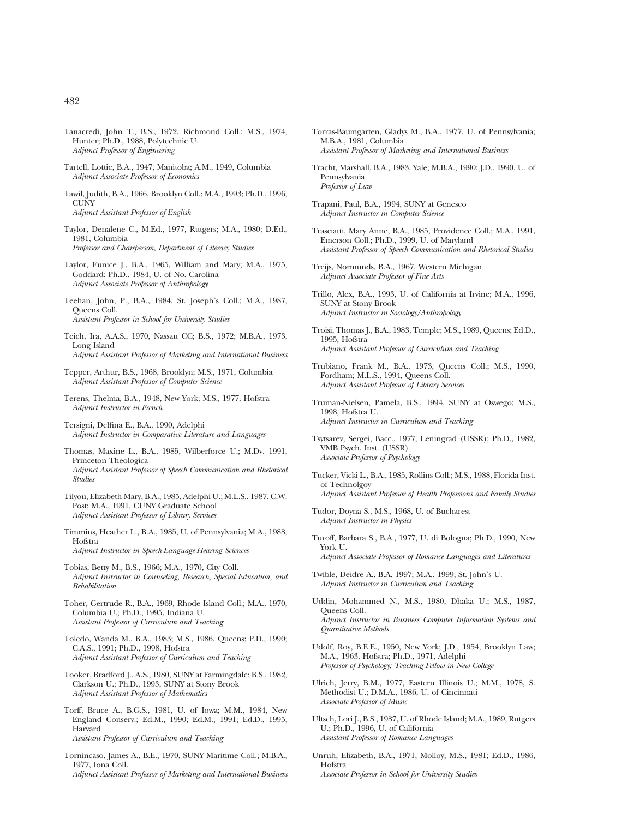- Tanacredi, John T., B.S., 1972, Richmond Coll.; M.S., 1974, Hunter; Ph.D., 1988, Polytechnic U. *Adjunct Professor of Engineering*
- Tartell, Lottie, B.A., 1947, Manitoba; A.M., 1949, Columbia *Adjunct Associate Professor of Economics*
- Tawil, Judith, B.A., 1966, Brooklyn Coll.; M.A., 1993; Ph.D., 1996, **CUNY** *Adjunct Assistant Professor of English*
- Taylor, Denalene C., M.Ed., 1977, Rutgers; M.A., 1980; D.Ed., 1981, Columbia *Professor and Chairperson, Department of Literacy Studies*
- Taylor, Eunice J., B.A., 1965, William and Mary; M.A., 1975, Goddard; Ph.D., 1984, U. of No. Carolina *Adjunct Associate Professor of Anthropology*
- Teehan, John, P., B.A., 1984, St. Joseph's Coll.; M.A., 1987, Queens Coll. *Assistant Professor in School for University Studies*
- Teich, Ira, A.A.S., 1970, Nassau CC; B.S., 1972; M.B.A., 1973, Long Island *Adjunct Assistant Professor of Marketing and International Business*
- Tepper, Arthur, B.S., 1968, Brooklyn; M.S., 1971, Columbia *Adjunct Assistant Professor of Computer Science*
- Terens, Thelma, B.A., 1948, New York; M.S., 1977, Hofstra *Adjunct Instructor in French*
- Tersigni, Delfina E., B.A., 1990, Adelphi *Adjunct Instructor in Comparative Literature and Languages*
- Thomas, Maxine L., B.A., 1985, Wilberforce U.; M.Dv. 1991, Princeton Theologica *Adjunct Assistant Professor of Speech Communication and Rhetorical Studies*
- Tilyou, Elizabeth Mary, B.A., 1985, Adelphi U.; M.L.S., 1987, C.W. Post; M.A., 1991, CUNY Graduate School *Adjunct Assistant Professor of Library Services*
- Timmins, Heather L., B.A., 1985, U. of Pennsylvania; M.A., 1988, Hofstra *Adjunct Instructor in Speech-Language-Hearing Sciences*
- Tobias, Betty M., B.S., 1966; M.A., 1970, City Coll. *Adjunct Instructor in Counseling, Research, Special Education, and Rehabilitation*
- Toher, Gertrude R., B.A., 1969, Rhode Island Coll.; M.A., 1970, Columbia U.; Ph.D., 1995, Indiana U. *Assistant Professor of Curriculum and Teaching*
- Toledo, Wanda M., B.A., 1983; M.S., 1986, Queens; P.D., 1990; C.A.S., 1991; Ph.D., 1998, Hofstra *Adjunct Assistant Professor of Curriculum and Teaching*
- Tooker, Bradford J., A.S., 1980, SUNY at Farmingdale; B.S., 1982, Clarkson U.; Ph.D., 1993, SUNY at Stony Brook *Adjunct Assistant Professor of Mathematics*
- Torff, Bruce A., B.G.S., 1981, U. of Iowa; M.M., 1984, New England Conserv.; Ed.M., 1990; Ed.M., 1991; Ed.D., 1995, Harvard *Assistant Professor of Curriculum and Teaching*
- Tornincaso, James A., B.E., 1970, SUNY Maritime Coll.; M.B.A., 1977, Iona Coll. *Adjunct Assistant Professor of Marketing and International Business*
- Torras-Baumgarten, Gladys M., B.A., 1977, U. of Pennsylvania; M.B.A., 1981, Columbia *Assistant Professor of Marketing and International Business*
- Tracht, Marshall, B.A., 1983, Yale; M.B.A., 1990; J.D., 1990, U. of Pennsylvania *Professor of Law*
- Trapani, Paul, B.A., 1994, SUNY at Geneseo *Adjunct Instructor in Computer Science*
- Trasciatti, Mary Anne, B.A., 1985, Providence Coll.; M.A., 1991, Emerson Coll.; Ph.D., 1999, U. of Maryland *Assistant Professor of Speech Communication and Rhetorical Studies*
- Treijs, Normunds, B.A., 1967, Western Michigan *Adjunct Associate Professor of Fine Arts*
- Trillo, Alex, B.A., 1993, U. of California at Irvine; M.A., 1996, SUNY at Stony Brook *Adjunct Instructor in Sociology/Anthropology*
- Troisi, Thomas J., B.A., 1983, Temple; M.S., 1989, Queens; Ed.D., 1995, Hofstra *Adjunct Assistant Professor of Curriculum and Teaching*
- Trubiano, Frank M., B.A., 1973, Queens Coll.; M.S., 1990, Fordham; M.L.S., 1994, Queens Coll. *Adjunct Assistant Professor of Library Services*
- Truman-Nielsen, Pamela, B.S., 1994, SUNY at Oswego; M.S., 1998, Hofstra U. *Adjunct Instructor in Curriculum and Teaching*
- Tsytsarev, Sergei, Bacc., 1977, Leningrad (USSR); Ph.D., 1982, VMB Psych. Inst. (USSR) *Associate Professor of Psychology*
- Tucker, Vicki L., B.A., 1985, Rollins Coll.; M.S., 1988, Florida Inst. of Technolgoy *Adjunct Assistant Professor of Health Professions and Family Studies*
- Tudor, Doyna S., M.S., 1968, U. of Bucharest *Adjunct Instructor in Physics*
- Turoff, Barbara S., B.A., 1977, U. di Bologna; Ph.D., 1990, New York U. *Adjunct Associate Professor of Romance Languages and Literatures*
- Twible, Deidre A., B.A. 1997; M.A., 1999, St. John's U. *Adjunct Instructor in Curriculum and Teaching*
- Uddin, Mohammed N., M.S., 1980, Dhaka U.; M.S., 1987, Queens Coll. *Adjunct Instructor in Business Computer Information Systems and Quantitative Methods*
- Udolf, Roy, B.E.E., 1950, New York; J.D., 1954, Brooklyn Law; M.A., 1963, Hofstra; Ph.D., 1971, Adelphi *Professor of Psychology; Teaching Fellow in New College*
- Ulrich, Jerry, B.M., 1977, Eastern Illinois U.; M.M., 1978, S. Methodist U.; D.M.A., 1986, U. of Cincinnati *Associate Professor of Music*
- Ultsch, Lori J., B.S., 1987, U. of Rhode Island; M.A., 1989, Rutgers U.; Ph.D., 1996, U. of California *Assistant Professor of Romance Languages*
- Unruh, Elizabeth, B.A., 1971, Molloy; M.S., 1981; Ed.D., 1986, Hofstra *Associate Professor in School for University Studies*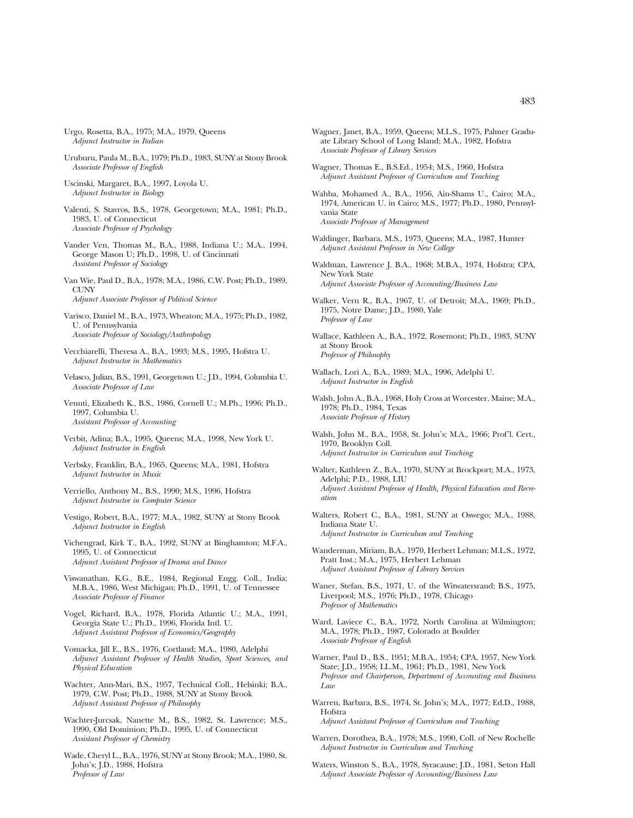- Urgo, Rosetta, B.A., 1975; M.A., 1979, Queens *Adjunct Instructor in Italian*
- Uruburu, Paula M., B.A., 1979; Ph.D., 1983, SUNY at Stony Brook *Associate Professor of English*
- Uscinski, Margaret, B.A., 1997, Loyola U. *Adjunct Instructor in Biology*
- Valenti, S. Stavros, B.S., 1978, Georgetown; M.A., 1981; Ph.D., 1983, U. of Connecticut *Associate Professor of Psychology*
- Vander Ven, Thomas M., B.A., 1988, Indiana U.; M.A., 1994, George Mason U; Ph.D., 1998, U. of Cincinnati *Assistant Professor of Sociology*
- Van Wie, Paul D., B.A., 1978; M.A., 1986, C.W. Post; Ph.D., 1989, **CUNY** *Adjunct Associate Professor of Political Science*
- Varisco, Daniel M., B.A., 1973, Wheaton; M.A., 1975; Ph.D., 1982, U. of Pennsylvania *Associate Professor of Sociology/Anthropology*
- Vecchiarelli, Theresa A., B.A., 1993; M.S., 1995, Hofstra U. *Adjunct Instructor in Mathematics*
- Velasco, Julian, B.S., 1991, Georgetown U.; J.D., 1994, Columbia U. *Associate Professor of Law*
- Venuti, Elizabeth K., B.S., 1986, Cornell U.; M.Ph., 1996; Ph.D., 1997, Columbia U. *Assistant Professor of Accounting*
- Verbit, Adina; B.A., 1995, Queens; M.A., 1998, New York U. *Adjunct Instructor in English*
- Verbsky, Franklin, B.A., 1965, Queens; M.A., 1981, Hofstra *Adjunct Instructor in Music*
- Verriello, Anthony M., B.S., 1990; M.S., 1996, Hofstra *Adjunct Instructor in Computer Science*
- Vestigo, Robert, B.A., 1977; M.A., 1982, SUNY at Stony Brook *Adjunct Instructor in English*
- Vichengrad, Kirk T., B.A., 1992, SUNY at Binghamton; M.F.A., 1995, U. of Connecticut *Adjunct Assistant Professor of Drama and Dance*
- Viswanathan, K.G., B.E., 1984, Regional Engg. Coll., India; M.B.A., 1986, West Michigan; Ph.D., 1991, U. of Tennessee *Associate Professor of Finance*
- Vogel, Richard, B.A., 1978, Florida Atlantic U.; M.A., 1991, Georgia State U.; Ph.D., 1996, Florida Intl. U. *Adjunct Assistant Professor of Economics/Geography*
- Vomacka, Jill E., B.S., 1976, Cortland; M.A., 1980, Adelphi *Adjunct Assistant Professor of Health Studies, Sport Sciences, and Physical Education*
- Wachter, Ann-Mari, B.S., 1957, Technical Coll., Helsinki; B.A., 1979, C.W. Post; Ph.D., 1988, SUNY at Stony Brook *Adjunct Assistant Professor of Philosophy*
- Wachter-Jurcsak, Nanette M., B.S., 1982, St. Lawrence; M.S., 1990, Old Dominion; Ph.D., 1995, U. of Connecticut *Assistant Professor of Chemistry*
- Wade, Cheryl L., B.A., 1976, SUNY at Stony Brook; M.A., 1980, St. John's; J.D., 1988, Hofstra *Professor of Law*
- Wagner, Janet, B.A., 1959, Queens; M.L.S., 1975, Palmer Graduate Library School of Long Island; M.A., 1982, Hofstra *Associate Professor of Library Services*
- Wagner, Thomas E., B.S.Ed., 1954; M.S., 1960, Hofstra *Adjunct Assistant Professor of Curriculum and Teaching*
- Wahba, Mohamed A., B.A., 1956, Ain-Shams U., Cairo; M.A., 1974, American U. in Cairo; M.S., 1977; Ph.D., 1980, Pennsylvania State *Associate Professor of Management*
- Waldinger, Barbara, M.S., 1973, Queens; M.A., 1987, Hunter *Adjunct Assistant Professor in New College*
- Waldman, Lawrence J. B.A., 1968; M.B.A., 1974, Hofstra; CPA, New York State *Adjunct Associate Professor of Accounting/Business Law*
- Walker, Vern R., B.A., 1967, U. of Detroit; M.A., 1969; Ph.D., 1975, Notre Dame; J.D., 1980, Yale *Professor of Law*
- Wallace, Kathleen A., B.A., 1972, Rosemont; Ph.D., 1983, SUNY at Stony Brook *Professor of Philosophy*
- Wallach, Lori A., B.A., 1989; M.A., 1996, Adelphi U. *Adjunct Instructor in English*
- Walsh, John A., B.A., 1968, Holy Cross at Worcester, Maine; M.A., 1978; Ph.D., 1984, Texas *Associate Professor of History*
- Walsh, John M., B.A., 1958, St. John's; M.A., 1966; Prof'l. Cert., 1970, Brooklyn Coll. *Adjunct Instructor in Curriculum and Teaching*
- Walter, Kathleen Z., B.A., 1970, SUNY at Brockport; M.A., 1973, Adelphi; P.D., 1988, LIU *Adjunct Assistant Professor of Health, Physical Education and Recreation*
- Walters, Robert C., B.A., 1981, SUNY at Oswego; M.A., 1988, Indiana State U. *Adjunct Instructor in Curriculum and Teaching*
- Wanderman, Miriam, B.A., 1970, Herbert Lehman; M.L.S., 1972, Pratt Inst.; M.A., 1975, Herbert Lehman *Adjunct Assistant Professor of Library Services*
- Waner, Stefan, B.S., 1971, U. of the Witwatersrand; B.S., 1975, Liverpool; M.S., 1976; Ph.D., 1978, Chicago *Professor of Mathematics*
- Ward, Laviece C., B.A., 1972, North Carolina at Wilmington; M.A., 1978; Ph.D., 1987, Colorado at Boulder *Associate Professor of English*
- Warner, Paul D., B.S., 1951; M.B.A., 1954; CPA, 1957, New York State; J.D., 1958; LL.M., 1961; Ph.D., 1981, New York *Professor and Chairperson, Department of Accounting and Business Law*
- Warren, Barbara, B.S., 1974, St. John's; M.A., 1977; Ed.D., 1988, Hofstra *Adjunct Assistant Professor of Curriculum and Teaching*
- Warren, Dorothea, B.A., 1978; M.S., 1990, Coll. of New Rochelle *Adjunct Instructor in Curriculum and Teaching*
- Waters, Winston S., B.A., 1978, Syracause; J.D., 1981, Seton Hall *Adjunct Associate Professor of Accounting/Business Law*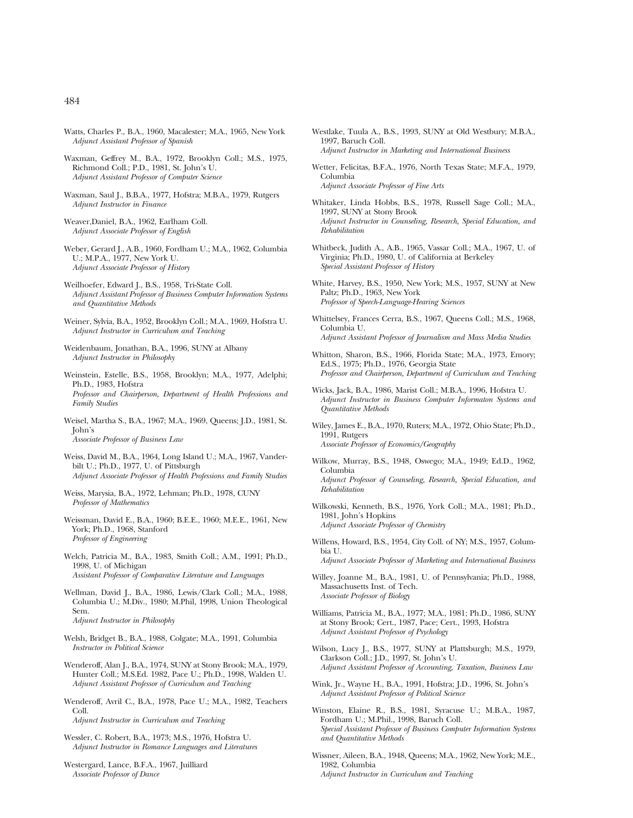- Watts, Charles P., B.A., 1960, Macalester; M.A., 1965, New York *Adjunct Assistant Professor of Spanish*
- Waxman, Geffrey M., B.A., 1972, Brooklyn Coll.; M.S., 1975, Richmond Coll.; P.D., 1981, St. John's U. *Adjunct Assistant Professor of Computer Science*
- Waxman, Saul J., B.B.A., 1977, Hofstra; M.B.A., 1979, Rutgers *Adjunct Instructor in Finance*
- Weaver,Daniel, B.A., 1962, Earlham Coll. *Adjunct Associate Professor of English*
- Weber, Gerard J., A.B., 1960, Fordham U.; M.A., 1962, Columbia U.; M.P.A., 1977, New York U. *Adjunct Associate Professor of History*
- Weilhoefer, Edward J., B.S., 1958, Tri-State Coll. *Adjunct Assistant Professor of Business Computer Information Systems and Quantitative Methods*
- Weiner, Sylvia, B.A., 1952, Brooklyn Coll.; M.A., 1969, Hofstra U. *Adjunct Instructor in Curriculum and Teaching*
- Weidenbaum, Jonathan, B.A., 1996, SUNY at Albany *Adjunct Instructor in Philosophy*
- Weinstein, Estelle, B.S., 1958, Brooklyn; M.A., 1977, Adelphi; Ph.D., 1983, Hofstra *Professor and Chairperson, Department of Health Professions and Family Studies*
- Weisel, Martha S., B.A., 1967; M.A., 1969, Queens; J.D., 1981, St. John's *Associate Professor of Business Law*
- Weiss, David M., B.A., 1964, Long Island U.; M.A., 1967, Vanderbilt U.; Ph.D., 1977, U. of Pittsburgh *Adjunct Associate Professor of Health Professions and Family Studies*
- Weiss, Marysia, B.A., 1972, Lehman; Ph.D., 1978, CUNY *Professor of Mathematics*
- Weissman, David E., B.A., 1960; B.E.E., 1960; M.E.E., 1961, New York; Ph.D., 1968, Stanford *Professor of Engineering*
- Welch, Patricia M., B.A., 1983, Smith Coll.; A.M., 1991; Ph.D., 1998, U. of Michigan *Assistant Professor of Comparative Literature and Languages*
- Wellman, David J., B.A., 1986, Lewis/Clark Coll.; M.A., 1988, Columbia U.; M.Div., 1980; M.Phil, 1998, Union Theological Sem. *Adjunct Instructor in Philosophy*
- Welsh, Bridget B., B.A., 1988, Colgate; M.A., 1991, Columbia *Instructor in Political Science*
- Wenderoff, Alan J., B.A., 1974, SUNY at Stony Brook; M.A., 1979, Hunter Coll.; M.S.Ed. 1982, Pace U.; Ph.D., 1998, Walden U. *Adjunct Assistant Professor of Curriculum and Teaching*
- Wenderoff, Avril C., B.A., 1978, Pace U.; M.A., 1982, Teachers Coll. *Adjunct Instructor in Curriculum and Teaching*
- Wessler, C. Robert, B.A., 1973; M.S., 1976, Hofstra U. *Adjunct Instructor in Romance Languages and Literatures*
- Westergard, Lance, B.F.A., 1967, Juilliard *Associate Professor of Dance*
- Westlake, Tuula A., B.S., 1993, SUNY at Old Westbury; M.B.A., 1997, Baruch Coll. *Adjunct Instructor in Marketing and International Business*
- Wetter, Felicitas, B.F.A., 1976, North Texas State; M.F.A., 1979, Columbia *Adjunct Associate Professor of Fine Arts*
- Whitaker, Linda Hobbs, B.S., 1978, Russell Sage Coll.; M.A., 1997, SUNY at Stony Brook *Adjunct Instructor in Counseling, Research, Special Education, and Rehabilitation*
- Whitbeck, Judith A., A.B., 1965, Vassar Coll.; M.A., 1967, U. of Virginia; Ph.D., 1980, U. of California at Berkeley *Special Assistant Professor of History*
- White, Harvey, B.S., 1950, New York; M.S., 1957, SUNY at New Paltz; Ph.D., 1963, New York *Professor of Speech-Language-Hearing Sciences*
- Whittelsey, Frances Cerra, B.S., 1967, Queens Coll.; M.S., 1968, Columbia U. *Adjunct Assistant Professor of Journalism and Mass Media Studies*
- Whitton, Sharon, B.S., 1966, Florida State; M.A., 1973, Emory; Ed.S., 1975; Ph.D., 1976, Georgia State *Professor and Chairperson, Department of Curriculum and Teaching*
- Wicks, Jack, B.A., 1986, Marist Coll.; M.B.A., 1996, Hofstra U. *Adjunct Instructor in Business Computer Informaton Systems and Quantitative Methods*
- Wiley, James E., B.A., 1970, Ruters; M.A., 1972, Ohio State; Ph.D., 1991, Rutgers *Associate Professor of Economics/Geography*
- Wilkow, Murray, B.S., 1948, Oswego; M.A., 1949; Ed.D., 1962, Columbia *Adjunct Professor of Counseling, Research, Special Education, and Rehabilitation*
- Wilkowski, Kenneth, B.S., 1976, York Coll.; M.A., 1981; Ph.D., 1981, John's Hopkins *Adjunct Associate Professor of Chemistry*
- Willens, Howard, B.S., 1954, City Coll. of NY; M.S., 1957, Columbia U. *Adjunct Associate Professor of Marketing and International Business*
- Willey, Joanne M., B.A., 1981, U. of Pennsylvania; Ph.D., 1988, Massachusetts Inst. of Tech. *Associate Professor of Biology*
- Williams, Patricia M., B.A., 1977; M.A., 1981; Ph.D., 1986, SUNY at Stony Brook; Cert., 1987, Pace; Cert., 1993, Hofstra *Adjunct Assistant Professor of Psychology*
- Wilson, Lucy J., B.S., 1977, SUNY at Plattsburgh; M.S., 1979, Clarkson Coll.; J.D., 1997, St. John's U. *Adjunct Assistant Professor of Accounting, Taxation, Business Law*
- Wink, Jr., Wayne H., B.A., 1991, Hofstra; J.D., 1996, St. John's *Adjunct Assistant Professor of Political Science*
- Winston, Elaine R., B.S., 1981, Syracuse U.; M.B.A., 1987, Fordham U.; M.Phil., 1998, Baruch Coll. *Special Assistant Professor of Business Computer Information Systems and Quantitative Methods*
- Wissner, Aileen, B.A., 1948, Queens; M.A., 1962, New York; M.E., 1982, Columbia *Adjunct Instructor in Curriculum and Teaching*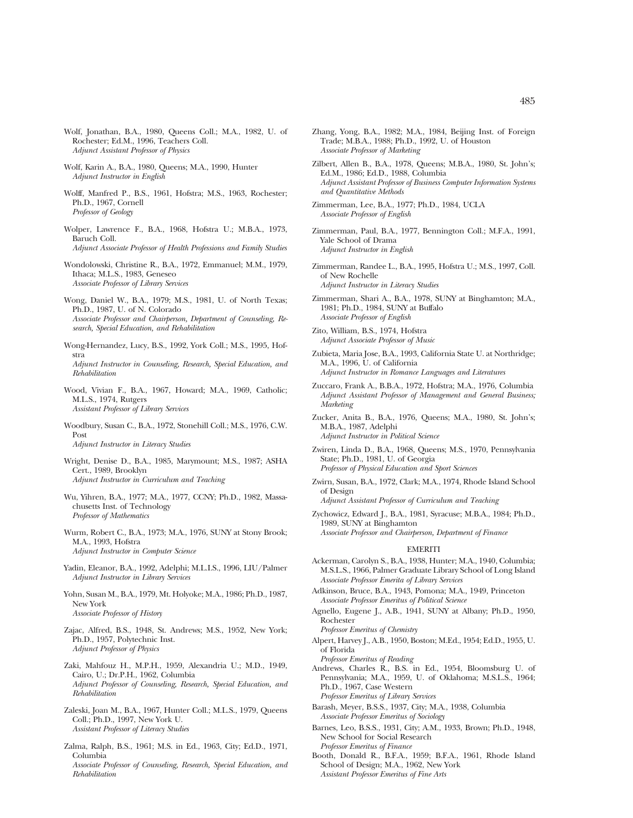- Wolf, Jonathan, B.A., 1980, Queens Coll.; M.A., 1982, U. of Rochester; Ed.M., 1996, Teachers Coll. *Adjunct Assistant Professor of Physics*
- Wolf, Karin A., B.A., 1980, Queens; M.A., 1990, Hunter *Adjunct Instructor in English*
- Wolff, Manfred P., B.S., 1961, Hofstra; M.S., 1963, Rochester; Ph.D., 1967, Cornell *Professor of Geology*
- Wolper, Lawrence F., B.A., 1968, Hofstra U.; M.B.A., 1973, Baruch Coll. *Adjunct Associate Professor of Health Professions and Family Studies*
- Wondolowski, Christine R., B.A., 1972, Emmanuel; M.M., 1979, Ithaca; M.L.S., 1983, Geneseo *Associate Professor of Library Services*
- Wong, Daniel W., B.A., 1979; M.S., 1981, U. of North Texas; Ph.D., 1987, U. of N. Colorado *Associate Professor and Chairperson, Department of Counseling, Research, Special Education, and Rehabilitation*
- Wong-Hernandez, Lucy, B.S., 1992, York Coll.; M.S., 1995, Hofstra *Adjunct Instructor in Counseling, Research, Special Education, and Rehabilitation*
- Wood, Vivian F., B.A., 1967, Howard; M.A., 1969, Catholic; M.L.S., 1974, Rutgers *Assistant Professor of Library Services*
- Woodbury, Susan C., B.A., 1972, Stonehill Coll.; M.S., 1976, C.W. Post *Adjunct Instructor in Literacy Studies*
- Wright, Denise D., B.A., 1985, Marymount; M.S., 1987; ASHA Cert., 1989, Brooklyn *Adjunct Instructor in Curriculum and Teaching*
- Wu, Yihren, B.A., 1977; M.A., 1977, CCNY; Ph.D., 1982, Massachusetts Inst. of Technology *Professor of Mathematics*
- Wurm, Robert C., B.A., 1973; M.A., 1976, SUNY at Stony Brook; M.A., 1993, Hofstra *Adjunct Instructor in Computer Science*
- Yadin, Eleanor, B.A., 1992, Adelphi; M.L.I.S., 1996, LIU/Palmer *Adjunct Instructor in Library Services*
- Yohn, Susan M., B.A., 1979, Mt. Holyoke; M.A., 1986; Ph.D., 1987, New York *Associate Professor of History*
- Zajac, Alfred, B.S., 1948, St. Andrews; M.S., 1952, New York; Ph.D., 1957, Polytechnic Inst. *Adjunct Professor of Physics*
- Zaki, Mahfouz H., M.P.H., 1959, Alexandria U.; M.D., 1949, Cairo, U.; Dr.P.H., 1962, Columbia *Adjunct Professor of Counseling, Research, Special Education, and Rehabilitation*
- Zaleski, Joan M., B.A., 1967, Hunter Coll.; M.L.S., 1979, Queens Coll.; Ph.D., 1997, New York U. *Assistant Professor of Literacy Studies*
- Zalma, Ralph, B.S., 1961; M.S. in Ed., 1963, City; Ed.D., 1971, Columbia *Associate Professor of Counseling, Research, Special Education, and Rehabilitation*
- Zhang, Yong, B.A., 1982; M.A., 1984, Beijing Inst. of Foreign Trade; M.B.A., 1988; Ph.D., 1992, U. of Houston *Associate Professor of Marketing*
- Zilbert, Allen B., B.A., 1978, Queens; M.B.A., 1980, St. John's; Ed.M., 1986; Ed.D., 1988, Columbia *Adjunct Assistant Professor of Business Computer Information Systems and Quantitative Methods*
- Zimmerman, Lee, B.A., 1977; Ph.D., 1984, UCLA *Associate Professor of English*
- Zimmerman, Paul, B.A., 1977, Bennington Coll.; M.F.A., 1991, Yale School of Drama *Adjunct Instructor in English*
- Zimmerman, Randee L., B.A., 1995, Hofstra U.; M.S., 1997, Coll. of New Rochelle *Adjunct Instructor in Literacy Studies*
- Zimmerman, Shari A., B.A., 1978, SUNY at Binghamton; M.A., 1981; Ph.D., 1984, SUNY at Buffalo *Associate Professor of English*
- Zito, William, B.S., 1974, Hofstra *Adjunct Associate Professor of Music*
- Zubieta, Maria Jose, B.A., 1993, California State U. at Northridge; M.A., 1996, U. of California *Adjunct Instructor in Romance Languages and Literatures*
- Zuccaro, Frank A., B.B.A., 1972, Hofstra; M.A., 1976, Columbia *Adjunct Assistant Professor of Management and General Business; Marketing*
- Zucker, Anita B., B.A., 1976, Queens; M.A., 1980, St. John's; M.B.A., 1987, Adelphi *Adjunct Instructor in Political Science*
- Zwiren, Linda D., B.A., 1968, Queens; M.S., 1970, Pennsylvania State; Ph.D., 1981, U. of Georgia *Professor of Physical Education and Sport Sciences*
- Zwirn, Susan, B.A., 1972, Clark; M.A., 1974, Rhode Island School of Design

*Adjunct Assistant Professor of Curriculum and Teaching*

Zychowicz, Edward J., B.A., 1981, Syracuse; M.B.A., 1984; Ph.D., 1989, SUNY at Binghamton *Associate Professor and Chairperson, Department of Finance*

## EMERITI

- Ackerman, Carolyn S., B.A., 1938, Hunter; M.A., 1940, Columbia; M.S.L.S., 1966, Palmer Graduate Library School of Long Island *Associate Professor Emerita of Library Services*
- Adkinson, Bruce, B.A., 1943, Pomona; M.A., 1949, Princeton *Associate Professor Emeritus of Political Science*
- Agnello, Eugene J., A.B., 1941, SUNY at Albany; Ph.D., 1950, Rochester

*Professor Emeritus of Chemistry*

Alpert, Harvey J., A.B., 1950, Boston; M.Ed., 1954; Ed.D., 1955, U. of Florida

*Professor Emeritus of Reading*

- Andrews, Charles R., B.S. in Ed., 1954, Bloomsburg U. of Pennsylvania; M.A., 1959, U. of Oklahoma; M.S.L.S., 1964; Ph.D., 1967, Case Western *Professor Emeritus of Library Services*
- Barash, Meyer, B.S.S., 1937, City; M.A., 1938, Columbia *Associate Professor Emeritus of Sociology*
- Barnes, Leo, B.S.S., 1931, City; A.M., 1933, Brown; Ph.D., 1948, New School for Social Research *Professor Emeritus of Finance*
- Booth, Donald R., B.F.A., 1959; B.F.A., 1961, Rhode Island School of Design; M.A., 1962, New York *Assistant Professor Emeritus of Fine Arts*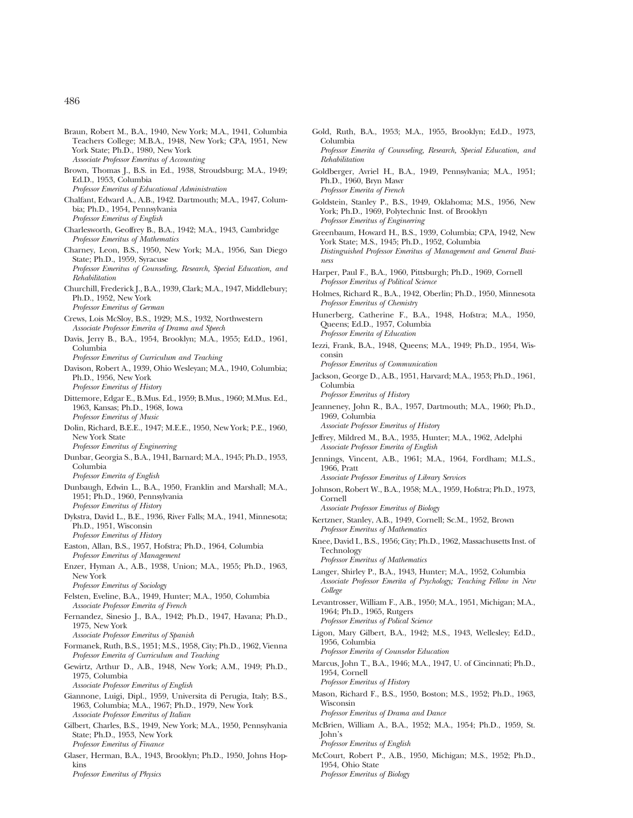- Braun, Robert M., B.A., 1940, New York; M.A., 1941, Columbia Teachers College; M.B.A., 1948, New York; CPA, 1951, New York State; Ph.D., 1980, New York *Associate Professor Emeritus of Accounting* Brown, Thomas J., B.S. in Ed., 1938, Stroudsburg; M.A., 1949; Ed.D., 1953, Columbia *Professor Emeritus of Educational Administration* Chalfant, Edward A., A.B., 1942. Dartmouth; M.A., 1947, Columbia; Ph.D., 1954, Pennsylvania *Professor Emeritus of English* Charlesworth, Geoffrey B., B.A., 1942; M.A., 1943, Cambridge *Professor Emeritus of Mathematics* Charney, Leon, B.S., 1950, New York; M.A., 1956, San Diego State; Ph.D., 1959, Syracuse *Professor Emeritus of Counseling, Research, Special Education, and Rehabilitation* Churchill, Frederick J., B.A., 1939, Clark; M.A., 1947, Middlebury; Ph.D., 1952, New York *Professor Emeritus of German* Crews, Lois McSloy, B.S., 1929; M.S., 1932, Northwestern *Associate Professor Emerita of Drama and Speech* Davis, Jerry B., B.A., 1954, Brooklyn; M.A., 1955; Ed.D., 1961, Columbia *Professor Emeritus of Curriculum and Teaching* Davison, Robert A., 1939, Ohio Wesleyan; M.A., 1940, Columbia; Ph.D., 1956, New York *Professor Emeritus of History* Dittemore, Edgar E., B.Mus. Ed., 1959; B.Mus., 1960; M.Mus. Ed., 1963, Kansas; Ph.D., 1968, Iowa *Professor Emeritus of Music* Dolin, Richard, B.E.E., 1947; M.E.E., 1950, New York; P.E., 1960, New York State *Professor Emeritus of Engineering* Dunbar, Georgia S., B.A., 1941, Barnard; M.A., 1945; Ph.D., 1953, Columbia *Professor Emerita of English* Dunbaugh, Edwin L., B.A., 1950, Franklin and Marshall; M.A., 1951; Ph.D., 1960, Pennsylvania *Professor Emeritus of History* Dykstra, David L., B.E., 1936, River Falls; M.A., 1941, Minnesota; Ph.D., 1951, Wisconsin *Professor Emeritus of History* Easton, Allan, B.S., 1957, Hofstra; Ph.D., 1964, Columbia *Professor Emeritus of Management* Enzer, Hyman A., A.B., 1938, Union; M.A., 1955; Ph.D., 1963, New York *Professor Emeritus of Sociology* Felsten, Eveline, B.A., 1949, Hunter; M.A., 1950, Columbia *Associate Professor Emerita of French* Fernandez, Sinesio J., B.A., 1942; Ph.D., 1947, Havana; Ph.D., 1975, New York *Associate Professor Emeritus of Spanish* Formanek, Ruth, B.S., 1951; M.S., 1958, City; Ph.D., 1962, Vienna *Professor Emerita of Curriculum and Teaching* Gewirtz, Arthur D., A.B., 1948, New York; A.M., 1949; Ph.D., 1975, Columbia *Associate Professor Emeritus of English* Giannone, Luigi, Dipl., 1959, Universita di Perugia, Italy; B.S., 1963, Columbia; M.A., 1967; Ph.D., 1979, New York *Associate Professor Emeritus of Italian* Gilbert, Charles, B.S., 1949, New York; M.A., 1950, Pennsylvania State; Ph.D., 1953, New York *Professor Emeritus of Finance* Glaser, Herman, B.A., 1943, Brooklyn; Ph.D., 1950, Johns Hop
	- kins *Professor Emeritus of Physics*
- Gold, Ruth, B.A., 1953; M.A., 1955, Brooklyn; Ed.D., 1973, Columbia *Professor Emerita of Counseling, Research, Special Education, and Rehabilitation*
- Goldberger, Avriel H., B.A., 1949, Pennsylvania; M.A., 1951; Ph.D., 1960, Bryn Mawr *Professor Emerita of French*
- Goldstein, Stanley P., B.S., 1949, Oklahoma; M.S., 1956, New York; Ph.D., 1969, Polytechnic Inst. of Brooklyn *Professor Emeritus of Engineering*
- Greenbaum, Howard H., B.S., 1939, Columbia; CPA, 1942, New York State; M.S., 1945; Ph.D., 1952, Columbia *Distinguished Professor Emeritus of Management and General Business*
- Harper, Paul F., B.A., 1960, Pittsburgh; Ph.D., 1969, Cornell *Professor Emeritus of Political Science*
- Holmes, Richard R., B.A., 1942, Oberlin; Ph.D., 1950, Minnesota *Professor Emeritus of Chemistry*
- Hunerberg, Catherine F., B.A., 1948, Hofstra; M.A., 1950, Queens; Ed.D., 1957, Columbia *Professor Emerita of Education*
- Iezzi, Frank, B.A., 1948, Queens; M.A., 1949; Ph.D., 1954, Wisconsin *Professor Emeritus of Communication*
- Jackson, George D., A.B., 1951, Harvard; M.A., 1953; Ph.D., 1961, Columbia *Professor Emeritus of History*
- Jeanneney, John R., B.A., 1957, Dartmouth; M.A., 1960; Ph.D., 1969, Columbia
- *Associate Professor Emeritus of History* Jeffrey, Mildred M., B.A., 1935, Hunter; M.A., 1962, Adelphi *Associate Professor Emerita of English*
- Jennings, Vincent, A.B., 1961; M.A., 1964, Fordham; M.L.S., 1966, Pratt

*Associate Professor Emeritus of Library Services*

Johnson, Robert W., B.A., 1958; M.A., 1959, Hofstra; Ph.D., 1973, Cornell

*Associate Professor Emeritus of Biology*

- Kertzner, Stanley, A.B., 1949, Cornell; Sc.M., 1952, Brown *Professor Emeritus of Mathematics*
- Knee, David I., B.S., 1956; City; Ph.D., 1962, Massachusetts Inst. of Technology *Professor Emeritus of Mathematics*
- Langer, Shirley P., B.A., 1943, Hunter; M.A., 1952, Columbia *Associate Professor Emerita of Psychology; Teaching Fellow in New College*
- Levantrosser, William F., A.B., 1950; M.A., 1951, Michigan; M.A., 1964; Ph.D., 1965, Rutgers *Professor Emeritus of Polical Science*
- Ligon, Mary Gilbert, B.A., 1942; M.S., 1943, Wellesley; Ed.D., 1956, Columbia *Professor Emerita of Counselor Education*
- Marcus, John T., B.A., 1946; M.A., 1947, U. of Cincinnati; Ph.D., 1954, Cornell *Professor Emeritus of History*
- Mason, Richard F., B.S., 1950, Boston; M.S., 1952; Ph.D., 1963, Wisconsin

*Professor Emeritus of Drama and Dance*

- McBrien, William A., B.A., 1952; M.A., 1954; Ph.D., 1959, St. John's *Professor Emeritus of English*
- McCourt, Robert P., A.B., 1950, Michigan; M.S., 1952; Ph.D., 1954, Ohio State *Professor Emeritus of Biology*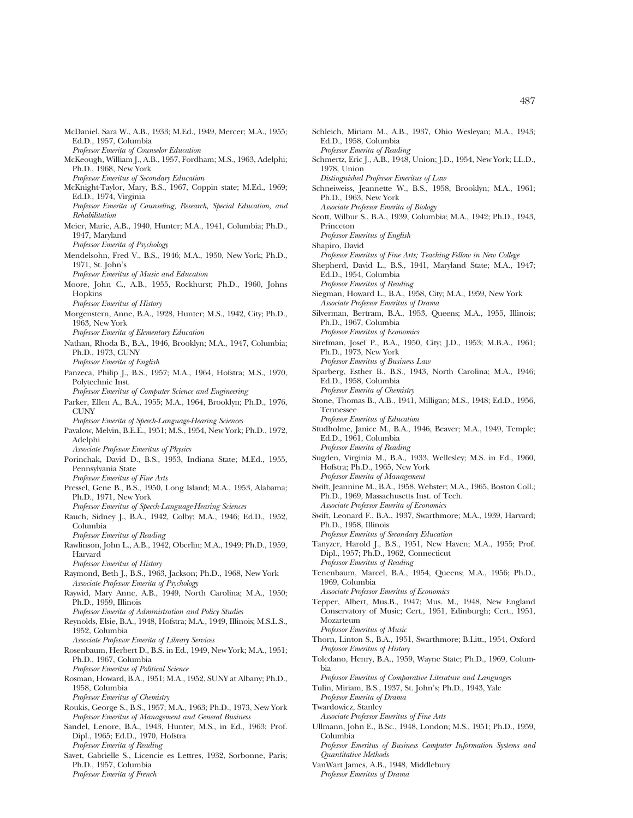Schleich, Miriam M., A.B., 1937, Ohio Wesleyan; M.A., 1943;

Schmertz, Eric J., A.B., 1948, Union; J.D., 1954, New York; LL.D.,

Schneiweiss, Jeannette W., B.S., 1958, Brooklyn; M.A., 1961;

Scott, Wilbur S., B.A., 1939, Columbia; M.A., 1942; Ph.D., 1943,

*Professor Emeritus of Fine Arts; Teaching Fellow in New College* Shepherd, David L., B.S., 1941, Maryland State; M.A., 1947;

Siegman, Howard L., B.A., 1958, City; M.A., 1959, New York

Silverman, Bertram, B.A., 1953, Queens; M.A., 1955, Illinois;

Sirefman, Josef P., B.A., 1950, City; J.D., 1953; M.B.A., 1961;

Sparberg, Esther B., B.S., 1943, North Carolina; M.A., 1946;

Stone, Thomas B., A.B., 1941, Milligan; M.S., 1948; Ed.D., 1956,

Studholme, Janice M., B.A., 1946, Beaver; M.A., 1949, Temple;

Ed.D., 1958, Columbia *Professor Emerita of Reading*

Ph.D., 1963, New York

*Professor Emeritus of English*

Ed.D., 1954, Columbia *Professor Emeritus of Reading*

Ph.D., 1967, Columbia *Professor Emeritus of Economics*

Ph.D., 1973, New York *Professor Emeritus of Business Law*

Ed.D., 1958, Columbia *Professor Emerita of Chemistry*

Ed.D., 1961, Columbia

*Professor Emeritus of Education*

Tennessee

*Distinguished Professor Emeritus of Law*

*Associate Professor Emerita of Biology*

*Associate Professor Emeritus of Drama*

1978, Union

Princeton

Shapiro, David

McDaniel, Sara W., A.B., 1933; M.Ed., 1949, Mercer; M.A., 1955; Ed.D., 1957, Columbia *Professor Emerita of Counselor Education* McKeough, William J., A.B., 1957, Fordham; M.S., 1963, Adelphi; Ph.D., 1968, New York *Professor Emeritus of Secondary Education* McKnight-Taylor, Mary, B.S., 1967, Coppin state; M.Ed., 1969; Ed.D., 1974, Virginia *Professor Emerita of Counseling, Research, Special Education, and Rehabilitation* Meier, Marie, A.B., 1940, Hunter; M.A., 1941, Columbia; Ph.D., 1947, Maryland *Professor Emerita of Psychology* Mendelsohn, Fred V., B.S., 1946; M.A., 1950, New York; Ph.D., 1971, St. John's *Professor Emeritus of Music and Education* Moore, John C., A.B., 1955, Rockhurst; Ph.D., 1960, Johns Hopkins *Professor Emeritus of History* Morgenstern, Anne, B.A., 1928, Hunter; M.S., 1942, City; Ph.D., 1963, New York *Professor Emerita of Elementary Education* Nathan, Rhoda B., B.A., 1946, Brooklyn; M.A., 1947, Columbia; Ph.D., 1973, CUNY *Professor Emerita of English* Panzeca, Philip J., B.S., 1957; M.A., 1964, Hofstra; M.S., 1970, Polytechnic Inst. *Professor Emeritus of Computer Science and Engineering* Parker, Ellen A., B.A., 1955; M.A., 1964, Brooklyn; Ph.D., 1976, CUNV *Professor Emerita of Speech-Language-Hearing Sciences* Pavalow, Melvin, B.E.E., 1951; M.S., 1954, New York; Ph.D., 1972, Adelphi *Associate Professor Emeritus of Physics* Porinchak, David D., B.S., 1953, Indiana State; M.Ed., 1955, Pennsylvania State *Professor Emeritus of Fine Arts* Pressel, Gene B., B.S., 1950, Long Island; M.A., 1953, Alabama; Ph.D., 1971, New York *Professor Emeritus of Speech-Language-Hearing Sciences* Rauch, Sidney J., B.A., 1942, Colby; M.A., 1946; Ed.D., 1952, Columbia *Professor Emeritus of Reading* Rawlinson, John L., A.B., 1942, Oberlin; M.A., 1949; Ph.D., 1959, Harvard *Professor Emeritus of History* Raymond, Beth J., B.S., 1963, Jackson; Ph.D., 1968, New York *Associate Professor Emerita of Psychology* Raywid, Mary Anne, A.B., 1949, North Carolina; M.A., 1950; Ph.D., 1959, Illinois *Professor Emerita of Administration and Policy Studies* Reynolds, Elsie, B.A., 1948, Hofstra; M.A., 1949, Illinois; M.S.L.S., 1952, Columbia *Associate Professor Emerita of Library Services* Rosenbaum, Herbert D., B.S. in Ed., 1949, New York; M.A., 1951; Ph.D., 1967, Columbia *Professor Emeritus of Political Science* Rosman, Howard, B.A., 1951; M.A., 1952, SUNY at Albany; Ph.D., 1958, Columbia *Professor Emeritus of Chemistry* Roukis, George S., B.S., 1957; M.A., 1963; Ph.D., 1973, New York *Professor Emeritus of Management and General Business* Sandel, Lenore, B.A., 1943, Hunter; M.S., in Ed., 1963; Prof. Dipl., 1965; Ed.D., 1970, Hofstra *Professor Emerita of Reading* Savet, Gabrielle S., Licencie es Lettres, 1932, Sorbonne, Paris; Ph.D., 1957, Columbia

*Professor Emerita of French*

*Professor Emerita of Reading* Sugden, Virginia M., B.A., 1933, Wellesley; M.S. in Ed., 1960, Hofstra; Ph.D., 1965, New York *Professor Emerita of Management* Swift, Jeannine M., B.A., 1958, Webster; M.A., 1965, Boston Coll.; Ph.D., 1969, Massachusetts Inst. of Tech. *Associate Professor Emerita of Economics* Swift, Leonard F., B.A., 1937, Swarthmore; M.A., 1939, Harvard; Ph.D., 1958, Illinois *Professor Emeritus of Secondary Education* Tanyzer, Harold J., B.S., 1951, New Haven; M.A., 1955; Prof. Dipl., 1957; Ph.D., 1962, Connecticut *Professor Emeritus of Reading* Tenenbaum, Marcel, B.A., 1954, Queens; M.A., 1956; Ph.D., 1969, Columbia *Associate Professor Emeritus of Economics* Tepper, Albert, Mus.B., 1947; Mus. M., 1948, New England Conservatory of Music; Cert., 1951, Edinburgh; Cert., 1951, Mozarteum *Professor Emeritus of Music* Thorn, Linton S., B.A., 1951, Swarthmore; B.Litt., 1954, Oxford *Professor Emeritus of History* Toledano, Henry, B.A., 1959, Wayne State; Ph.D., 1969, Columbia *Professor Emeritus of Comparative Literature and Languages* Tulin, Miriam, B.S., 1937, St. John's; Ph.D., 1943, Yale *Professor Emerita of Drama* Twardowicz, Stanley *Associate Professor Emeritus of Fine Arts* Ullmann, John E., B.Sc., 1948, London; M.S., 1951; Ph.D., 1959, Columbia *Professor Emeritus of Business Computer Information Systems and Quantitative Methods* VanWart James, A.B., 1948, Middlebury *Professor Emeritus of Drama*